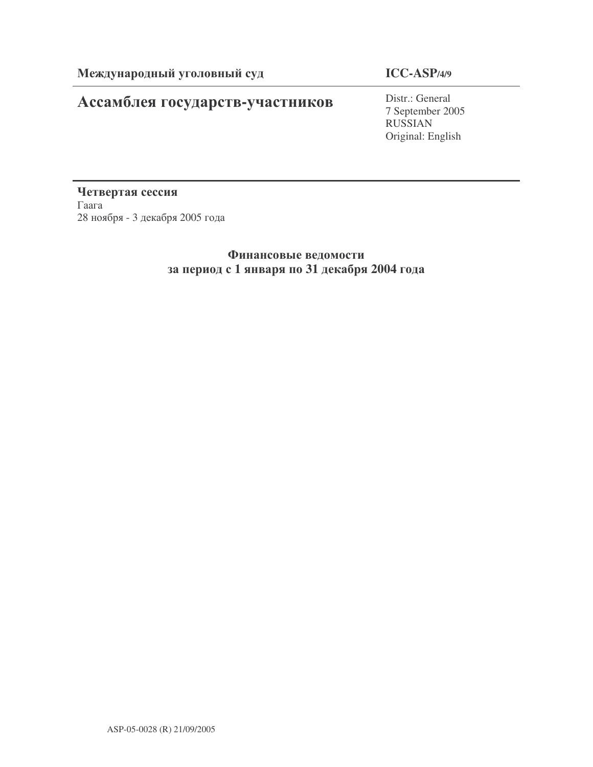## Ассамблея государств-участников

#### **ICC-ASP/4/9**

Distr.: General 7 September 2005 RUSSIAN Original: English

Четвертая сессия  $\Gamma$ aara 28 ноября - 3 декабря 2005 года

## Финансовые ведомости за период с 1 января по 31 декабря 2004 года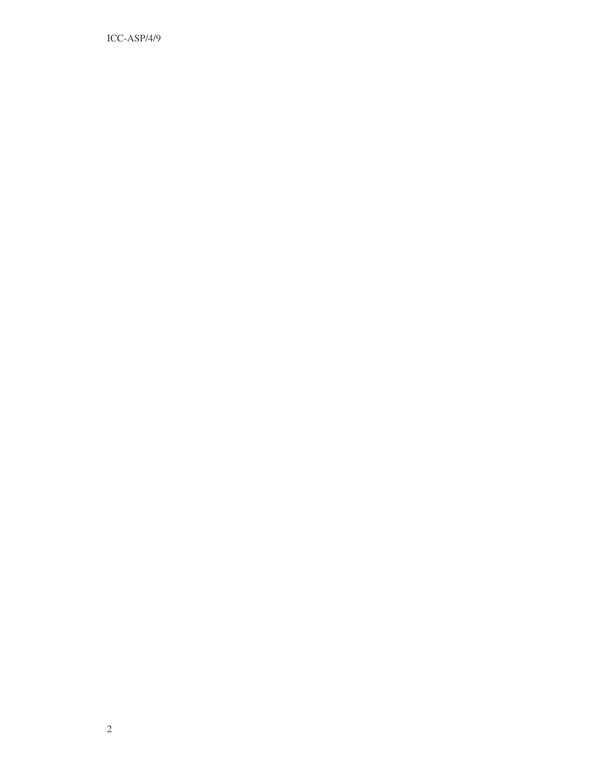ICC-ASP/4/9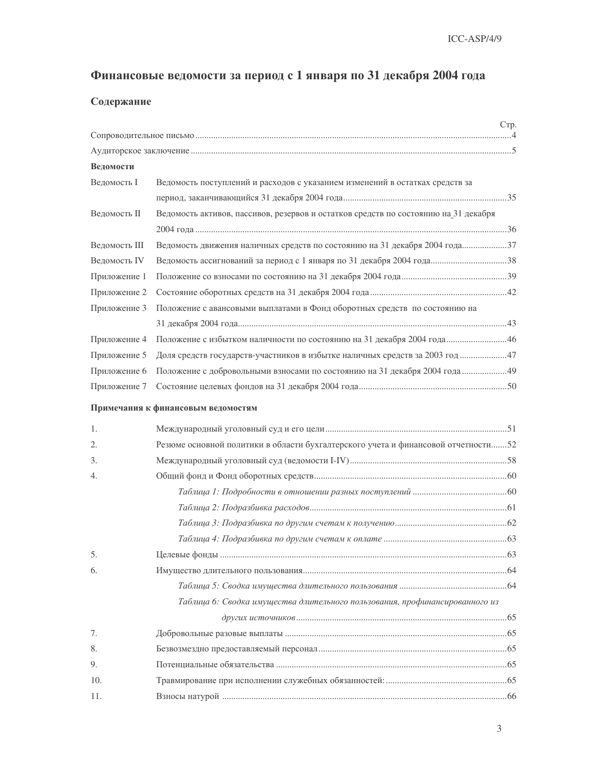## Финансовые ведомости за период с 1 января по 31 декабря 2004 года

## Содержание

|               |                                                                                     | Стр. |
|---------------|-------------------------------------------------------------------------------------|------|
|               |                                                                                     |      |
| Ведомости     |                                                                                     |      |
| Ведомость I   | Ведомость поступлений и расходов с указанием изменений в остатках средств за        |      |
| Ведомость II  | Ведомость активов, пассивов, резервов и остатков средств по состоянию на 31 декабря |      |
| Ведомость III | Ведомость движения наличных средств по состоянию на 31 декабря 2004 года37          |      |
| Ведомость IV  |                                                                                     |      |
| Приложение 1  |                                                                                     |      |
| Приложение 2  |                                                                                     |      |
| Приложение 3  | Положение с авансовыми выплатами в Фонд оборотных средств по состоянию на           |      |
| Приложение 4  | Положение с избытком наличности по состоянию на 31 декабря 2004 года46              |      |
| Приложение 5  | Доля средств государств-участников в избытке наличных средств за 2003 год  47       |      |
| Приложение 6  | Положение с добровольными взносами по состоянию на 31 декабря 2004 года  49         |      |
| Приложение 7  |                                                                                     |      |
|               | Примечания к финансовым ведомостям                                                  |      |
| 1.            |                                                                                     |      |
| 2.            | Резюме основной политики в области бухгалтерского учета и финансовой отчетности52   |      |
| 3.            |                                                                                     |      |
| 4.            |                                                                                     |      |
|               |                                                                                     |      |
|               |                                                                                     |      |
|               |                                                                                     |      |
|               |                                                                                     |      |
| 5.            |                                                                                     | 63   |
| 6.            |                                                                                     |      |
|               |                                                                                     |      |
|               | Таблица 6: Сводка имущества длительного пользования, профинансированного из         |      |
|               |                                                                                     |      |
| 7.            |                                                                                     |      |
| 8.            |                                                                                     |      |
| 9.            |                                                                                     |      |
| 10.           |                                                                                     |      |
| 11.           |                                                                                     |      |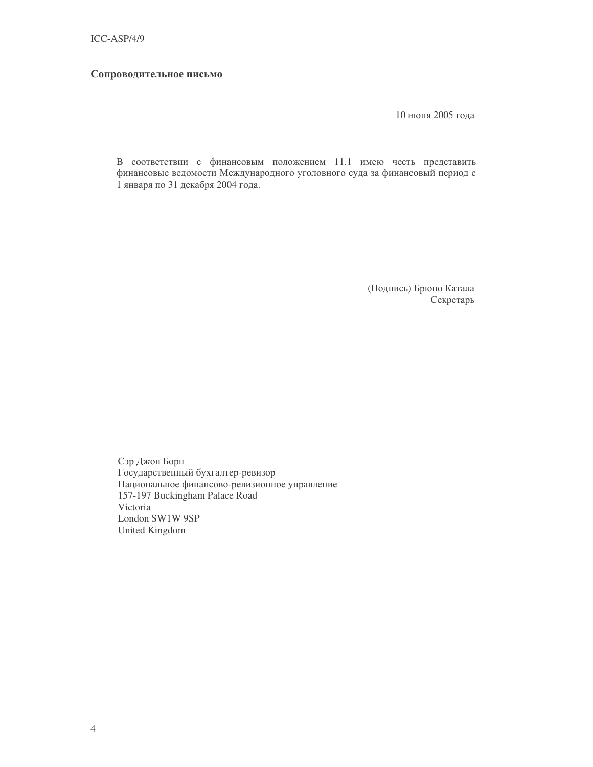#### Сопроводительное письмо

10 июня 2005 года

В соответствии с финансовым положением 11.1 имею честь представить финансовые ведомости Международного уголовного суда за финансовый период с 1 января по 31 декабря 2004 года.

> (Подпись) Брюно Катала Секретарь

Сэр Джон Борн Государственный бухгалтер-ревизор Национальное финансово-ревизионное управление 157-197 Buckingham Palace Road Victoria London SW1W 9SP United Kingdom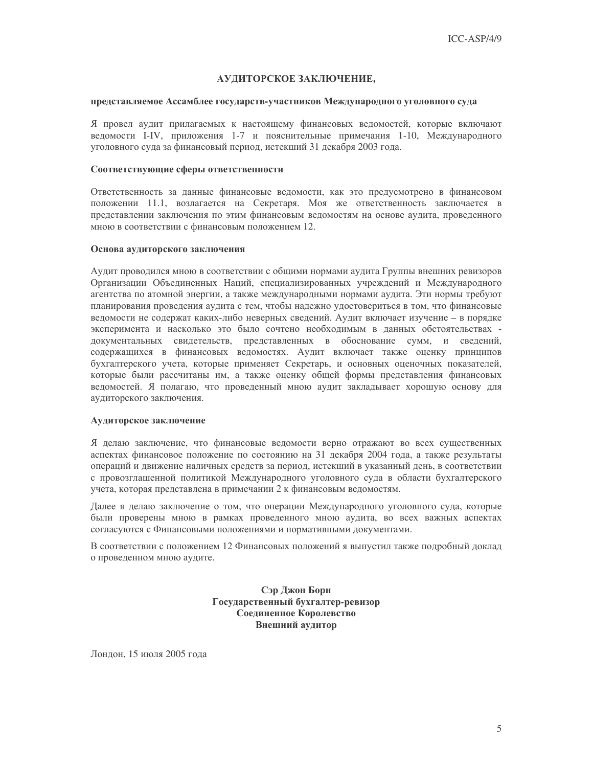#### АУДИТОРСКОЕ ЗАКЛЮЧЕНИЕ,

#### представляемое Ассамблее государств-участников Международного уголовного суда

Я провел аудит прилагаемых к настоящему финансовых ведомостей, которые включают веломости I-IV, приложения 1-7 и пояснительные примечания 1-10. Международного уголовного суда за финансовый период, истекший 31 декабря 2003 года.

#### Соответствующие сферы ответственности

Ответственность за данные финансовые ведомости, как это предусмотрено в финансовом положении 11.1, возлагается на Секретаря. Моя же ответственность заключается в прелставлении заключения по этим финансовым веломостям на основе аулита, провеленного мною в соответствии с финансовым положением 12.

#### Основа аудиторского заключения

Аудит проводился мною в соответствии с общими нормами аудита Группы внешних ревизоров Организации Объединенных Наций, специализированных учреждений и Международного агентства по атомной энергии, а также международными нормами аудита. Эти нормы требуют планирования проведения аудита с тем, чтобы надежно удостовериться в том, что финансовые ведомости не содержат каких-либо неверных сведений. Аудит включает изучение - в порядке эксперимента и насколько это было сочтено необходимым в данных обстоятельствах документальных свидетельств, представленных в обоснование сумм, и сведений, содержащихся в финансовых ведомостях. Аудит включает также оценку принципов бухгалтерского учета, которые применяет Секретарь, и основных оценочных показателей, которые были рассчитаны им, а также оценку общей формы представления финансовых ведомостей. Я полагаю, что проведенный мною аудит закладывает хорошую основу для аудиторского заключения.

#### Аудиторское заключение

Я делаю заключение, что финансовые ведомости верно отражают во всех существенных аспектах финансовое положение по состоянию на 31 декабря 2004 года, а также результаты операций и движение наличных средств за период, истекший в указанный день, в соответствии с провозглашенной политикой Международного уголовного суда в области бухгалтерского учета, которая представлена в примечании 2 к финансовым ведомостям.

Далее я делаю заключение о том, что операции Международного уголовного суда, которые были проверены мною в рамках проведенного мною аудита, во всех важных аспектах согласуются с Финансовыми положениями и нормативными локументами.

В соответствии с положением 12 Финансовых положений я выпустил также подробный доклад о проведенном мною аудите.

> Сэр Джон Борн Государственный бухгалтер-ревизор Соединенное Королевство Внешний аудитор

Лондон, 15 июля 2005 года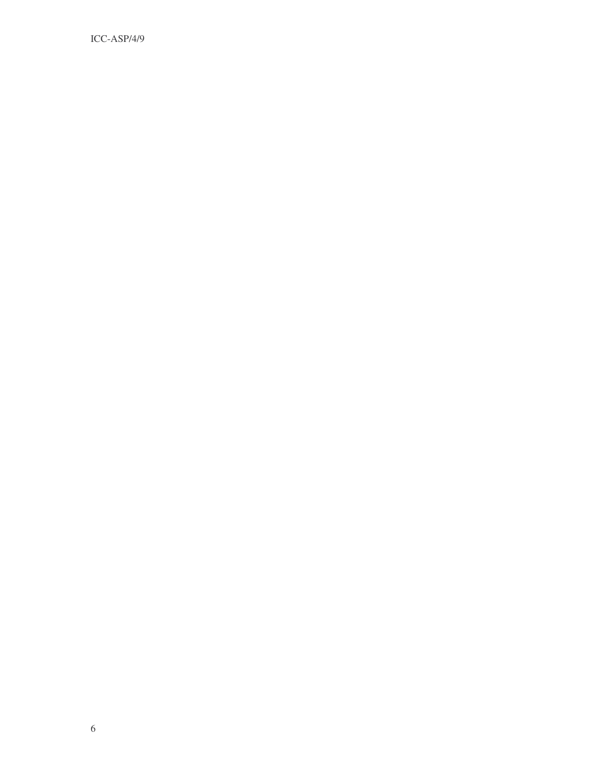ICC-ASP/4/9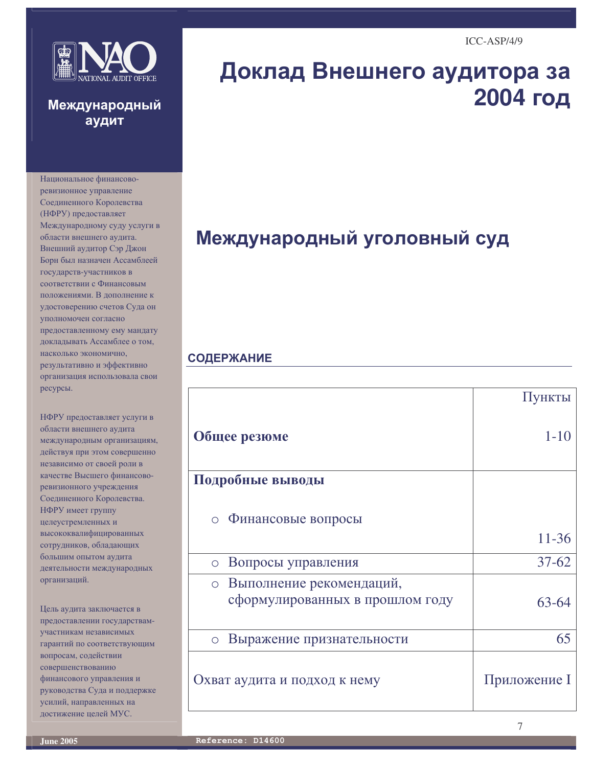

## Международный аудит

Национальное финансоворевизионное управление Соединенного Королевства (НФРУ) предоставляет Международному суду услуги в области внешнего аудита. Внешний аудитор Сэр Джон Борн был назначен Ассамблеей государств-участников в соответствии с Финансовым положениями. В лополнение к удостоверению счетов Суда он уполномочен согласно предоставленному ему мандату докладывать Ассамблее о том, насколько экономично, результативно и эффективно организация использовала свои ресурсы.

НФРУ предоставляет услуги в области внешнего аудита международным организациям, действуя при этом совершенно независимо от своей роли в качестве Высшего финансоворевизионного учреждения Соединенного Королевства. НФРУ имеет группу целеустремленных и высококвалифицированных сотрудников, обладающих большим опытом аудита деятельности международных организаций.

Цель аудита заключается в предоставлении государствамучастникам независимых гарантий по соответствующим вопросам, содействии совершенствованию финансового управления и руководства Суда и поддержке усилий, направленных на достижение целей МУС.

# Доклад Внешнего аудитора за 2004 год

# Международный уголовный суд

#### **СОДЕРЖАНИЕ**

|                                      | Пункты       |
|--------------------------------------|--------------|
| Общее резюме                         | $1 - 10$     |
| Подробные выводы                     |              |
| Финансовые вопросы<br>$\bigcirc$     |              |
|                                      | $11 - 36$    |
| Вопросы управления<br>$\circ$        | $37 - 62$    |
| Выполнение рекомендаций,<br>$\circ$  |              |
| сформулированных в прошлом году      | 63-64        |
| Выражение признательности<br>$\circ$ | 65           |
| Охват аудита и подход к нему         | Приложение I |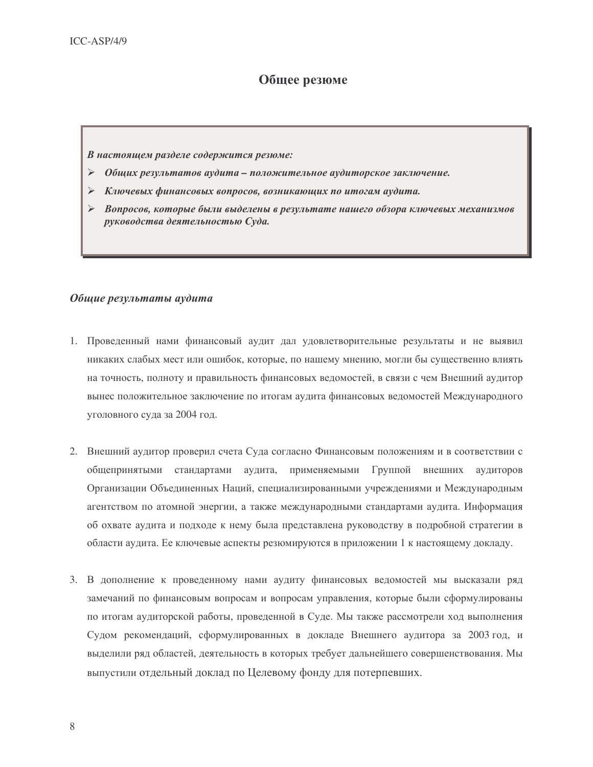## Общее резюме

В настоящем разделе содержится резюме:

- $\triangleright$  Общих результатов аудита положительное аудиторское заключение.
- $\triangleright$  Ключевых финансовых вопросов, возникающих по итогам аудита.
- $\triangleright$  Вопросов, которые были выделены в результате нашего обзора ключевых механизмов руководства деятельностью Суда.

#### Общие результаты аудита

- 1. Проведенный нами финансовый аудит дал удовлетворительные результаты и не выявил никаких слабых мест или ошибок, которые, по нашему мнению, могли бы существенно влиять на точность, полноту и правильность финансовых ведомостей, в связи с чем Внешний аудитор вынес положительное заключение по итогам аудита финансовых ведомостей Международного уголовного суда за 2004 год.
- 2. Внешний аудитор проверил счета Суда согласно Финансовым положениям и в соответствии с общепринятыми стандартами аудита, применяемыми Группой внешних аудиторов Организации Объединенных Наций, специализированными учреждениями и Международным агентством по атомной энергии, а также международными стандартами аудита. Информация об охвате аудита и подходе к нему была представлена руководству в подробной стратегии в области аудита. Ее ключевые аспекты резюмируются в приложении 1 к настоящему докладу.
- 3. В дополнение к проведенному нами аудиту финансовых ведомостей мы высказали ряд замечаний по финансовым вопросам и вопросам управления, которые были сформулированы по итогам аудиторской работы, проведенной в Суде. Мы также рассмотрели ход выполнения Судом рекомендаций, сформулированных в докладе Внешнего аудитора за 2003 год, и выделили ряд областей, деятельность в которых требует дальнейшего совершенствования. Мы выпустили отдельный доклад по Целевому фонду для потерпевших.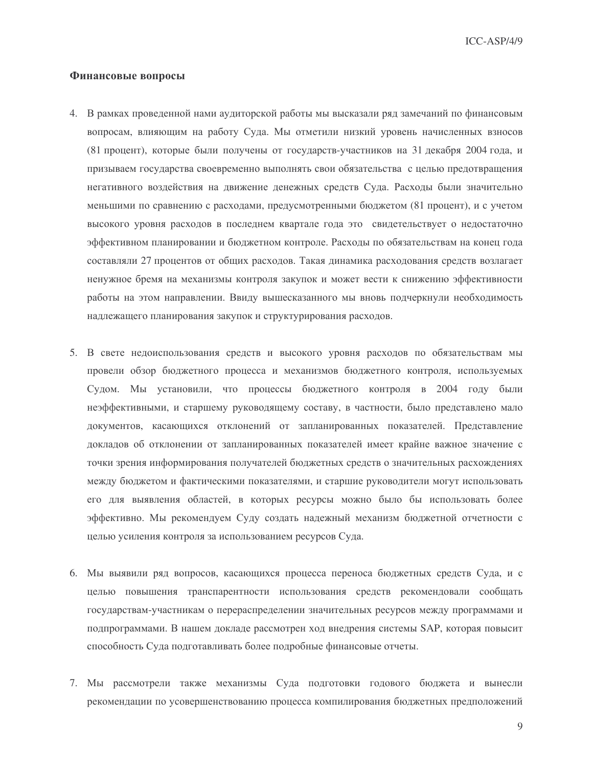#### Финансовые вопросы

- 4. В рамках проведенной нами аудиторской работы мы высказали ряд замечаний по финансовым вопросам, влияющим на работу Суда. Мы отметили низкий уровень начисленных взносов (81 процент), которые были получены от государств-участников на 31 декабря 2004 года, и призываем государства своевременно выполнять свои обязательства с целью предотвращения негативного воздействия на движение денежных средств Суда. Расходы были значительно меньшими по сравнению с расходами, предусмотренными бюджетом (81 процент), и с учетом высокого уровня расходов в последнем квартале года это свидетельствует о недостаточно эффективном планировании и бюджетном контроле. Расходы по обязательствам на конец года составляли 27 процентов от общих расходов. Такая динамика расходования средств возлагает ненужное бремя на механизмы контроля закупок и может вести к снижению эффективности работы на этом направлении. Ввиду вышесказанного мы вновь подчеркнули необходимость надлежащего планирования закупок и структурирования расходов.
- 5. В свете недоиспользования средств и высокого уровня расходов по обязательствам мы провели обзор бюджетного процесса и механизмов бюджетного контроля, используемых Судом. Мы установили, что процессы бюджетного контроля в 2004 году были неэффективными, и старшему руководящему составу, в частности, было представлено мало документов, касающихся отклонений от запланированных показателей. Представление докладов об отклонении от запланированных показателей имеет крайне важное значение с точки зрения информирования получателей бюджетных средств о значительных расхождениях между бюджетом и фактическими показателями, и старшие руководители могут использовать его для выявления областей, в которых ресурсы можно было бы использовать более эффективно. Мы рекомендуем Суду создать надежный механизм бюджетной отчетности с целью усиления контроля за использованием ресурсов Суда.
- 6. Мы выявили ряд вопросов, касающихся процесса переноса бюджетных средств Суда, и с целью повышения транспарентности использования средств рекомендовали сообщать государствам-участникам о перераспределении значительных ресурсов между программами и подпрограммами. В нашем докладе рассмотрен ход внедрения системы SAP, которая повысит способность Суда подготавливать более подробные финансовые отчеты.
- 7. Мы рассмотрели также механизмы Суда подготовки годового бюджета и вынесли рекомендации по усовершенствованию процесса компилирования бюджетных предположений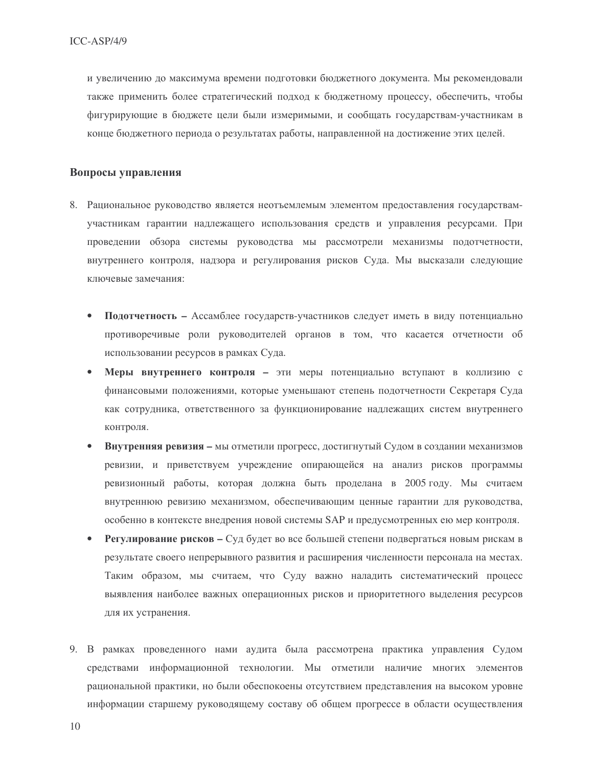и увеличению до максимума времени подготовки бюджетного документа. Мы рекомендовали также применить более стратегический подход к бюджетному процессу, обеспечить, чтобы фигурирующие в бюджете цели были измеримыми, и сообщать государствам-участникам в конце бюджетного периода о результатах работы, направленной на достижение этих целей.

#### Вопросы управления

- 8. Рациональное руководство является неотъемлемым элементом предоставления государствамучастникам гарантии надлежащего использования средств и управления ресурсами. При проведении обзора системы руководства мы рассмотрели механизмы подотчетности, внутреннего контроля, надзора и регулирования рисков Суда. Мы высказали следующие ключевые замечания:
	- Подотчетность Ассамблее государств-участников следует иметь в виду потенциально  $\bullet$ противоречивые роли руководителей органов в том, что касается отчетности об использовании ресурсов в рамках Суда.
	- Меры внутреннего контроля эти меры потенциально вступают в коллизию с финансовыми положениями, которые уменьшают степень подотчетности Секретаря Суда как сотрудника, ответственного за функционирование надлежащих систем внутреннего контроля.
	- Внутренняя ревизия мы отметили прогресс, достигнутый Судом в создании механизмов ревизии, и приветствуем учреждение опирающейся на анализ рисков программы ревизионный работы, которая должна быть проделана в 2005 году. Мы считаем внутреннюю ревизию механизмом, обеспечивающим ценные гарантии для руководства, особенно в контексте внедрения новой системы SAP и предусмотренных ею мер контроля.
	- Регулирование рисков Суд будет во все большей степени подвергаться новым рискам в  $\bullet$ результате своего непрерывного развития и расширения численности персонала на местах. Таким образом, мы считаем, что Суду важно наладить систематический процесс выявления наиболее важных операционных рисков и приоритетного выделения ресурсов для их устранения.
- 9. В рамках проведенного нами аудита была рассмотрена практика управления Судом средствами информационной технологии. Мы отметили наличие многих элементов рациональной практики, но были обеспокоены отсутствием представления на высоком уровне информации старшему руководящему составу об общем прогрессе в области осуществления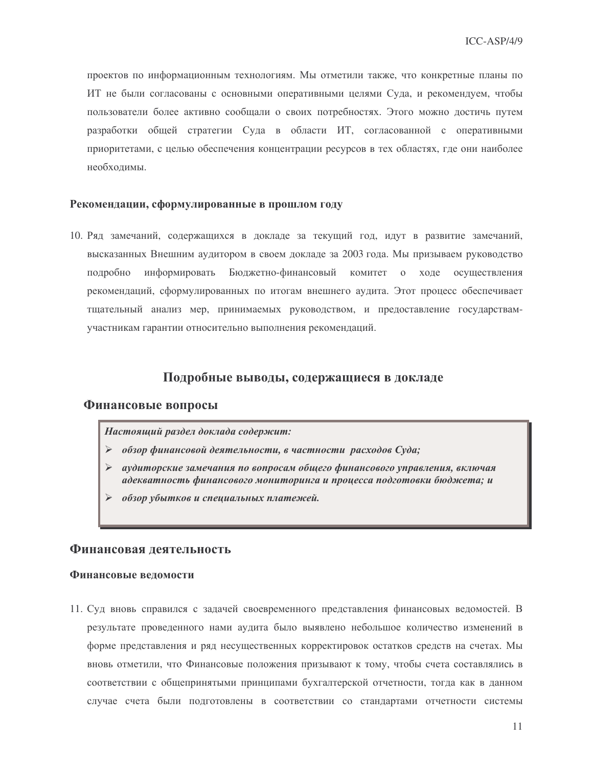проектов по информационным технологиям. Мы отметили также, что конкретные планы по ИТ не были согласованы с основными оперативными целями Суда, и рекомендуем, чтобы пользователи более активно сообщали о своих потребностях. Этого можно достичь путем разработки общей стратегии Суда в области ИТ, согласованной с оперативными приоритетами, с целью обеспечения концентрации ресурсов в тех областях, где они наиболее необходимы.

#### Рекомендации, сформулированные в прошлом году

10. Ряд замечаний, содержащихся в докладе за текущий год, идут в развитие замечаний, высказанных Внешним аудитором в своем докладе за 2003 года. Мы призываем руководство информировать Бюджетно-финансовый комитет о ходе осуществления подробно рекомендаций, сформулированных по итогам внешнего аудита. Этот процесс обеспечивает тщательный анализ мер, принимаемых руководством, и предоставление государствамучастникам гарантии относительно выполнения рекомендаций.

#### Подробные выводы, содержащиеся в докладе

#### Финансовые вопросы

#### Настоящий раздел доклада содержит:

- $\triangleright$  обзор финансовой деятельности, в частности расходов Суда;
- $\triangleright$  аудиторские замечания по вопросам общего финансового управления, включая адекватность финансового мониторинга и процесса подготовки бюджета; и
- $\triangleright$  обзор убытков и специальных платежей.

#### Финансовая деятельность

#### Финансовые веломости

11. Суд вновь справился с задачей своевременного представления финансовых ведомостей. В результате проведенного нами аудита было выявлено небольшое количество изменений в форме представления и ряд несущественных корректировок остатков средств на счетах. Мы вновь отметили, что Финансовые положения призывают к тому, чтобы счета составлялись в соответствии с общепринятыми принципами бухгалтерской отчетности, тогда как в данном случае счета были подготовлены в соответствии со стандартами отчетности системы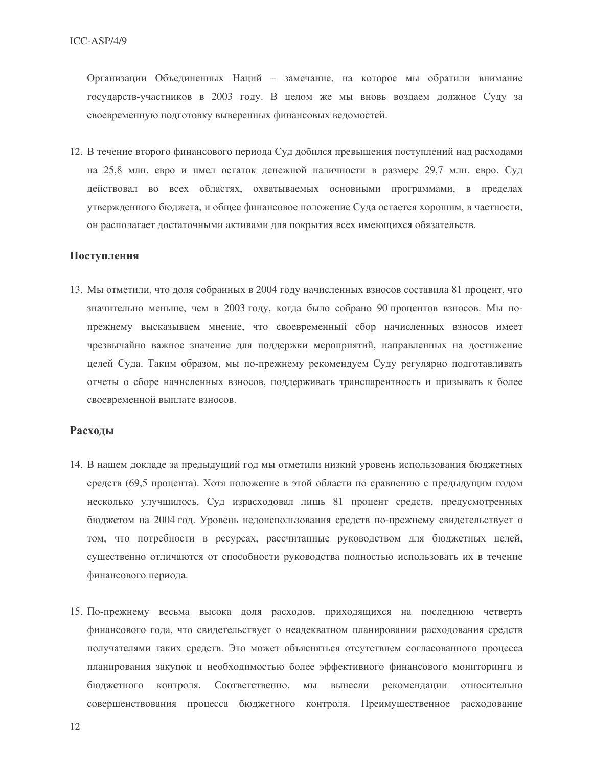Организации Объединенных Наций – замечание, на которое мы обратили внимание государств-участников в 2003 году. В целом же мы вновь воздаем должное Суду за своевременную подготовку выверенных финансовых ведомостей.

12. В течение второго финансового периода Суд добился превышения поступлений над расходами на 25,8 млн. евро и имел остаток денежной наличности в размере 29,7 млн. евро. Суд действовал во всех областях, охватываемых основными программами, в пределах утвержденного бюджета, и общее финансовое положение Суда остается хорошим, в частности, он располагает достаточными активами для покрытия всех имеющихся обязательств.

#### Поступления

13. Мы отметили, что доля собранных в 2004 году начисленных взносов составила 81 процент, что значительно меньше, чем в 2003 году, когда было собрано 90 процентов взносов. Мы попрежнему высказываем мнение, что своевременный сбор начисленных взносов имеет чрезвычайно важное значение для поддержки мероприятий, направленных на достижение целей Суда. Таким образом, мы по-прежнему рекомендуем Суду регулярно подготавливать отчеты о сборе начисленных взносов, поддерживать транспарентность и призывать к более своевременной выплате взносов.

#### Расходы

- 14. В нашем докладе за предыдущий год мы отметили низкий уровень использования бюджетных средств (69,5 процента). Хотя положение в этой области по сравнению с предыдущим годом несколько улучшилось, Суд израсходовал лишь 81 процент средств, предусмотренных бюджетом на 2004 год. Уровень недоиспользования средств по-прежнему свидетельствует о том, что потребности в ресурсах, рассчитанные руководством для бюджетных целей, существенно отличаются от способности руководства полностью использовать их в течение финансового периода.
- 15. По-прежнему весьма высока доля расходов, приходящихся на последнюю четверть финансового года, что свидетельствует о неадекватном планировании расходования средств получателями таких средств. Это может объясняться отсутствием согласованного процесса планирования закупок и необходимостью более эффективного финансового мониторинга и бюлжетного контроля. Соответственно, мы вынесли рекомендации относительно совершенствования процесса бюджетного контроля. Преимущественное расходование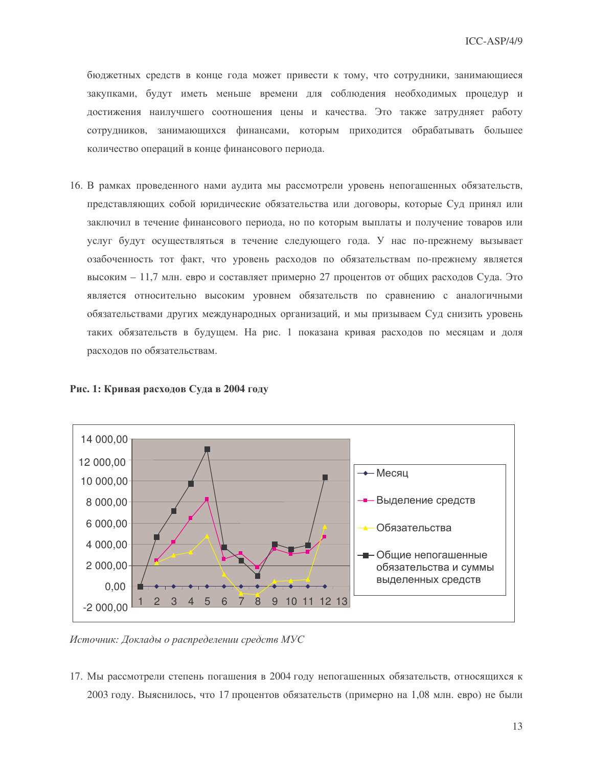бюджетных средств в конце года может привести к тому, что сотрудники, занимающиеся закупками, будут иметь меньше времени для соблюдения необходимых процедур и достижения наилучшего соотношения цены и качества. Это также затрудняет работу сотрудников, занимающихся финансами, которым приходится обрабатывать большее количество операций в конце финансового периода.

16. В рамках проведенного нами аудита мы рассмотрели уровень непогашенных обязательств, представляющих собой юридические обязательства или договоры, которые Суд принял или заключил в течение финансового периода, но по которым выплаты и получение товаров или услуг будут осуществляться в течение следующего года. У нас по-прежнему вызывает озабоченность тот факт, что уровень расходов по обязательствам по-прежнему является высоким – 11,7 млн. евро и составляет примерно 27 процентов от общих расходов Суда. Это является относительно высоким уровнем обязательств по сравнению с аналогичными обязательствами других международных организаций, и мы призываем Суд снизить уровень таких обязательств в будущем. На рис. 1 показана кривая расходов по месяцам и доля расходов по обязательствам.



Рис. 1: Кривая расходов Суда в 2004 году

Источник: Доклады о распределении средств МУС

17. Мы рассмотрели степень погашения в 2004 году непогашенных обязательств, относящихся к 2003 году. Выяснилось, что 17 процентов обязательств (примерно на 1,08 млн. евро) не были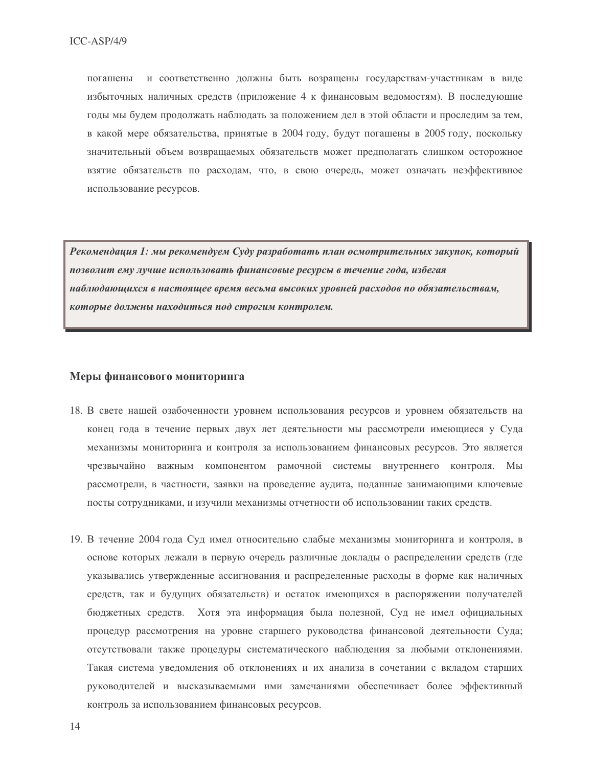погашены и соответственно должны быть возращены государствам-участникам в виде избыточных наличных средств (приложение 4 к финансовым ведомостям). В последующие годы мы будем продолжать наблюдать за положением дел в этой области и проследим за тем, в какой мере обязательства, принятые в 2004 году, будут погашены в 2005 году, поскольку значительный объем возвращаемых обязательств может предполагать слишком осторожное взятие обязательств по расходам, что, в свою очередь, может означать неэффективное использование ресурсов.

Рекомендация 1: мы рекомендуем Суду разработать план осмотрительных закупок, который позволит ему лучше использовать финансовые ресурсы в течение года, избегая наблюдающихся в настоящее время весьма высоких уровней расходов по обязательствам, которые должны находиться под строгим контролем.

#### Меры финансового мониторинга

- 18. В свете нашей озабоченности уровнем использования ресурсов и уровнем обязательств на конец года в течение первых двух лет деятельности мы рассмотрели имеющиеся у Суда механизмы мониторинга и контроля за использованием финансовых ресурсов. Это является чрезвычайно важным компонентом рамочной системы внутреннего контроля. Мы рассмотрели, в частности, заявки на проведение аудита, поданные занимающими ключевые посты сотрудниками, и изучили механизмы отчетности об использовании таких средств.
- 19. В течение 2004 года Суд имел относительно слабые механизмы мониторинга и контроля, в основе которых лежали в первую очередь различные доклады о распределении средств (где указывались утвержденные ассигнования и распределенные расходы в форме как наличных средств, так и будущих обязательств) и остаток имеющихся в распоряжении получателей бюджетных средств. Хотя эта информация была полезной, Суд не имел официальных процедур рассмотрения на уровне старшего руководства финансовой деятельности Суда; отсутствовали также процедуры систематического наблюдения за любыми отклонениями. Такая система уведомления об отклонениях и их анализа в сочетании с вкладом старших руководителей и высказываемыми ими замечаниями обеспечивает более эффективный контроль за использованием финансовых ресурсов.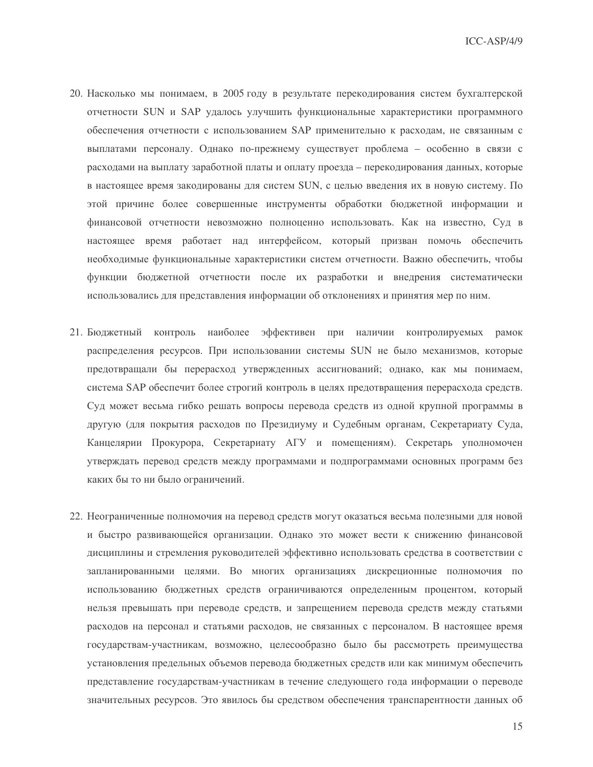- 20. Насколько мы понимаем, в 2005 году в результате перекодирования систем бухгалтерской отчетности SUN и SAP удалось улучшить функциональные характеристики программного обеспечения отчетности с использованием SAP применительно к расходам, не связанным с выплатами персоналу. Однако по-прежнему существует проблема - особенно в связи с расходами на выплату заработной платы и оплату проезда - перекодирования данных, которые в настоящее время закодированы для систем SUN, с целью введения их в новую систему. По этой причине более совершенные инструменты обработки бюджетной информации и финансовой отчетности невозможно полноценно использовать. Как на известно, Суд в настоящее время работает над интерфейсом, который призван помочь обеспечить необходимые функциональные характеристики систем отчетности. Важно обеспечить, чтобы функции бюджетной отчетности после их разработки и внедрения систематически использовались для представления информации об отклонениях и принятия мер по ним.
- 21. Бюджетный контроль наиболее эффективен при наличии контролируемых рамок распределения ресурсов. При использовании системы SUN не было механизмов, которые предотвращали бы перерасход утвержденных ассигнований; однако, как мы понимаем, система SAP обеспечит более строгий контроль в целях предотвращения перерасхода средств. Суд может весьма гибко решать вопросы перевода средств из одной крупной программы в другую (для покрытия расходов по Президиуму и Судебным органам, Секретариату Суда, Канцелярии Прокурора, Секретариату АГУ и помещениям). Секретарь уполномочен утверждать перевод средств между программами и подпрограммами основных программ без каких бы то ни было ограничений.
- 22. Неограниченные полномочия на перевод средств могут оказаться весьма полезными для новой и быстро развивающейся организации. Однако это может вести к снижению финансовой дисциплины и стремления руководителей эффективно использовать средства в соответствии с запланированными целями. Во многих организациях дискреционные полномочия по использованию бюджетных средств ограничиваются определенным процентом, который нельзя превышать при переводе средств, и запрещением перевода средств между статьями расходов на персонал и статьями расходов, не связанных с персоналом. В настоящее время государствам-участникам, возможно, целесообразно было бы рассмотреть преимущества установления предельных объемов перевода бюджетных средств или как минимум обеспечить представление государствам-участникам в течение следующего года информации о переводе значительных ресурсов. Это явилось бы средством обеспечения транспарентности данных об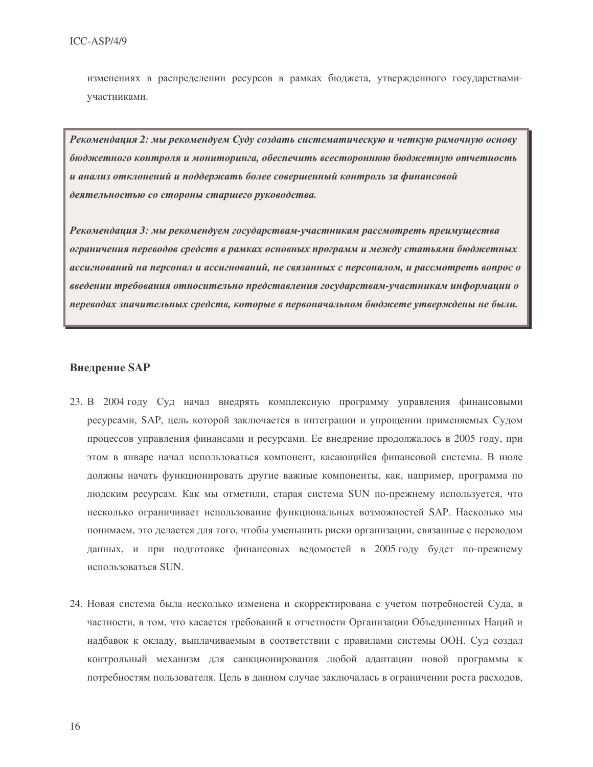изменениях в распределении ресурсов в рамках бюджета, утвержденного государствамиучастниками.

Рекомендация 2: мы рекомендуем Суду создать систематическую и четкую рамочную основу бюджетного контроля и мониторинга, обеспечить всестороннюю бюджетную отчетность и анализ отклонений и поддержать более совершенный контроль за финансовой деятельностью со стороны старшего руководства.

Рекомендация 3: мы рекомендуем государствам-участникам рассмотреть преимущества ограничения переводов средств в рамках основных программ и между статьями бюджетных ассигнований на персонал и ассигнований, не связанных с персоналом, и рассмотреть вопрос о введении требования относительно представления государствам-участникам информации о переводах значительных средств, которые в первоначальном бюджете утверждены не были.

#### **Внедрение SAP**

- 23. В 2004 году Суд начал внедрять комплексную программу управления финансовыми ресурсами, SAP, цель которой заключается в интеграции и упрощении применяемых Судом процессов управления финансами и ресурсами. Ее внедрение продолжалось в 2005 году, при этом в январе начал использоваться компонент, касающийся финансовой системы. В июле должны начать функционировать другие важные компоненты, как, например, программа по людским ресурсам. Как мы отметили, старая система SUN по-прежнему используется, что несколько ограничивает использование функциональных возможностей SAP. Насколько мы понимаем, это делается для того, чтобы уменьшить риски организации, связанные с переводом данных, и при подготовке финансовых ведомостей в 2005 году будет по-прежнему использоваться SUN.
- 24. Новая система была несколько изменена и скорректирована с учетом потребностей Суда, в частности, в том, что касается требований к отчетности Организации Объединенных Наций и надбавок к окладу, выплачиваемым в соответствии с правилами системы ООН. Суд создал контрольный механизм для санкционирования любой адаптации новой программы к потребностям пользователя. Цель в данном случае заключалась в ограничении роста расходов,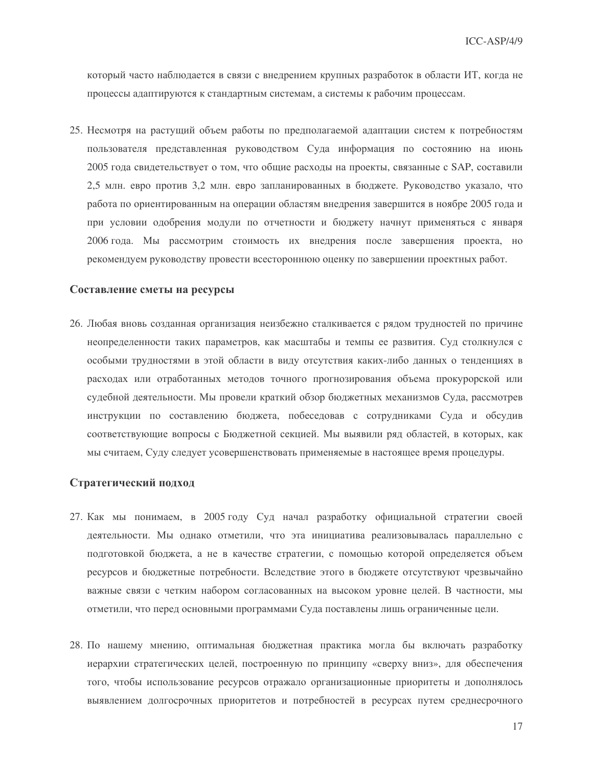который часто наблюдается в связи с внедрением крупных разработок в области ИТ, когда не процессы адаптируются к стандартным системам, а системы к рабочим процессам.

25. Несмотря на растущий объем работы по предполагаемой адаптации систем к потребностям пользователя представленная руководством Суда информация по состоянию на июнь 2005 года свидетельствует о том, что общие расходы на проекты, связанные с SAP, составили 2,5 млн. евро против 3,2 млн. евро запланированных в бюджете. Руководство указало, что работа по ориентированным на операции областям внедрения завершится в ноябре 2005 года и при условии одобрения модули по отчетности и бюджету начнут применяться с января 2006 года. Мы рассмотрим стоимость их внедрения после завершения проекта, но рекомендуем руководству провести всестороннюю оценку по завершении проектных работ.

#### Составление сметы на ресурсы

26. Любая вновь созданная организация неизбежно сталкивается с рядом трудностей по причине неопределенности таких параметров, как масштабы и темпы ее развития. Суд столкнулся с особыми трудностями в этой области в виду отсутствия каких-либо данных о тенденциях в расходах или отработанных методов точного прогнозирования объема прокурорской или судебной деятельности. Мы провели краткий обзор бюджетных механизмов Суда, рассмотрев инструкции по составлению бюджета, побеседовав с сотрудниками Суда и обсудив соответствующие вопросы с Бюджетной секцией. Мы выявили ряд областей, в которых, как мы считаем, Суду следует усовершенствовать применяемые в настоящее время процедуры.

#### Стратегический подход

- 27. Как мы понимаем, в 2005 году Суд начал разработку официальной стратегии своей деятельности. Мы однако отметили, что эта инициатива реализовывалась параллельно с подготовкой бюджета, а не в качестве стратегии, с помощью которой определяется объем ресурсов и бюджетные потребности. Вследствие этого в бюджете отсутствуют чрезвычайно важные связи с четким набором согласованных на высоком уровне целей. В частности, мы отметили, что перед основными программами Суда поставлены лишь ограниченные цели.
- 28. По нашему мнению, оптимальная бюджетная практика могла бы включать разработку иерархии стратегических целей, построенную по принципу «сверху вниз», для обеспечения того, чтобы использование ресурсов отражало организационные приоритеты и дополнялось выявлением долгосрочных приоритетов и потребностей в ресурсах путем среднесрочного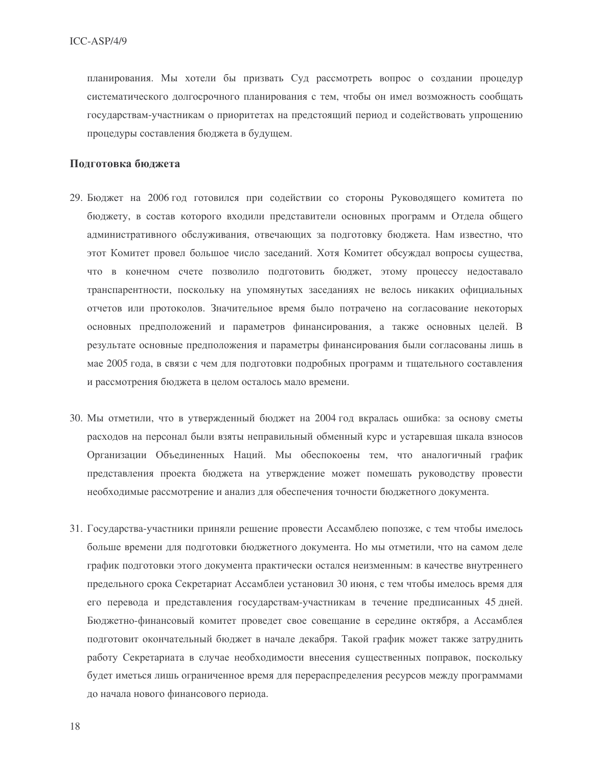планирования. Мы хотели бы призвать Суд рассмотреть вопрос о создании процедур систематического долгосрочного планирования с тем, чтобы он имел возможность сообщать государствам-участникам о приоритетах на предстоящий период и содействовать упрощению процедуры составления бюджета в будущем.

#### Подготовка бюджета

- 29. Бюджет на 2006 год готовился при содействии со стороны Руководящего комитета по бюджету, в состав которого входили представители основных программ и Отдела общего административного обслуживания, отвечающих за подготовку бюджета. Нам известно, что этот Комитет провел большое число заседаний. Хотя Комитет обсуждал вопросы существа, что в конечном счете позволило подготовить бюджет, этому процессу недоставало транспарентности, поскольку на упомянутых заседаниях не велось никаких официальных отчетов или протоколов. Значительное время было потрачено на согласование некоторых основных предположений и параметров финансирования, а также основных целей. В результате основные предположения и параметры финансирования были согласованы лишь в мае 2005 года, в связи с чем для подготовки подробных программ и тщательного составления и рассмотрения бюджета в целом осталось мало времени.
- 30. Мы отметили, что в утвержденный бюджет на 2004 год вкралась ошибка: за основу сметы расходов на персонал были взяты неправильный обменный курс и устаревшая шкала взносов Организации Объединенных Наций. Мы обеспокоены тем, что аналогичный график представления проекта бюджета на утверждение может помешать руководству провести необходимые рассмотрение и анализ для обеспечения точности бюджетного документа.
- 31. Государства-участники приняли решение провести Ассамблею попозже, с тем чтобы имелось больше времени для подготовки бюджетного документа. Но мы отметили, что на самом деле график подготовки этого документа практически остался неизменным: в качестве внутреннего предельного срока Секретариат Ассамблеи установил 30 июня, с тем чтобы имелось время для его перевода и представления государствам-участникам в течение предписанных 45 дней. Бюджетно-финансовый комитет проведет свое совещание в середине октября, а Ассамблея подготовит окончательный бюджет в начале декабря. Такой график может также затруднить работу Секретариата в случае необходимости внесения существенных поправок, поскольку будет иметься лишь ограниченное время для перераспределения ресурсов между программами до начала нового финансового периода.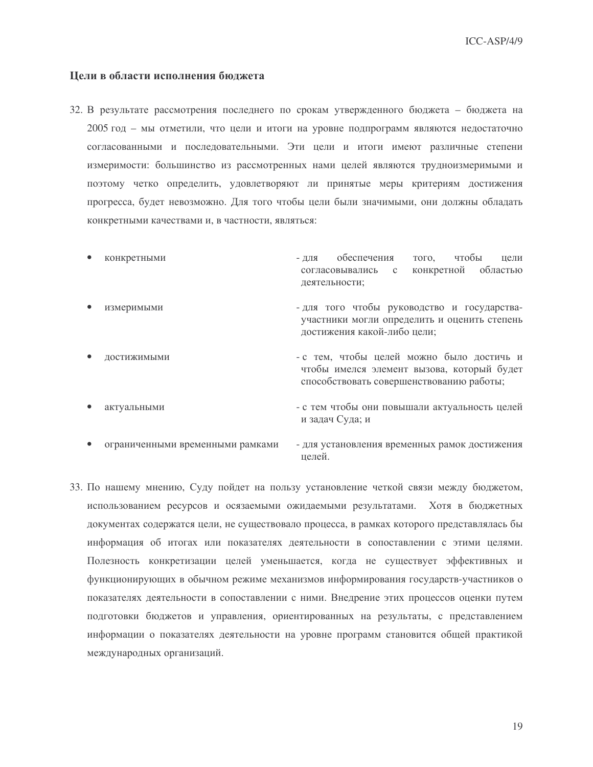#### Цели в области исполнения бюджета

- 32. В результате рассмотрения последнего по срокам утвержденного бюджета бюджета на 2005 год - мы отметили, что цели и итоги на уровне подпрограмм являются недостаточно согласованными и последовательными. Эти цели и итоги имеют различные степени измеримости: большинство из рассмотренных нами целей являются трудноизмеримыми и поэтому четко определить, удовлетворяют ли принятые меры критериям достижения прогресса, будет невозможно. Для того чтобы цели были значимыми, они должны обладать конкретными качествами и, в частности, являться:
	- конкретными  $R\overline{\mathbb{R}}$  обеспечения TOFO. чтобы нели согласовывались с конкретной областью деятельности; измеримыми - для того чтобы руководство и государстваучастники могли определить и оценить степень достижения какой-либо цели; - с тем, чтобы целей можно было достичь и достижимыми чтобы имелся элемент вызова, который будет способствовать совершенствованию работы; - с тем чтобы они повышали актуальность целей актуальными и задач Суда; и ограниченными временными рамками - для установления временных рамок достижения  $\bullet$ нелей.
- 33. По нашему мнению, Суду пойдет на пользу установление четкой связи между бюджетом, использованием ресурсов и осязаемыми ожидаемыми результатами. Хотя в бюджетных документах содержатся цели, не существовало процесса, в рамках которого представлялась бы информация об итогах или показателях деятельности в сопоставлении с этими целями. Полезность конкретизации целей уменьшается, когда не существует эффективных и функционирующих в обычном режиме механизмов информирования государств-участников о показателях деятельности в сопоставлении с ними. Внедрение этих процессов оценки путем подготовки бюджетов и управления, ориентированных на результаты, с представлением информации о показателях деятельности на уровне программ становится общей практикой международных организаций.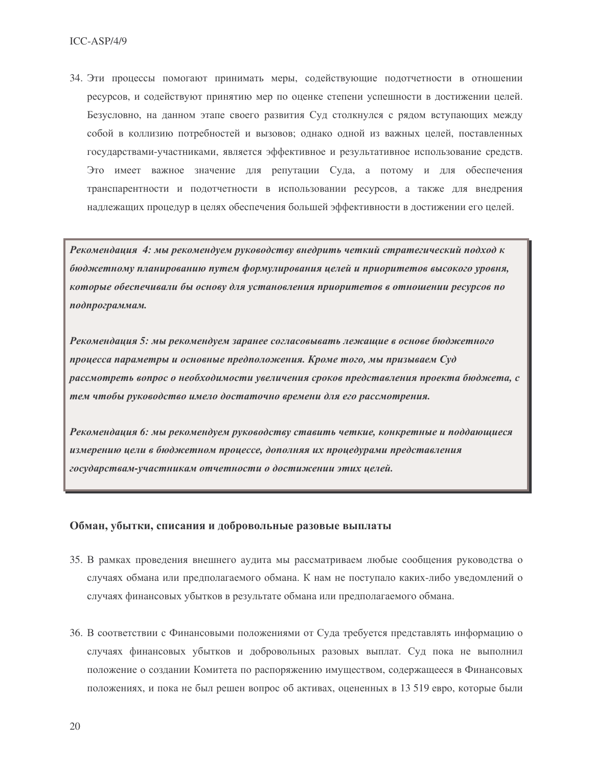34. Эти процессы помогают принимать меры, содействующие подотчетности в отношении ресурсов, и содействуют принятию мер по оценке степени успешности в достижении целей. Безусловно, на данном этапе своего развития Суд столкнулся с рядом вступающих между собой в коллизию потребностей и вызовов; однако одной из важных целей, поставленных государствами-участниками, является эффективное и результативное использование средств. Это имеет важное значение для репутации Суда, а потому и для обеспечения транспарентности и подотчетности в использовании ресурсов, а также для внедрения надлежащих процедур в целях обеспечения большей эффективности в достижении его целей.

Рекомендация 4: мы рекомендуем руководству внедрить четкий стратегический подход к бюджетному планированию путем формулирования целей и приоритетов высокого уровня, которые обеспечивали бы основу для установления приоритетов в отношении ресурсов по подпрограммам.

Рекомендация 5: мы рекомендуем заранее согласовывать лежащие в основе бюджетного процесса параметры и основные предположения. Кроме того, мы призываем Суд рассмотреть вопрос о необходимости увеличения сроков представления проекта бюджета, с тем чтобы руководство имело достаточно времени для его рассмотрения.

Рекомендация 6: мы рекомендуем руководству ставить четкие, конкретные и поддающиеся измерению цели в бюджетном процессе, дополняя их процедурами представления государствам-участникам отчетности о достижении этих целей.

#### Обман, убытки, списания и добровольные разовые выплаты

- 35. В рамках проведения внешнего аудита мы рассматриваем любые сообщения руководства о случаях обмана или предполагаемого обмана. К нам не поступало каких-либо уведомлений о случаях финансовых убытков в результате обмана или предполагаемого обмана.
- 36. В соответствии с Финансовыми положениями от Суда требуется представлять информацию о случаях финансовых убытков и добровольных разовых выплат. Суд пока не выполнил положение о создании Комитета по распоряжению имуществом, содержащееся в Финансовых положениях, и пока не был решен вопрос об активах, оцененных в 13 519 евро, которые были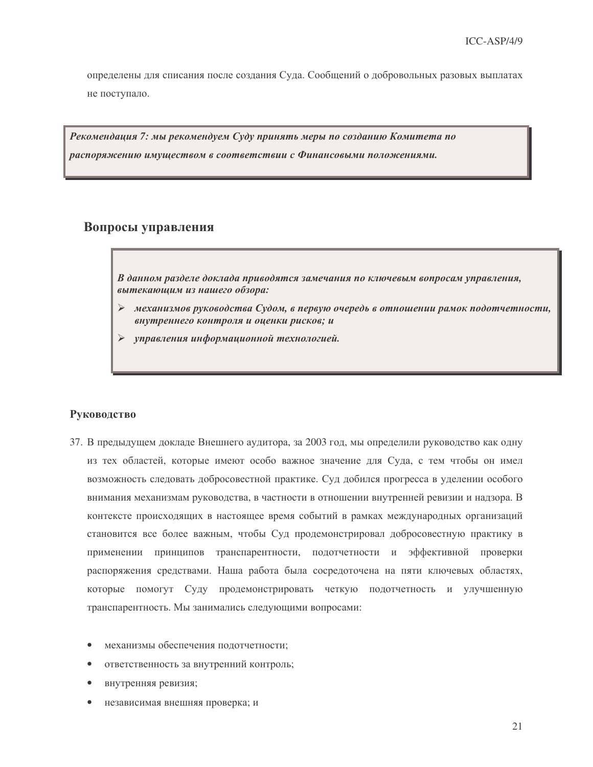определены для списания после создания Суда. Сообщений о добровольных разовых выплатах не поступало.

Рекомендация 7: мы рекомендуем Суду принять меры по созданию Комитета по распоряжению имуществом в соответствии с Финансовыми положениями.

#### Вопросы управления

В данном разделе доклада приводятся замечания по ключевым вопросам управления, вытекающим из нашего обзора:

- $\triangleright$  механизмов руководства Судом, в первую очередь в отношении рамок подотчетности, внутреннего контроля и оценки рисков; и
- ► управления информационной технологией.

#### **Руководство**

- 37. В предыдущем докладе Внешнего аудитора, за 2003 год, мы определили руководство как одну из тех областей, которые имеют особо важное значение для Суда, с тем чтобы он имел возможность следовать добросовестной практике. Суд добился прогресса в уделении особого внимания механизмам руководства, в частности в отношении внутренней ревизии и надзора. В контексте происходящих в настоящее время событий в рамках международных организаций становится все более важным, чтобы Суд продемонстрировал добросовестную практику в применении принципов транспарентности, подотчетности и эффективной проверки распоряжения средствами. Наша работа была сосредоточена на пяти ключевых областях, которые помогут Суду продемонстрировать четкую подотчетность и улучшенную транспарентность. Мы занимались следующими вопросами:
	- механизмы обеспечения подотчетности;
	- ответственность за внутренний контроль;  $\bullet$
	- внутренняя ревизия;
	- независимая внешняя проверка; и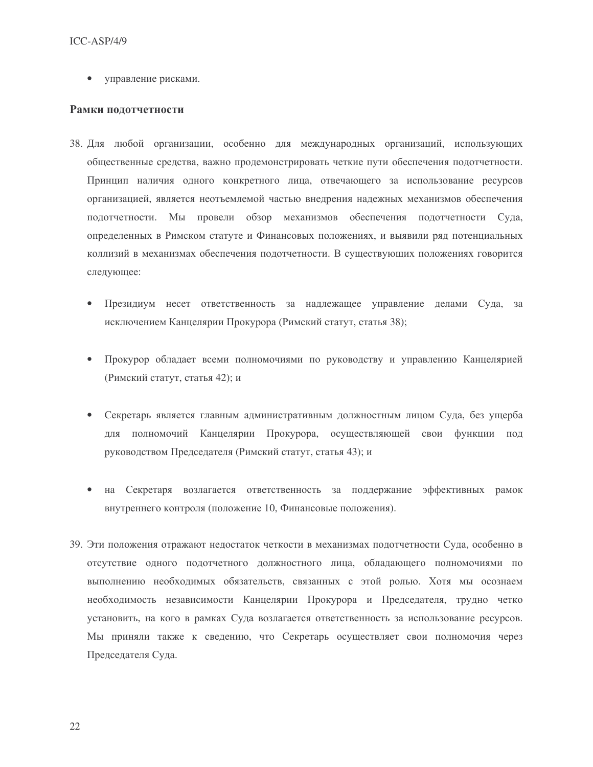• управление рисками.

#### Рамки подотчетности

- 38. Для любой организации, особенно для международных организаций, использующих общественные средства, важно продемонстрировать четкие пути обеспечения подотчетности. Принцип наличия одного конкретного лица, отвечающего за использование ресурсов организацией, является неотъемлемой частью внедрения надежных механизмов обеспечения подотчетности. Мы провели обзор механизмов обеспечения подотчетности Суда, определенных в Римском статуте и Финансовых положениях, и выявили ряд потенциальных коллизий в механизмах обеспечения подотчетности. В существующих положениях говорится следующее:
	- Президиум несет ответственность за надлежащее управление делами Суда, за исключением Канцелярии Прокурора (Римский статут, статья 38);
	- Прокурор обладает всеми полномочиями по руководству и управлению Канцелярией  $\bullet$ (Римский статут, статья 42); и
	- Секретарь является главным административным должностным лицом Суда, без ущерба полномочий Канцелярии Прокурора, осуществляющей свои функции под ЛЛЯ руководством Председателя (Римский статут, статья 43); и
	- на Секретаря возлагается ответственность за поддержание эффективных рамок внутреннего контроля (положение 10, Финансовые положения).
- 39. Эти положения отражают недостаток четкости в механизмах подотчетности Суда, особенно в отсутствие одного подотчетного должностного лица, обладающего полномочиями по выполнению необходимых обязательств, связанных с этой ролью. Хотя мы осознаем необходимость независимости Канцелярии Прокурора и Председателя, трудно четко установить, на кого в рамках Суда возлагается ответственность за использование ресурсов. Мы приняли также к сведению, что Секретарь осуществляет свои полномочия через Председателя Суда.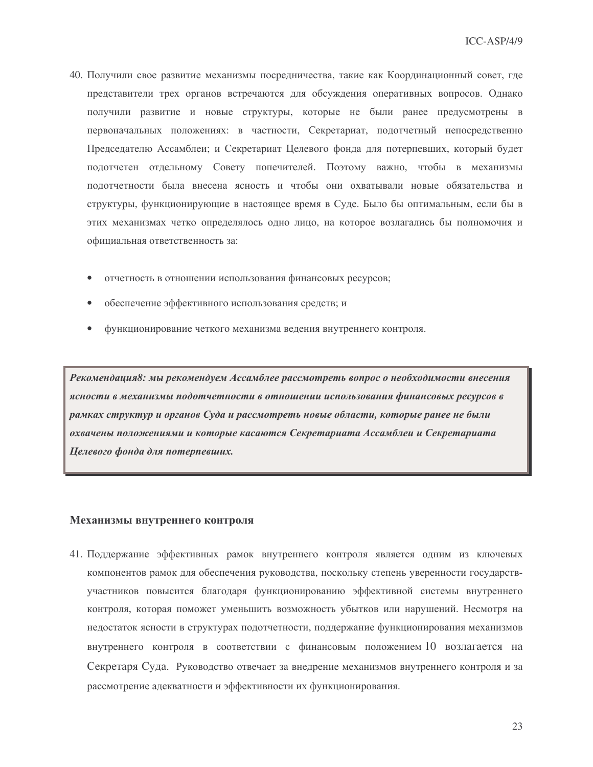- 40. Получили свое развитие механизмы посредничества, такие как Координационный совет, где представители трех органов встречаются для обсуждения оперативных вопросов. Однако получили развитие и новые структуры, которые не были ранее предусмотрены в первоначальных положениях: в частности, Секретариат, подотчетный непосредственно Председателю Ассамблеи; и Секретариат Целевого фонда для потерпевших, который будет подотчетен отдельному Совету попечителей. Поэтому важно, чтобы в механизмы подотчетности была внесена ясность и чтобы они охватывали новые обязательства и структуры, функционирующие в настоящее время в Суде. Было бы оптимальным, если бы в этих механизмах четко определялось одно лицо, на которое возлагались бы полномочия и официальная ответственность за:
	- отчетность в отношении использования финансовых ресурсов;
	- обеспечение эффективного использования средств; и
	- функционирование четкого механизма ведения внутреннего контроля.

Рекомендация8: мы рекомендуем Ассамблее рассмотреть вопрос о необходимости внесения ясности в механизмы подотчетности в отношении использования финансовых ресурсов в рамках структур и органов Суда и рассмотреть новые области, которые ранее не были охвачены положениями и которые касаются Секретариата Ассамблеи и Секретариата Целевого фонда для потерпевших.

#### Механизмы внутреннего контроля

41. Поддержание эффективных рамок внутреннего контроля является одним из ключевых компонентов рамок для обеспечения руководства, поскольку степень уверенности государствучастников повысится благодаря функционированию эффективной системы внутреннего контроля, которая поможет уменьшить возможность убытков или нарушений. Несмотря на недостаток ясности в структурах подотчетности, поддержание функционирования механизмов внутреннего контроля в соответствии с финансовым положением 10 возлагается на Секретаря Суда. Руководство отвечает за внедрение механизмов внутреннего контроля и за рассмотрение адекватности и эффективности их функционирования.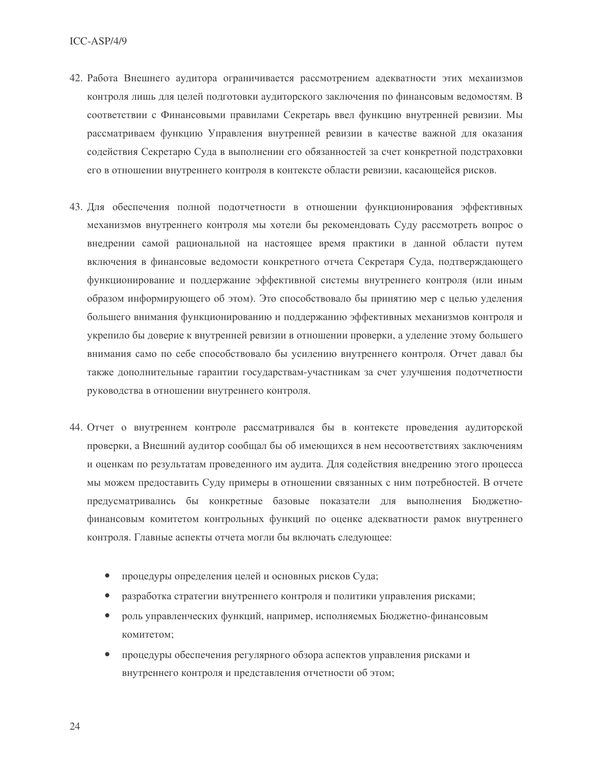- 42. Работа Внешнего аудитора ограничивается рассмотрением адекватности этих механизмов контроля лишь для целей подготовки аудиторского заключения по финансовым ведомостям. В соответствии с Финансовыми правилами Секретарь ввел функцию внутренней ревизии. Мы рассматриваем функцию Управления внутренней ревизии в качестве важной для оказания содействия Секретарю Суда в выполнении его обязанностей за счет конкретной подстраховки его в отношении внутреннего контроля в контексте области ревизии, касающейся рисков.
- 43. Для обеспечения полной подотчетности в отношении функционирования эффективных механизмов внутреннего контроля мы хотели бы рекомендовать Суду рассмотреть вопрос о внедрении самой рациональной на настоящее время практики в данной области путем включения в финансовые ведомости конкретного отчета Секретаря Суда, подтверждающего функционирование и поддержание эффективной системы внутреннего контроля (или иным образом информирующего об этом). Это способствовало бы принятию мер с целью уделения большего внимания функционированию и поддержанию эффективных механизмов контроля и укрепило бы доверие к внутренней ревизии в отношении проверки, а уделение этому большего внимания само по себе способствовало бы усилению внутреннего контроля. Отчет давал бы также дополнительные гарантии государствам-участникам за счет улучшения подотчетности руководства в отношении внутреннего контроля.
- 44. Отчет о внутреннем контроле рассматривался бы в контексте проведения аудиторской проверки, а Внешний аудитор сообщал бы об имеющихся в нем несоответствиях заключениям и оценкам по результатам проведенного им аудита. Для содействия внедрению этого процесса мы можем предоставить Суду примеры в отношении связанных с ним потребностей. В отчете предусматривались бы конкретные базовые показатели для выполнения Бюджетнофинансовым комитетом контрольных функций по оценке адекватности рамок внутреннего контроля. Главные аспекты отчета могли бы включать следующее:
	- процедуры определения целей и основных рисков Суда;  $\bullet$
	- разработка стратегии внутреннего контроля и политики управления рисками;  $\bullet$
	- роль управленческих функций, например, исполняемых Бюджетно-финансовым  $\bullet$ комитетом;
	- $\bullet$ процедуры обеспечения регулярного обзора аспектов управления рисками и внутреннего контроля и представления отчетности об этом;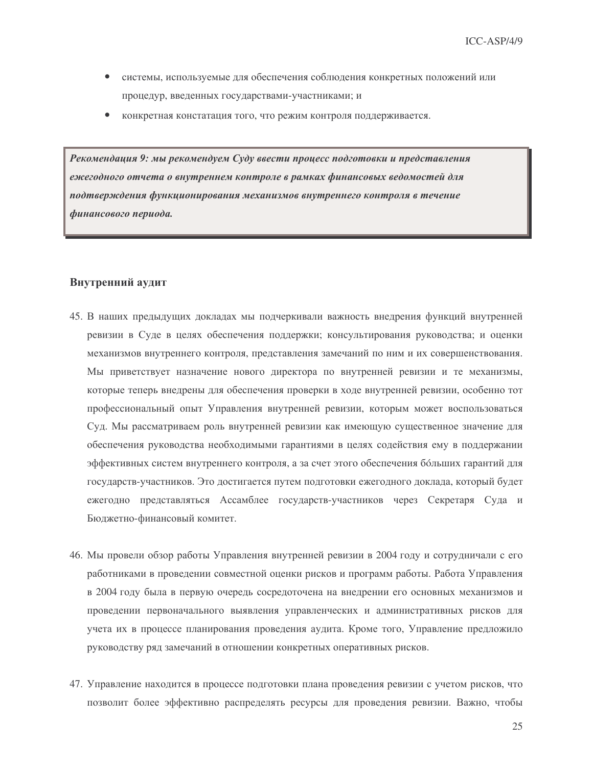- системы, используемые для обеспечения соблюдения конкретных положений или процедур, введенных государствами-участниками; и
- конкретная констатация того, что режим контроля поддерживается.

Рекомендация 9: мы рекомендуем Суду ввести процесс подготовки и представления ежегодного отчета о внутреннем контроле в рамках финансовых ведомостей для подтверждения функционирования механизмов внутреннего контроля в течение финансового периода.

#### Внутренний аудит

- 45. В наших предыдущих докладах мы подчеркивали важность внедрения функций внутренней ревизии в Суде в целях обеспечения поддержки; консультирования руководства; и оценки механизмов внутреннего контроля, представления замечаний по ним и их совершенствования. Мы приветствует назначение нового директора по внутренней ревизии и те механизмы, которые теперь внедрены для обеспечения проверки в ходе внутренней ревизии, особенно тот профессиональный опыт Управления внутренней ревизии, которым может воспользоваться Суд. Мы рассматриваем роль внутренней ревизии как имеющую существенное значение для обеспечения руководства необходимыми гарантиями в целях содействия ему в поддержании эффективных систем внутреннего контроля, а за счет этого обеспечения больших гарантий для государств-участников. Это достигается путем подготовки ежегодного доклада, который будет ежегодно представляться Ассамблее государств-участников через Секретаря Суда и Бюджетно-финансовый комитет.
- 46. Мы провели обзор работы Управления внутренней ревизии в 2004 году и сотрудничали с его работниками в проведении совместной оценки рисков и программ работы. Работа Управления в 2004 году была в первую очередь сосредоточена на внедрении его основных механизмов и проведении первоначального выявления управленческих и административных рисков для учета их в процессе планирования проведения аудита. Кроме того, Управление предложило руководству ряд замечаний в отношении конкретных оперативных рисков.
- 47. Управление находится в процессе подготовки плана проведения ревизии с учетом рисков, что позволит более эффективно распределять ресурсы для проведения ревизии. Важно, чтобы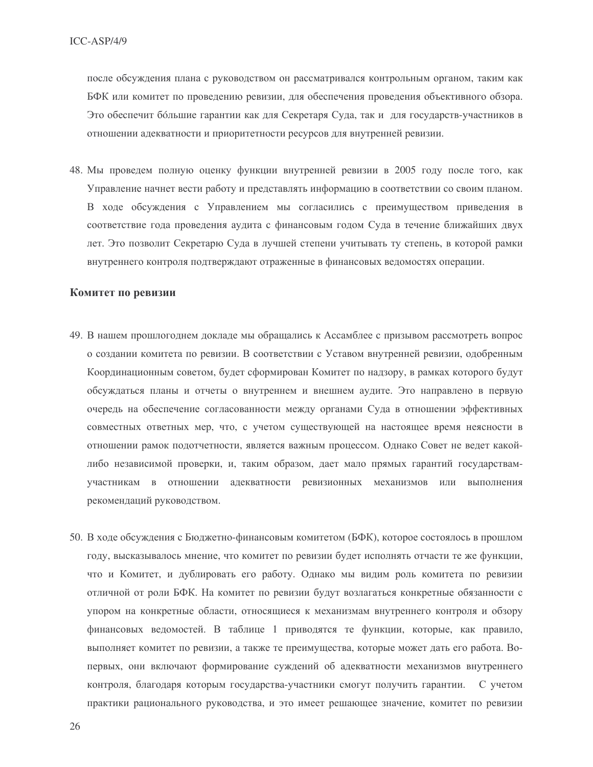после обсуждения плана с руководством он рассматривался контрольным органом, таким как БФК или комитет по проведению ревизии, для обеспечения проведения объективного обзора. Это обеспечит бо́льшие гарантии как для Секретаря Суда, так и для государств-участников в отношении адекватности и приоритетности ресурсов для внутренней ревизии.

48. Мы проведем полную оценку функции внутренней ревизии в 2005 году после того, как Управление начнет вести работу и представлять информацию в соответствии со своим планом. В ходе обсуждения с Управлением мы согласились с преимуществом приведения в соответствие года проведения аудита с финансовым годом Суда в течение ближайших двух лет. Это позволит Секретарю Суда в лучшей степени учитывать ту степень, в которой рамки внутреннего контроля подтверждают отраженные в финансовых ведомостях операции.

#### Комитет по ревизии

- 49. В нашем прошлогоднем докладе мы обращались к Ассамблее с призывом рассмотреть вопрос о создании комитета по ревизии. В соответствии с Уставом внутренней ревизии, одобренным Координационным советом, будет сформирован Комитет по надзору, в рамках которого будут обсуждаться планы и отчеты о внутреннем и внешнем аудите. Это направлено в первую очередь на обеспечение согласованности между органами Суда в отношении эффективных совместных ответных мер, что, с учетом существующей на настоящее время неясности в отношении рамок подотчетности, является важным процессом. Однако Совет не ведет какойлибо независимой проверки, и, таким образом, дает мало прямых гарантий государствамучастникам в отношении адекватности ревизионных механизмов или выполнения рекомендаций руководством.
- 50. В ходе обсуждения с Бюджетно-финансовым комитетом (БФК), которое состоялось в прошлом году, высказывалось мнение, что комитет по ревизии будет исполнять отчасти те же функции, что и Комитет, и дублировать его работу. Однако мы видим роль комитета по ревизии отличной от роли БФК. На комитет по ревизии будут возлагаться конкретные обязанности с упором на конкретные области, относящиеся к механизмам внутреннего контроля и обзору финансовых ведомостей. В таблице 1 приводятся те функции, которые, как правило, выполняет комитет по ревизии, а также те преимущества, которые может дать его работа. Вопервых, они включают формирование суждений об адекватности механизмов внутреннего контроля, благодаря которым государства-участники смогут получить гарантии. С учетом практики рационального руководства, и это имеет решающее значение, комитет по ревизии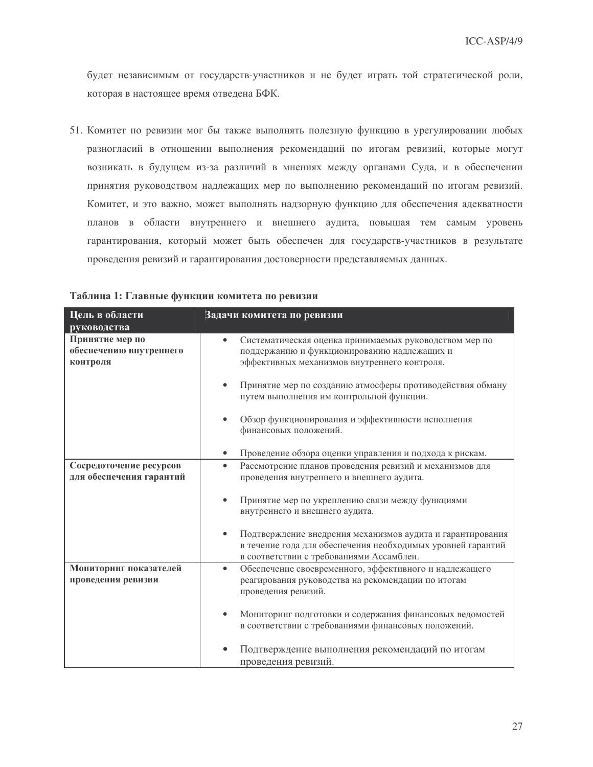будет независимым от государств-участников и не будет играть той стратегической роли, которая в настоящее время отведена БФК.

51. Комитет по ревизии мог бы также выполнять полезную функцию в урегулировании любых разногласий в отношении выполнения рекомендаций по итогам ревизий, которые могут возникать в будущем из-за различий в мнениях между органами Суда, и в обеспечении принятия руководством надлежащих мер по выполнению рекомендаций по итогам ревизий. Комитет, и это важно, может выполнять надзорную функцию для обеспечения адекватности планов в области внутреннего и внешнего аудита, повышая тем самым уровень гарантирования, который может быть обеспечен для государств-участников в результате проведения ревизий и гарантирования достоверности представляемых данных.

| Цель в области                                         | Задачи комитета по ревизии                                                                                                                                            |
|--------------------------------------------------------|-----------------------------------------------------------------------------------------------------------------------------------------------------------------------|
| руководства                                            |                                                                                                                                                                       |
| Принятие мер по<br>обеспечению внутреннего<br>контроля | Систематическая оценка принимаемых руководством мер по<br>$\bullet$<br>поддержанию и функционированию надлежащих и<br>эффективных механизмов внутреннего контроля.    |
|                                                        | Принятие мер по созданию атмосферы противодействия обману<br>путем выполнения им контрольной функции.                                                                 |
|                                                        | Обзор функционирования и эффективности исполнения<br>финансовых положений.                                                                                            |
|                                                        | Проведение обзора оценки управления и подхода к рискам.                                                                                                               |
| Сосредоточение ресурсов<br>для обеспечения гарантий    | Рассмотрение планов проведения ревизий и механизмов для<br>$\bullet$<br>проведения внутреннего и внешнего аудита.                                                     |
|                                                        | Принятие мер по укреплению связи между функциями<br>внутреннего и внешнего аудита.                                                                                    |
|                                                        | Подтверждение внедрения механизмов аудита и гарантирования<br>в течение года для обеспечения необходимых уровней гарантий<br>в соответствии с требованиями Ассамблеи. |
| Мониторинг показателей<br>проведения ревизии           | Обеспечение своевременного, эффективного и надлежащего<br>реагирования руководства на рекомендации по итогам<br>проведения ревизий.                                   |
|                                                        | Мониторинг подготовки и содержания финансовых ведомостей<br>в соответствии с требованиями финансовых положений.                                                       |
|                                                        | Подтверждение выполнения рекомендаций по итогам<br>проведения ревизий.                                                                                                |

#### Таблица 1: Главные функции комитета по ревизии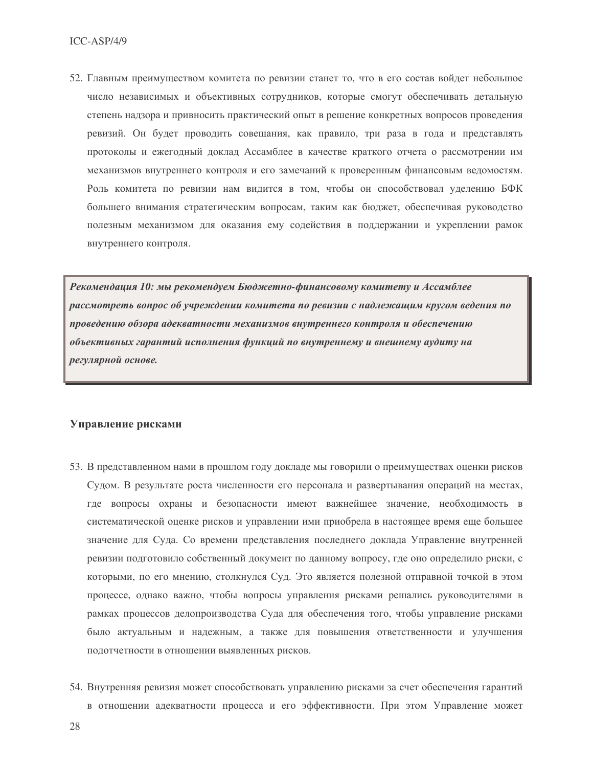52. Главным преимуществом комитета по ревизии станет то, что в его состав войдет небольшое число независимых и объективных сотрудников, которые смогут обеспечивать детальную степень надзора и привносить практический опыт в решение конкретных вопросов проведения ревизий. Он будет проводить совещания, как правило, три раза в года и представлять протоколы и ежегодный доклад Ассамблее в качестве краткого отчета о рассмотрении им механизмов внутреннего контроля и его замечаний к проверенным финансовым ведомостям. Роль комитета по ревизии нам видится в том, чтобы он способствовал уделению БФК большего внимания стратегическим вопросам, таким как бюджет, обеспечивая руководство полезным механизмом для оказания ему содействия в поддержании и укреплении рамок внутреннего контроля.

Рекомендация 10: мы рекомендуем Бюджетно-финансовому комитету и Ассамблее рассмотреть вопрос об учреждении комитета по ревизии с надлежащим кругом ведения по проведению обзора адекватности механизмов внутреннего контроля и обеспечению объективных гарантий исполнения функций по внутреннему и внешнему аудиту на регулярной основе.

#### Управление рисками

- 53. В представленном нами в прошлом году докладе мы говорили о преимуществах оценки рисков Судом. В результате роста численности его персонала и развертывания операций на местах, где вопросы охраны и безопасности имеют важнейшее значение, необходимость в систематической оценке рисков и управлении ими приобрела в настоящее время еще большее значение для Суда. Со времени представления последнего доклада Управление внутренней ревизии подготовило собственный документ по данному вопросу, где оно определило риски, с которыми, по его мнению, столкнулся Суд. Это является полезной отправной точкой в этом процессе, однако важно, чтобы вопросы управления рисками решались руководителями в рамках процессов делопроизводства Суда для обеспечения того, чтобы управление рисками было актуальным и надежным, а также для повышения ответственности и улучшения подотчетности в отношении выявленных рисков.
- 54. Внутренняя ревизия может способствовать управлению рисками за счет обеспечения гарантий в отношении адекватности процесса и его эффективности. При этом Управление может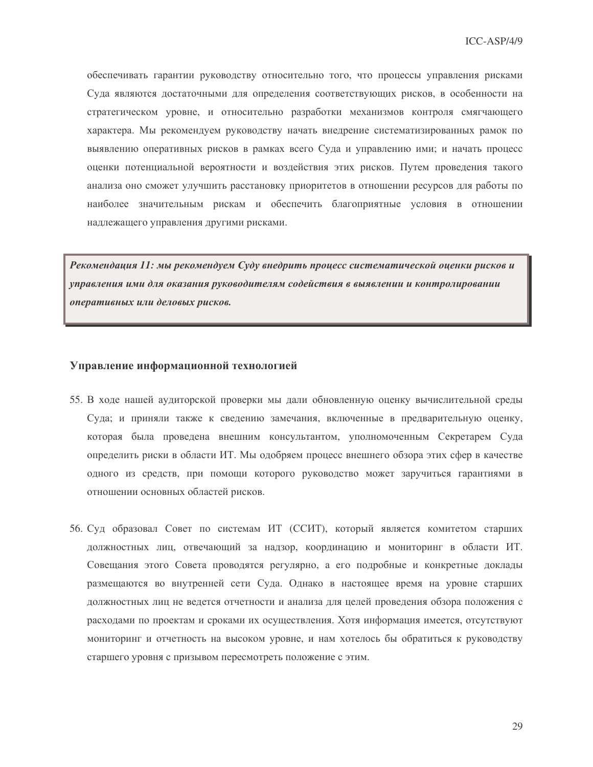обеспечивать гарантии руководству относительно того, что процессы управления рисками Суда являются достаточными для определения соответствующих рисков, в особенности на стратегическом уровне, и относительно разработки механизмов контроля смягчающего характера. Мы рекомендуем руководству начать внедрение систематизированных рамок по выявлению оперативных рисков в рамках всего Суда и управлению ими; и начать процесс оценки потенциальной вероятности и воздействия этих рисков. Путем проведения такого анализа оно сможет улучшить расстановку приоритетов в отношении ресурсов для работы по наиболее значительным рискам и обеспечить благоприятные условия в отношении надлежащего управления другими рисками.

Рекомендация 11: мы рекомендуем Суду внедрить процесс систематической оценки рисков и управления ими для оказания руководителям содействия в выявлении и контролировании оперативных или деловых рисков.

#### Управление информационной технологией

- 55. В ходе нашей аудиторской проверки мы дали обновленную оценку вычислительной среды Суда; и приняли также к сведению замечания, включенные в предварительную оценку, которая была проведена внешним консультантом, уполномоченным Секретарем Суда определить риски в области ИТ. Мы одобряем процесс внешнего обзора этих сфер в качестве одного из средств, при помощи которого руководство может заручиться гарантиями в отношении основных областей рисков.
- 56. Суд образовал Совет по системам ИТ (ССИТ), который является комитетом старших должностных лиц, отвечающий за надзор, координацию и мониторинг в области ИТ. Совещания этого Совета проводятся регулярно, а его подробные и конкретные доклады размещаются во внутренней сети Суда. Однако в настоящее время на уровне старших должностных лиц не ведется отчетности и анализа для целей проведения обзора положения с расходами по проектам и сроками их осуществления. Хотя информация имеется, отсутствуют мониторинг и отчетность на высоком уровне, и нам хотелось бы обратиться к руководству старшего уровня с призывом пересмотреть положение с этим.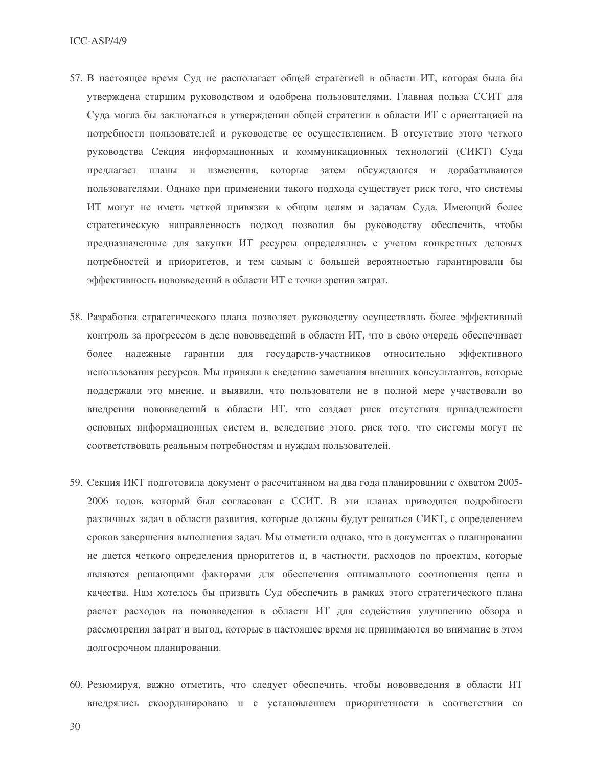- 57. В настоящее время Суд не располагает общей стратегией в области ИТ, которая была бы утверждена старшим руководством и одобрена пользователями. Главная польза ССИТ для Суда могла бы заключаться в утверждении общей стратегии в области ИТ с ориентацией на потребности пользователей и руководстве ее осуществлением. В отсутствие этого четкого руководства Секция информационных и коммуникационных технологий (СИКТ) Суда предлагает планы и изменения, которые затем обсуждаются и дорабатываются пользователями. Однако при применении такого подхода существует риск того, что системы ИТ могут не иметь четкой привязки к общим целям и задачам Суда. Имеющий более стратегическую направленность подход позволил бы руководству обеспечить, чтобы предназначенные для закупки ИТ ресурсы определялись с учетом конкретных деловых потребностей и приоритетов, и тем самым с большей вероятностью гарантировали бы эффективность нововведений в области ИТ с точки зрения затрат.
- 58. Разработка стратегического плана позволяет руководству осуществлять более эффективный контроль за прогрессом в деле нововведений в области ИТ, что в свою очередь обеспечивает надежные гарантии для государств-участников относительно эффективного более использования ресурсов. Мы приняли к сведению замечания внешних консультантов, которые поддержали это мнение, и выявили, что пользователи не в полной мере участвовали во внедрении нововведений в области ИТ, что создает риск отсутствия принадлежности основных информационных систем и, вследствие этого, риск того, что системы могут не соответствовать реальным потребностям и нуждам пользователей.
- 59. Секция ИКТ подготовила документ о рассчитанном на два года планировании с охватом 2005-2006 годов, который был согласован с ССИТ. В эти планах приводятся подробности различных задач в области развития, которые должны будут решаться СИКТ, с определением сроков завершения выполнения задач. Мы отметили однако, что в документах о планировании не дается четкого определения приоритетов и, в частности, расходов по проектам, которые являются решающими факторами для обеспечения оптимального соотношения цены и качества. Нам хотелось бы призвать Суд обеспечить в рамках этого стратегического плана расчет расходов на нововведения в области ИТ для содействия улучшению обзора и рассмотрения затрат и выгод, которые в настоящее время не принимаются во внимание в этом долгосрочном планировании.
- 60. Резюмируя, важно отметить, что следует обеспечить, чтобы нововведения в области ИТ внедрялись скоординировано и с установлением приоритетности в соответствии со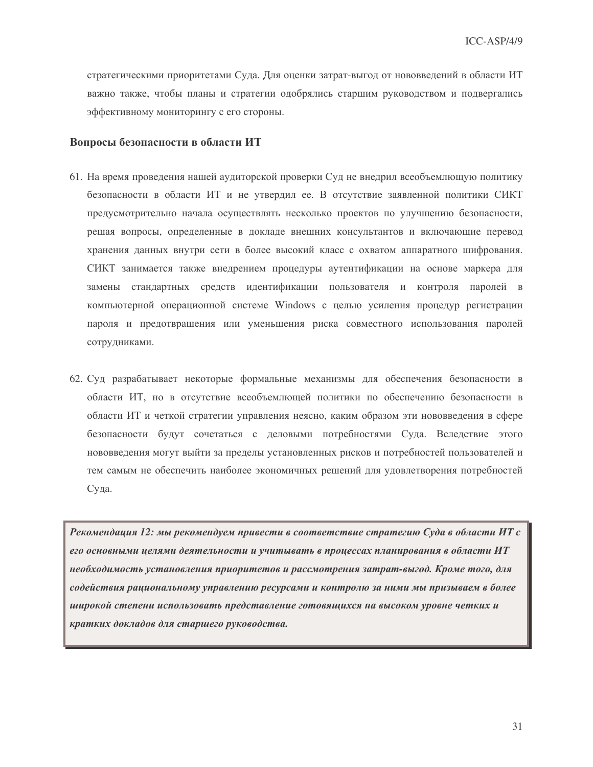стратегическими приоритетами Суда. Для оценки затрат-выгод от нововведений в области ИТ важно также, чтобы планы и стратегии одобрялись старшим руководством и подвергались эффективному мониторингу с его стороны.

#### Вопросы безопасности в области ИТ

- 61. На время проведения нашей аудиторской проверки Суд не внедрил всеобъемлющую политику безопасности в области ИТ и не утвердил ее. В отсутствие заявленной политики СИКТ предусмотрительно начала осуществлять несколько проектов по улучшению безопасности, решая вопросы, определенные в докладе внешних консультантов и включающие перевод хранения данных внутри сети в более высокий класс с охватом аппаратного шифрования. СИКТ занимается также внедрением процедуры аутентификации на основе маркера для замены стандартных средств идентификации пользователя и контроля паролей в компьютерной операционной системе Windows с целью усиления процедур регистрации пароля и предотвращения или уменьшения риска совместного использования паролей сотрудниками.
- 62. Суд разрабатывает некоторые формальные механизмы для обеспечения безопасности в области ИТ, но в отсутствие всеобъемлющей политики по обеспечению безопасности в области ИТ и четкой стратегии управления неясно, каким образом эти нововведения в сфере безопасности будут сочетаться с деловыми потребностями Суда. Вследствие этого нововведения могут выйти за пределы установленных рисков и потребностей пользователей и тем самым не обеспечить наиболее экономичных решений для удовлетворения потребностей Суда.

Рекомендация 12: мы рекомендуем привести в соответствие стратегию Суда в области ИТ с его основными целями деятельности и учитывать в процессах планирования в области ИТ необходимость установления приоритетов и рассмотрения затрат-выгод. Кроме того, для содействия рациональному управлению ресурсами и контролю за ними мы призываем в более широкой степени использовать представление готовяшихся на высоком уровне четких и кратких докладов для старшего руководства.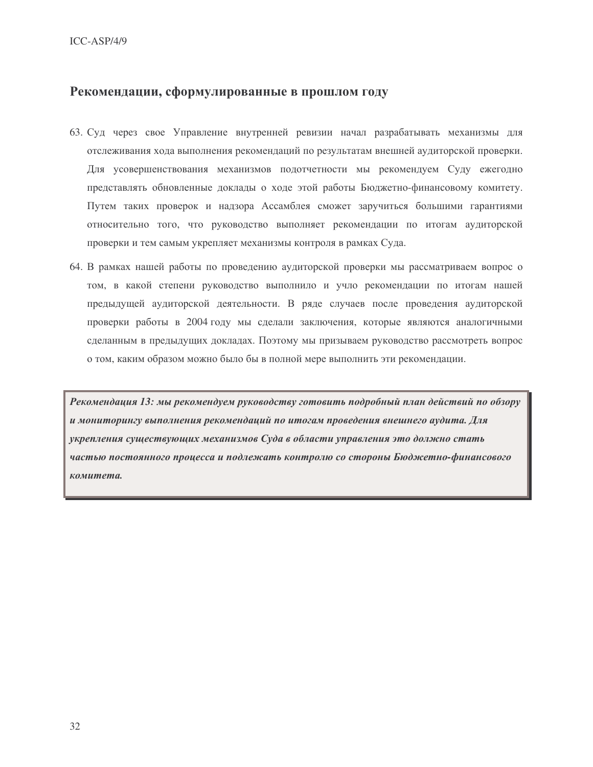#### Рекомендации, сформулированные в прошлом году

- 63. Суд через свое Управление внутренней ревизии начал разрабатывать механизмы для отслеживания хода выполнения рекомендаций по результатам внешней аудиторской проверки. Для усовершенствования механизмов подотчетности мы рекомендуем Суду ежегодно представлять обновленные доклады о ходе этой работы Бюджетно-финансовому комитету. Путем таких проверок и надзора Ассамблея сможет заручиться большими гарантиями относительно того, что руководство выполняет рекомендации по итогам аудиторской проверки и тем самым укрепляет механизмы контроля в рамках Суда.
- 64. В рамках нашей работы по проведению аудиторской проверки мы рассматриваем вопрос о том, в какой степени руководство выполнило и учло рекомендации по итогам нашей предыдущей аудиторской деятельности. В ряде случаев после проведения аудиторской проверки работы в 2004 году мы сделали заключения, которые являются аналогичными сделанным в предыдущих докладах. Поэтому мы призываем руководство рассмотреть вопрос о том, каким образом можно было бы в полной мере выполнить эти рекомендации.

Рекомендация 13: мы рекомендуем руководству готовить подробный план действий по обзору и мониторингу выполнения рекомендаций по итогам проведения внешнего аудита. Для укрепления существующих механизмов Суда в области управления это должно стать частью постоянного процесса и подлежать контролю со стороны Бюджетно-финансового комитета.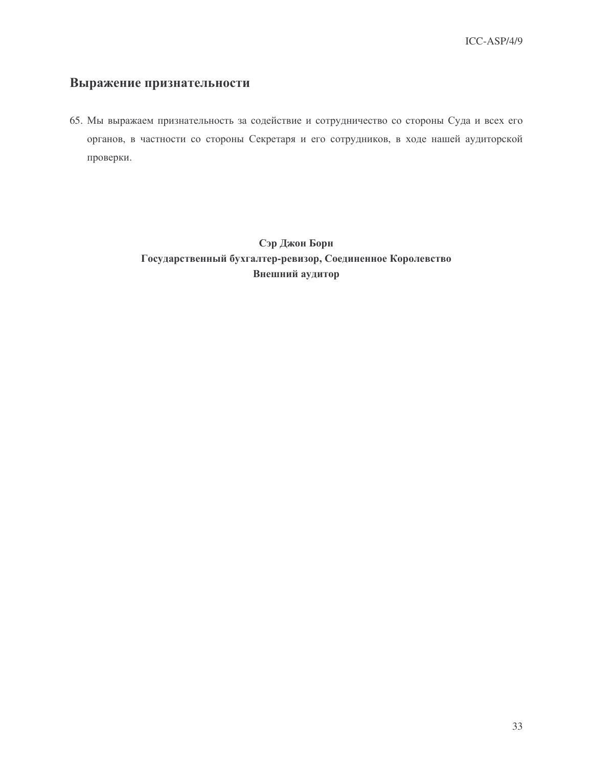## Выражение признательности

65. Мы выражаем признательность за содействие и сотрудничество со стороны Суда и всех его органов, в частности со стороны Секретаря и его сотрудников, в ходе нашей аудиторской проверки.

> Сэр Джон Борн Государственный бухгалтер-ревизор, Соединенное Королевство Внешний аудитор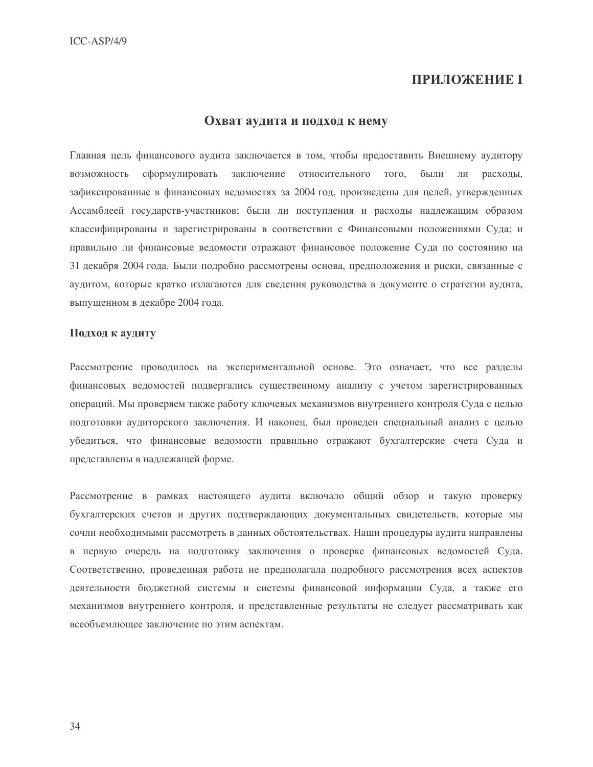#### **ПРИЛОЖЕНИЕ І**

#### Охват аудита и подход к нему

Главная цель финансового аудита заключается в том, чтобы предоставить Внешнему аудитору возможность сформулировать заключение относительного того, были ли расходы, зафиксированные в финансовых ведомостях за 2004 год, произведены для целей, утвержденных Ассамблеей государств-участников; были ли поступления и расходы надлежащим образом классифицированы и зарегистрированы в соответствии с Финансовыми положениями Суда; и правильно ли финансовые ведомости отражают финансовое положение Суда по состоянию на 31 декабря 2004 года. Были подробно рассмотрены основа, предположения и риски, связанные с аудитом, которые кратко излагаются для сведения руководства в документе о стратегии аудита, выпущенном в декабре 2004 года.

#### Подход к аудиту

Рассмотрение проводилось на экспериментальной основе. Это означает, что все разделы финансовых ведомостей подвергались существенному анализу с учетом зарегистрированных операций. Мы проверяем также работу ключевых механизмов внутреннего контроля Суда с целью подготовки аудиторского заключения. И наконец, был проведен специальный анализ с целью убедиться, что финансовые ведомости правильно отражают бухгалтерские счета Суда и представлены в надлежащей форме.

Рассмотрение в рамках настоящего аудита включало общий обзор и такую проверку бухгалтерских счетов и других подтверждающих документальных свидетельств, которые мы сочли необходимыми рассмотреть в данных обстоятельствах. Наши процедуры аудита направлены в первую очередь на подготовку заключения о проверке финансовых ведомостей Суда. Соответственно, проведенная работа не предполагала подробного рассмотрения всех аспектов деятельности бюджетной системы и системы финансовой информации Суда, а также его механизмов внутреннего контроля, и представленные результаты не следует рассматривать как всеобъемлющее заключение по этим аспектам.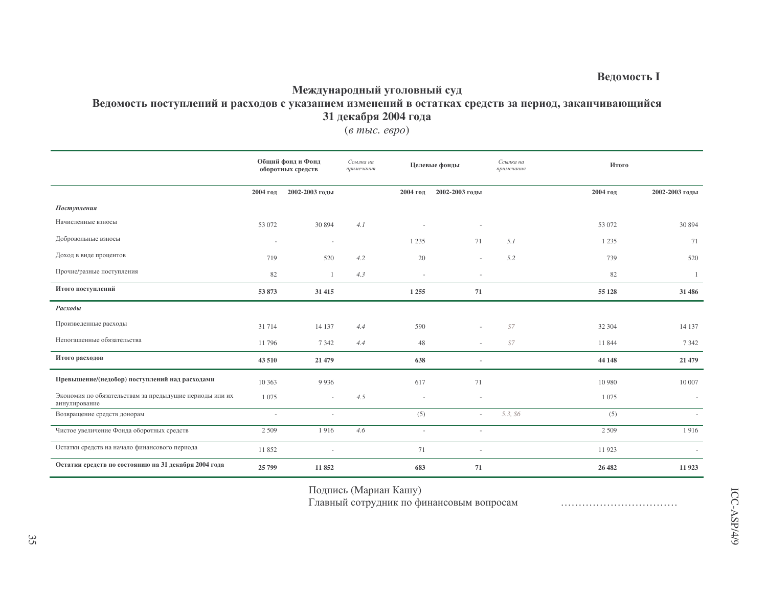#### **Ведомость I**

#### Международный уголовный суд

#### Ведомость поступлений и расходов с указанием изменений в остатках средств за период, заканчивающийся 31 декабря 2004 года

 $(\textit{6 molc.} \textit{e6po})$ 

|                                                                          |          | Общий фонд и Фонд<br>оборотных средств | Ссылка на<br>примечания |                          | Целевые фонды            | Ссылка на<br>примечания | Итого    |                          |
|--------------------------------------------------------------------------|----------|----------------------------------------|-------------------------|--------------------------|--------------------------|-------------------------|----------|--------------------------|
|                                                                          | 2004 год | 2002-2003 голы                         |                         | 2004 год                 | 2002-2003 голы           |                         | 2004 год | 2002-2003 голы           |
| Поступления                                                              |          |                                        |                         |                          |                          |                         |          |                          |
| Начисленные взносы                                                       | 53 072   | 30 894                                 | 4.1                     | ٠                        | $\overline{\phantom{a}}$ |                         | 53 072   | 30 894                   |
| Добровольные взносы                                                      | $\sim$   | ×.                                     |                         | 1 2 3 5                  | 71                       | 5.1                     | 1 2 3 5  | 71                       |
| Доход в виде процентов                                                   | 719      | 520                                    | 4.2                     | 20                       | $\sim$                   | 5.2                     | 739      | 520                      |
| Прочие/разные поступления                                                | 82       | $\mathbf{1}$                           | 4.3                     | $\sim$                   | $\sim$                   |                         | 82       |                          |
| Итого поступлений                                                        | 53 873   | 31 415                                 |                         | 1 2 5 5                  | 71                       |                         | 55 128   | 31 486                   |
| Расходы                                                                  |          |                                        |                         |                          |                          |                         |          |                          |
| Произведенные расходы                                                    | 31 7 14  | 14 137                                 | 4.4                     | 590                      | $\overline{\phantom{a}}$ | S7                      | 32 304   | 14 137                   |
| Непогашенные обязательства                                               | 11796    | 7 3 4 2                                | 4.4                     | 48                       | $\sim$                   | S7                      | 11 844   | 7 3 4 2                  |
| Итого расходов                                                           | 43 510   | 21 479                                 |                         | 638                      | $\sim$                   |                         | 44 148   | 21 479                   |
| Превышение/(недобор) поступлений над расходами                           | 10 363   | 9936                                   |                         | 617                      | 71                       |                         | 10 980   | 10 007                   |
| Экономия по обязательствам за предыдущие периоды или их<br>аннулирование | 1 0 7 5  | $\sim$                                 | 4.5                     | $\overline{\phantom{a}}$ | $\sim$                   |                         | 1 0 7 5  | $\overline{\phantom{a}}$ |
| Возвращение средств донорам                                              | $\sim$   | $\sim$                                 |                         | (5)                      | ÷.                       | 5.3, S6                 | (5)      | $\sim$                   |
| Чистое увеличение Фонда оборотных средств                                | 2 5 0 9  | 1916                                   | 4.6                     | $\sim$                   | ×,                       |                         | 2 5 0 9  | 1916                     |
| Остатки средств на начало финансового периода                            | 11852    | $\sim$                                 |                         | 71                       | $\sim$                   |                         | 11923    | $\sim$                   |
| Остатки средств по состоянию на 31 декабря 2004 года                     | 25 799   | 11852                                  |                         | 683                      | 71                       |                         | 26 482   | 11 9 23                  |

Подпись (Мариан Кашу)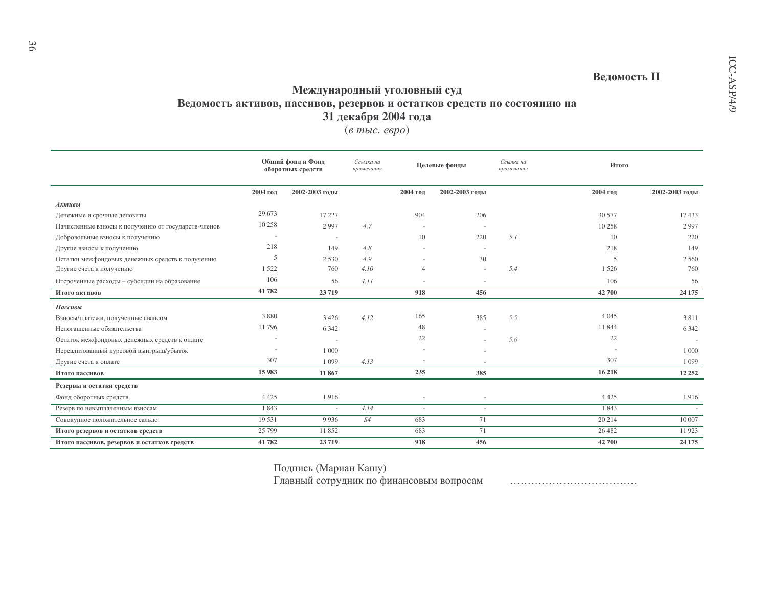#### **Ведомость II**

Международный уголовный суд

Ведомость активов, пассивов, резервов и остатков средств по состоянию на 31 декабря 2004 года

 $(\textit{6 mol.} \textit{e}$ 

|                                                     |                          | Общий фонд и Фонд<br>оборотных средств | Ссылка на<br>примечания |                | Целевые фонды            | Ссылка на<br>примечания | Итого    |                |
|-----------------------------------------------------|--------------------------|----------------------------------------|-------------------------|----------------|--------------------------|-------------------------|----------|----------------|
|                                                     | 2004 год                 | 2002-2003 годы                         |                         | 2004 год       | 2002-2003 годы           |                         | 2004 год | 2002-2003 голы |
| Активы                                              |                          |                                        |                         |                |                          |                         |          |                |
| Денежные и срочные депозиты                         | 29 673                   | 17 227                                 |                         | 904            | 206                      |                         | 30 577   | 17433          |
| Начисленные взносы к получению от государств-членов | 10 25 8                  | 2 9 9 7                                | 4.7                     |                | $\overline{\phantom{a}}$ |                         | 10 258   | 2997           |
| Добровольные взносы к получению                     | $\overline{\phantom{a}}$ |                                        |                         | 10             | 220                      | 5.1                     | 10       | 220            |
| Другие взносы к получению                           | 218                      | 149                                    | 4.8                     |                | $\sim$                   |                         | 218      | 149            |
| Остатки межфондовых денежных средств к получению    | 5                        | 2 5 3 0                                | 4.9                     |                | 30                       |                         | 5        | 2 5 6 0        |
| Другие счета к получению                            | 1522                     | 760                                    | 4.10                    | $\overline{4}$ |                          | 5.4                     | 1526     | 760            |
| Отсроченные расходы - субсидии на образование       | 106                      | 56                                     | 4.11                    |                |                          |                         | 106      | 56             |
| Итого активов                                       | 41782                    | 23719                                  |                         | 918            | 456                      |                         | 42 700   | 24 175         |
| Пассивы                                             |                          |                                        |                         |                |                          |                         |          |                |
| Взносы/платежи, полученные авансом                  | 3 8 8 0                  | 3 4 2 6                                | 4.12                    | 165            | 385                      | 5.5                     | 4 0 4 5  | 3811           |
| Непогашенные обязательства                          | 11796                    | 6 3 4 2                                |                         | 48             |                          |                         | 11 844   | 6 3 4 2        |
| Остаток межфондовых денежных средств к оплате       |                          |                                        |                         | 22             |                          | 5.6                     | 22       |                |
| Нереализованный курсовой выигрыш/убыток             |                          | 1 000                                  |                         |                |                          |                         |          | 1 0 0 0        |
| Другие счета к оплате                               | 307                      | 1 0 9 9                                | 4.13                    | $\sim$         |                          |                         | 307      | 1 0 9 9        |
| Итого пассивов                                      | 15 983                   | 11867                                  |                         | 235            | 385                      |                         | 16 218   | 12 2 5 2       |
| Резервы и остатки средств                           |                          |                                        |                         |                |                          |                         |          |                |
| Фонд оборотных средств                              | 4 4 2 5                  | 1916                                   |                         |                | $\sim$                   |                         | 4 4 2 5  | 1916           |
| Резерв по невыплаченным взносам                     | 1843                     | $\sim$                                 | 4.14                    | $\sim$         | $\sim$                   |                         | 1843     | ÷.             |
| Совокупное положительное сальдо                     | 19531                    | 9 9 3 6                                | S4                      | 683            | 71                       |                         | 20 214   | 10 007         |
| Итого резервов и остатков средств                   | 25 799                   | 11852                                  |                         | 683            | 71                       |                         | 26 4 8 2 | 11 923         |
| Итого пассивов, резервов и остатков средств         | 41782                    | 23719                                  |                         | 918            | 456                      |                         | 42 700   | 24 175         |

Подпись (Мариан Кашу)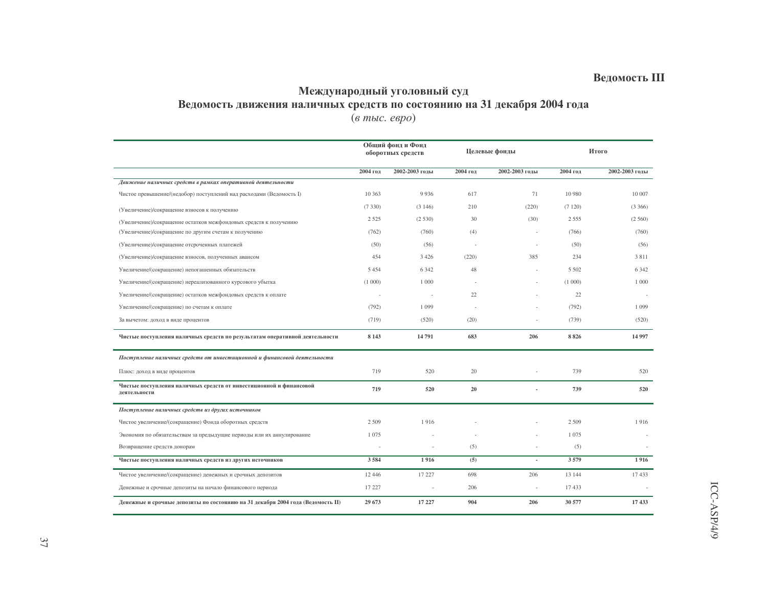#### Ведомость III

#### Международный уголовный суд

#### Ведомость движения наличных средств по состоянию на 31 декабря 2004 года

(в тыс. евро)

|                                                                                    |          | Общий фонд и Фонд<br>оборотных средств |          | Целевые фонды            | Итого    |                |
|------------------------------------------------------------------------------------|----------|----------------------------------------|----------|--------------------------|----------|----------------|
|                                                                                    | 2004 год | 2002-2003 годы                         | 2004 год | 2002-2003 годы           | 2004 год | 2002-2003 годы |
| Движение наличных средств в рамках оперативной деятельности                        |          |                                        |          |                          |          |                |
| Чистое превышение/(недобор) поступлений над расходами (Ведомость I)                | 10 363   | 9936                                   | 617      | 71                       | 10 980   | 10 007         |
| (Увеличение)/сокращение взносов к получению                                        | (7330)   | (3146)                                 | 210      | (220)                    | (7120)   | (3, 366)       |
| (Увеличение)/сокращение остатков межфондовых средств к получению                   | 2 5 2 5  | (2530)                                 | 30       | (30)                     | 2555     | (2.560)        |
| (Увеличение)/сокращение по другим счетам к получению                               | (762)    | (760)                                  | (4)      | ÷                        | (766)    | (760)          |
| (Увеличение)/сокращение отсроченных платежей                                       | (50)     | (56)                                   |          | ÷                        | (50)     | (56)           |
| (Увеличение)/сокращение взносов, полученных авансом                                | 454      | 3 4 2 6                                | (220)    | 385                      | 234      | 3811           |
| Увеличение/(сокращение) непогашенных обязательств                                  | 5 4 5 4  | 6 3 4 2                                | 48       | ÷                        | 5 5 0 2  | 6 3 4 2        |
| Увеличение/(сокращение) нереализованного курсового убытка                          | (1 000)  | 1 0 0 0                                |          |                          | (1 000)  | 1 000          |
| Увеличение/(сокращение) остатков межфондовых средств к оплате                      |          |                                        | 22       |                          | 22       |                |
| Увеличение/(сокращение) по счетам к оплате                                         | (792)    | 1 0 9 9                                |          |                          | (792)    | 1 0 9 9        |
| За вычетом: доход в виде процентов                                                 | (719)    | (520)                                  | (20)     |                          | (739)    | (520)          |
| Чистые поступления наличных средств по результатам оперативной деятельности        | 8 1 4 3  | 14791                                  | 683      | 206                      | 8826     | 14 9 9 7       |
| Поступление наличных средств от инвестиционной и финансовой деятельности           |          |                                        |          |                          |          |                |
| Плюс: доход в виде процентов                                                       | 719      | 520                                    | 20       |                          | 739      | 520            |
| Чистые поступления наличных средств от инвестиционной и финансовой<br>деятельности | 719      | 520                                    | 20       |                          | 739      | 520            |
| Поступление наличных средств из других источников                                  |          |                                        |          |                          |          |                |
| Чистое увеличение/(сокращение) Фонда оборотных средств                             | 2 5 0 9  | 1916                                   |          |                          | 2 5 0 9  | 1916           |
| Экономия по обязательствам за предыдущие периоды или их аннулирование              | 1075     |                                        |          |                          | 1075     |                |
| Возвращение средств донорам                                                        | ÷,       | $\overline{\phantom{a}}$               | (5)      |                          | (5)      |                |
| Чистые поступления наличных средств из других источников                           | 3584     | 1916                                   | (5)      | $\overline{\phantom{a}}$ | 3579     | 1916           |
| Чистое увеличение/(сокращение) денежных и срочных депозитов                        | 12 4 4 6 | 17 227                                 | 698      | 206                      | 13 144   | 17433          |
| Денежные и срочные депозиты на начало финансового периода                          | 17 227   |                                        | 206      | $\sim$                   | 17433    |                |
| Денежные и срочные депозиты по состоянию на 31 декабря 2004 года (Ведомость II)    | 29 673   | 17 227                                 | 904      | 206                      | 30 577   | 17 433         |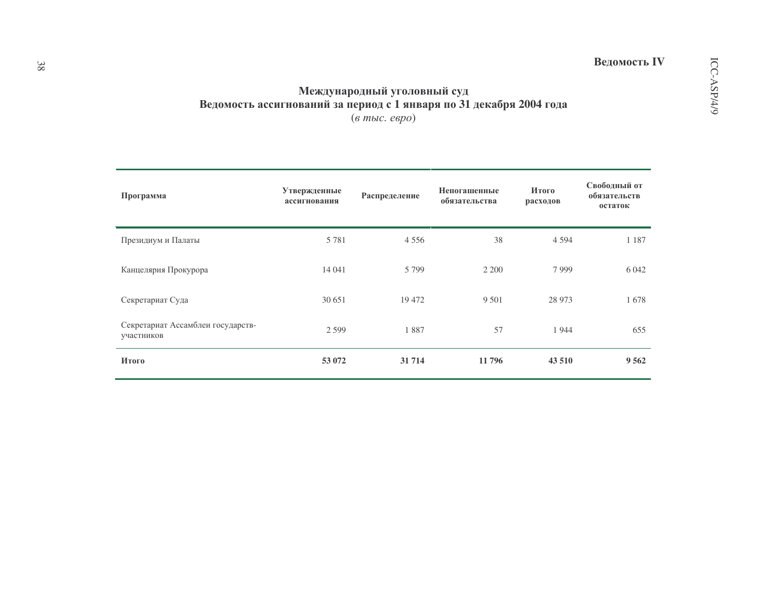#### Международный уголовный суд Ведомость ассигнований за период с 1 января по 31 декабря 2004 года (в тыс. евро)

| Программа                                       | Утвержденные<br>ассигнования | Распределение | Непогашенные<br>обязательства | Итого<br>расходов | Свободный от<br>обязательств<br>остаток |
|-------------------------------------------------|------------------------------|---------------|-------------------------------|-------------------|-----------------------------------------|
| Президиум и Палаты                              | 5781                         | 4 5 5 6       | 38                            | 4 5 9 4           | 1 1 8 7                                 |
| Канцелярия Прокурора                            | 14 04 1                      | 5799          | 2 2 0 0                       | 7999              | 6 0 4 2                                 |
| Секретариат Суда                                | 30 651                       | 19472         | 9 5 0 1                       | 28 973            | 1678                                    |
| Секретариат Ассамблеи государств-<br>участников | 2 5 9 9                      | 1887          | 57                            | 1944              | 655                                     |
| Итого                                           | 53 072                       | 31 714        | 11796                         | 43 510            | 9 5 6 2                                 |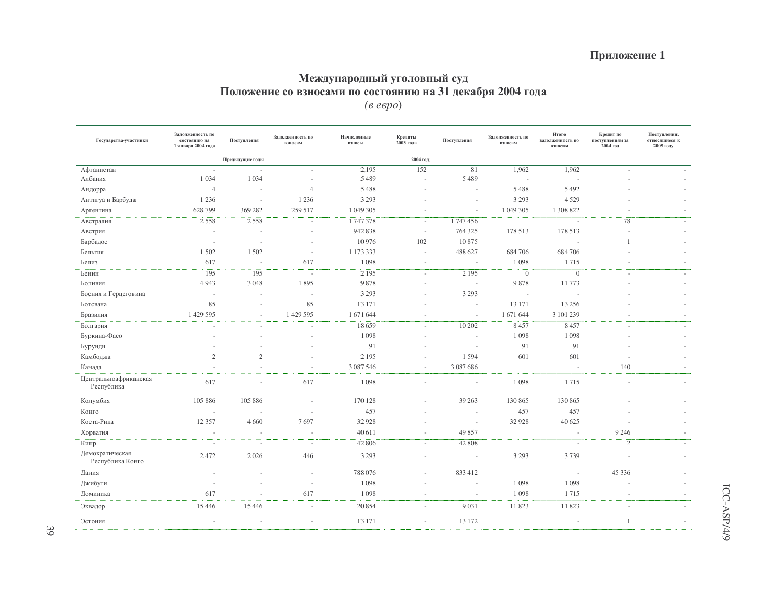## Международный уголовный суд<br>Положение со взносами по состоянию на 31 декабря 2004 года  $(eeepo)$

| Государства-участники               | Задолженность по<br>состоянию на<br>1 января 2004 года | Поступления     | Задолженность по<br>взносам | Начисленные<br>взносы | Кредиты<br>2003 года     | Поступления    | Задолженность по<br>взносам | Итого<br>задолженность по<br>взносам | Кредит по<br>поступлениям за<br>2004 год | Поступления,<br>относящиеся к<br>2005 году |
|-------------------------------------|--------------------------------------------------------|-----------------|-----------------------------|-----------------------|--------------------------|----------------|-----------------------------|--------------------------------------|------------------------------------------|--------------------------------------------|
|                                     |                                                        | Предыдущие годы |                             |                       | 2004 год                 |                |                             |                                      |                                          |                                            |
| Афганистан                          |                                                        | i.              |                             | 2,195                 | 152                      | 81             | 1,962                       | 1,962                                |                                          |                                            |
| Албания                             | 1 0 3 4                                                | 1 0 3 4         |                             | 5 4 8 9               |                          | 5 4 8 9        | $\sim$                      |                                      |                                          |                                            |
| Андорра                             | $\overline{4}$                                         |                 | $\overline{4}$              | 5 4 8 8               |                          |                | 5 4 8 8                     | 5 4 9 2                              |                                          |                                            |
| Антигуа и Барбуда                   | 1 2 3 6                                                | $\sim$          | 1 2 3 6                     | 3 2 9 3               |                          | $\sim$         | 3 2 9 3                     | 4529                                 |                                          |                                            |
| Аргентина                           | 628 799                                                | 369 282         | 259 517                     | 1 049 305             | ÷                        | $\sim$         | 1 049 305                   | 1 308 822                            | ÷                                        |                                            |
| Австралия                           | 2 5 5 8                                                | 2 5 5 8         |                             | 1747378               | ×.                       | 1747456        |                             |                                      | 78                                       |                                            |
| Австрия                             |                                                        |                 |                             | 942 838               | $\sim$                   | 764 325        | 178 513                     | 178 513                              |                                          |                                            |
| Барбадос                            |                                                        |                 |                             | 10 976                | 102                      | 10875          |                             |                                      |                                          |                                            |
| Бельгия                             | 1502                                                   | 1 502           |                             | 1 173 333             | $\sim$                   | 488 627        | 684 706                     | 684 706                              |                                          |                                            |
| Белиз                               | 617                                                    |                 | 617                         | 1 0 9 8               | $\sim$                   | $\sim$         | 1 0 9 8                     | 1715                                 |                                          |                                            |
| Бенин                               | 195                                                    | 195             |                             | 2 1 9 5               | $\overline{\phantom{a}}$ | 2 195          | $\overline{0}$              | $\overline{0}$                       |                                          |                                            |
| Боливия                             | 4 9 4 3                                                | 3 0 4 8         | 1895                        | 9878                  |                          | $\sim$         | 9878                        | 11773                                |                                          |                                            |
| Босния и Герцеговина                |                                                        |                 | ÷.                          | 3 2 9 3               |                          | 3 2 9 3        | ÷.                          |                                      |                                          |                                            |
| Ботсвана                            | 85                                                     |                 | 85                          | 13 17 1               |                          | $\overline{a}$ | 13 17 1                     | 13 25 6                              |                                          |                                            |
| Бразилия                            | 1 429 595                                              |                 | 1 429 595                   | 1 671 644             |                          | $\sim$         | 1 671 644                   | 3 101 239                            |                                          |                                            |
| Болгария                            |                                                        |                 |                             | 18 659                | $\sim$                   | 10 20 2        | 8 4 5 7                     | 8 4 5 7                              |                                          |                                            |
| Буркина-Фасо                        |                                                        |                 |                             | 1 0 9 8               |                          | $\sim$         | 1 0 9 8                     | 1 0 9 8                              |                                          |                                            |
| Бурунди                             |                                                        |                 |                             | 91                    |                          | $\sim$         | 91                          | 91                                   |                                          |                                            |
| Камбоджа                            | $\mathcal{D}_{\alpha}$                                 | $\overline{c}$  |                             | 2 1 9 5               | $\overline{\phantom{a}}$ | 1 5 9 4        | 601                         | 601                                  |                                          |                                            |
| Канада                              |                                                        |                 |                             | 3 087 546             | ÷,                       | 3 087 686      |                             | $\sim$                               | 140                                      |                                            |
| Центральноафриканская<br>Республика | 617                                                    |                 | 617                         | 1 0 9 8               |                          |                | 1 0 9 8                     | 1715                                 |                                          |                                            |
| Колумбия                            | 105 886                                                | 105 886         |                             | 170 128               |                          | 39 263         | 130 865                     | 130 865                              |                                          |                                            |
| Конго                               | ÷.                                                     | ÷.              |                             | 457                   |                          | $\sim$         | 457                         | 457                                  |                                          |                                            |
| Коста-Рика                          | 12 357                                                 | 4 6 6 0         | 7697                        | 32 9 28               |                          | $\sim$         | 32 9 28                     | 40 625                               |                                          |                                            |
| Хорватия                            |                                                        |                 | $\sim$                      | 40 611                |                          | 49 857         |                             | ÷                                    | 9 2 4 6                                  |                                            |
| Кипр                                |                                                        |                 |                             | 42 806                |                          | 42 808         |                             |                                      | 2                                        |                                            |
| Демократическая<br>Республика Конго | 2472                                                   | 2 0 2 6         | 446                         | 3 2 9 3               |                          | $\sim$         | 3 2 9 3                     | 3739                                 |                                          |                                            |
| Дания                               |                                                        |                 |                             | 788 076               |                          | 833 412        |                             | $\sim$                               | 45 3 3 6                                 |                                            |
| Джибути                             |                                                        |                 |                             | 1 0 9 8               |                          | $\sim$         | 1 0 9 8                     | 1 0 9 8                              |                                          |                                            |
| Доминика                            | 617                                                    |                 | 617                         | 1 0 9 8               | $\sim$                   | $\sim$         | 1 0 9 8                     | 1715                                 |                                          |                                            |
| Эквадор                             | 15 4 46                                                | 15 4 46         |                             | 20 854                | ÷                        | 9 0 3 1        | 11823                       | 11823                                | ä,                                       |                                            |
| Эстония                             |                                                        |                 |                             | 13 17 1               |                          | 13 172         |                             |                                      | $\overline{1}$                           |                                            |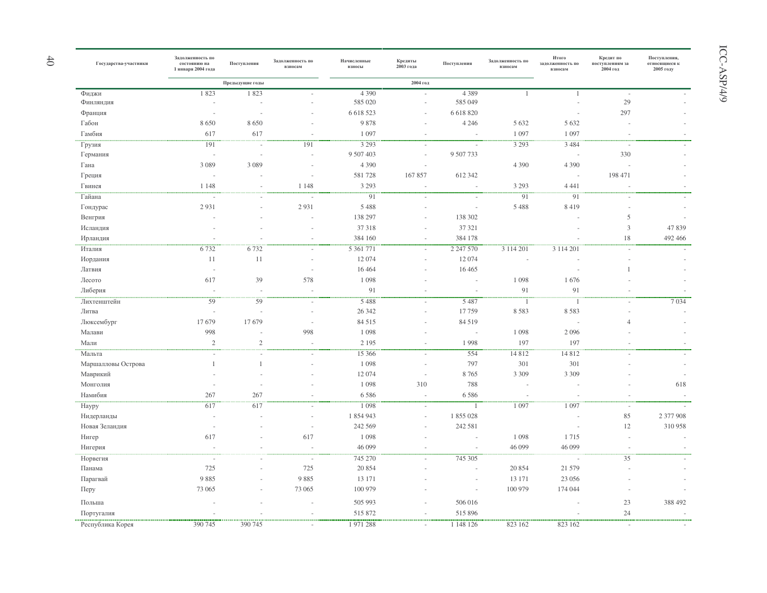| 2004 год<br>Предыдущие годы<br>1823<br>4 3 9 0<br>1823<br>4 3 8 9<br>$\mathbf{1}$<br>Фиджи<br>1<br>÷,<br>$\sim$<br>$\sim$<br>585 020<br>585 049<br>29<br>Финляндия<br>ł,<br>ä,<br>6 6 18 8 20<br>6 6 18 5 23<br>297<br>Франция<br>÷,<br>÷,<br>$\sim$<br>9878<br>Габон<br>8650<br>8 6 5 0<br>4 2 4 6<br>5 6 3 2<br>5 6 3 2<br>Гамбия<br>617<br>617<br>1 0 9 7<br>1 0 9 7<br>1 0 9 7<br>÷.<br>$\sim$<br>$\sim$<br>191<br>191<br>3 2 9 3<br>3 2 9 3<br>3 4 8 4<br>Грузия<br>$\sim$<br>$\sim$<br>$\sim$<br>$\overline{a}$<br>9 507 403<br>9 507 733<br>330<br>Германия<br>÷,<br>$\sim$<br>3 0 8 9<br>4 3 9 0<br>3 0 8 9<br>4 3 9 0<br>4 3 9 0<br>Гана<br>581 728<br>167857<br>612 342<br>198 471<br>Греция<br>$\sim$<br>÷,<br>Гвинея<br>1 1 4 8<br>3 2 9 3<br>3 2 9 3<br>4 4 4 1<br>1 1 4 8<br>$\sim$<br>$\sim$<br>×.<br>÷,<br>$\overline{91}$<br>91<br>Гайана<br>91<br>$\sim$<br>$\overline{\phantom{a}}$<br>$\overline{\phantom{a}}$<br>5 4 8 8<br>5 4 8 8<br>8419<br>2931<br>2931<br>Гондурас<br>÷,<br>۰.<br>138 297<br>138 302<br>5<br>Венгрия<br>ä,<br>$\mathfrak{Z}$<br>37 318<br>37 321<br>Исландия<br>$\sim$<br>384 160<br>18<br>384 178<br>Ирландия<br>÷,<br>5 361 771<br>2 247 570<br>Италия<br>6732<br>6732<br>3 114 201<br>3 114 201<br>÷,<br>$\overline{\phantom{a}}$<br>11<br>11<br>12 074<br>12 074<br>Иордания<br>÷,<br>$\overline{\phantom{a}}$<br>16 4 64<br>16 4 65<br>Латвия<br>$\mathbf{1}$<br>÷.<br>$\overline{\phantom{a}}$<br>578<br>1 0 9 8<br>1 0 9 8<br>1676<br>Лесото<br>617<br>39<br>91<br>91<br>91<br>Либерия<br>÷.<br>ä,<br>÷,<br>5 4 8 7<br>Лихтенштейн<br>59<br>59<br>5 4 8 8<br>$\mathbf{1}$<br>$\overline{1}$<br>$\sim$<br>$\sim$<br>26 342<br>17759<br>8583<br>8583<br>Литва<br>J.<br>$\sim$<br>17679<br>84 515<br>84 519<br>17679<br>Люксембург<br>$\overline{4}$<br>$\overline{a}$<br>Малави<br>998<br>998<br>1 0 9 8<br>1 0 9 8<br>2 0 9 6<br>J.<br>÷.<br>$\mathfrak{2}$<br>$\mathfrak{2}$<br>2 1 9 5<br>1998<br>197<br>197<br>Мали<br>$\sim$<br>15 366<br>554<br>14812<br>14812<br>Мальта<br>$\sim$<br>$\overline{\phantom{a}}$<br>797<br>301<br>301<br>1 0 9 8<br>Маршалловы Острова<br>$\mathbf{1}$<br>$\mathbf{1}$<br>L.<br>$\sim$<br>12 074<br>8 7 6 5<br>3 3 0 9<br>3 3 0 9<br>Маврикий<br>$\overline{\phantom{a}}$<br>Монголия<br>1 0 9 8<br>310<br>788<br>$\sim$<br>6 5 8 6<br>Намибия<br>267<br>267<br>6 5 8 6<br>1 0 9 8<br>Haypy<br>617<br>617<br>1 0 9 7<br>1 0 9 7<br>$\overline{1}$<br>1 854 943<br>1 855 028<br>85<br>Нидерланды<br>$\sim$<br>×.<br>Новая Зеландия<br>242 569<br>242 581<br>12<br>÷.<br>1 0 9 8<br>1 0 9 8<br>1715<br>Нигер<br>617<br>617<br>ä, | Государства-участники | Задолженность по<br>состоянию на<br>1 января 2004 года | Поступления | Задолженность по<br>взносам | Начисленные<br>взносы | Кредиты<br>2003 года | Поступления | Задолженность по<br>взносам | Итого<br>задолженность по<br>взносам | Кредит по<br>поступлениям за<br>2004 год | Поступления,<br>относящиеся к<br>2005 году |
|-------------------------------------------------------------------------------------------------------------------------------------------------------------------------------------------------------------------------------------------------------------------------------------------------------------------------------------------------------------------------------------------------------------------------------------------------------------------------------------------------------------------------------------------------------------------------------------------------------------------------------------------------------------------------------------------------------------------------------------------------------------------------------------------------------------------------------------------------------------------------------------------------------------------------------------------------------------------------------------------------------------------------------------------------------------------------------------------------------------------------------------------------------------------------------------------------------------------------------------------------------------------------------------------------------------------------------------------------------------------------------------------------------------------------------------------------------------------------------------------------------------------------------------------------------------------------------------------------------------------------------------------------------------------------------------------------------------------------------------------------------------------------------------------------------------------------------------------------------------------------------------------------------------------------------------------------------------------------------------------------------------------------------------------------------------------------------------------------------------------------------------------------------------------------------------------------------------------------------------------------------------------------------------------------------------------------------------------------------------------------------------------------------------------------------------------------------------------------------------------------------------------------------------------------------------------------------------------------------------------|-----------------------|--------------------------------------------------------|-------------|-----------------------------|-----------------------|----------------------|-------------|-----------------------------|--------------------------------------|------------------------------------------|--------------------------------------------|
|                                                                                                                                                                                                                                                                                                                                                                                                                                                                                                                                                                                                                                                                                                                                                                                                                                                                                                                                                                                                                                                                                                                                                                                                                                                                                                                                                                                                                                                                                                                                                                                                                                                                                                                                                                                                                                                                                                                                                                                                                                                                                                                                                                                                                                                                                                                                                                                                                                                                                                                                                                                                                   |                       |                                                        |             |                             |                       |                      |             |                             |                                      |                                          |                                            |
|                                                                                                                                                                                                                                                                                                                                                                                                                                                                                                                                                                                                                                                                                                                                                                                                                                                                                                                                                                                                                                                                                                                                                                                                                                                                                                                                                                                                                                                                                                                                                                                                                                                                                                                                                                                                                                                                                                                                                                                                                                                                                                                                                                                                                                                                                                                                                                                                                                                                                                                                                                                                                   |                       |                                                        |             |                             |                       |                      |             |                             |                                      |                                          |                                            |
|                                                                                                                                                                                                                                                                                                                                                                                                                                                                                                                                                                                                                                                                                                                                                                                                                                                                                                                                                                                                                                                                                                                                                                                                                                                                                                                                                                                                                                                                                                                                                                                                                                                                                                                                                                                                                                                                                                                                                                                                                                                                                                                                                                                                                                                                                                                                                                                                                                                                                                                                                                                                                   |                       |                                                        |             |                             |                       |                      |             |                             |                                      |                                          |                                            |
|                                                                                                                                                                                                                                                                                                                                                                                                                                                                                                                                                                                                                                                                                                                                                                                                                                                                                                                                                                                                                                                                                                                                                                                                                                                                                                                                                                                                                                                                                                                                                                                                                                                                                                                                                                                                                                                                                                                                                                                                                                                                                                                                                                                                                                                                                                                                                                                                                                                                                                                                                                                                                   |                       |                                                        |             |                             |                       |                      |             |                             |                                      |                                          |                                            |
|                                                                                                                                                                                                                                                                                                                                                                                                                                                                                                                                                                                                                                                                                                                                                                                                                                                                                                                                                                                                                                                                                                                                                                                                                                                                                                                                                                                                                                                                                                                                                                                                                                                                                                                                                                                                                                                                                                                                                                                                                                                                                                                                                                                                                                                                                                                                                                                                                                                                                                                                                                                                                   |                       |                                                        |             |                             |                       |                      |             |                             |                                      |                                          |                                            |
|                                                                                                                                                                                                                                                                                                                                                                                                                                                                                                                                                                                                                                                                                                                                                                                                                                                                                                                                                                                                                                                                                                                                                                                                                                                                                                                                                                                                                                                                                                                                                                                                                                                                                                                                                                                                                                                                                                                                                                                                                                                                                                                                                                                                                                                                                                                                                                                                                                                                                                                                                                                                                   |                       |                                                        |             |                             |                       |                      |             |                             |                                      |                                          |                                            |
|                                                                                                                                                                                                                                                                                                                                                                                                                                                                                                                                                                                                                                                                                                                                                                                                                                                                                                                                                                                                                                                                                                                                                                                                                                                                                                                                                                                                                                                                                                                                                                                                                                                                                                                                                                                                                                                                                                                                                                                                                                                                                                                                                                                                                                                                                                                                                                                                                                                                                                                                                                                                                   |                       |                                                        |             |                             |                       |                      |             |                             |                                      |                                          |                                            |
|                                                                                                                                                                                                                                                                                                                                                                                                                                                                                                                                                                                                                                                                                                                                                                                                                                                                                                                                                                                                                                                                                                                                                                                                                                                                                                                                                                                                                                                                                                                                                                                                                                                                                                                                                                                                                                                                                                                                                                                                                                                                                                                                                                                                                                                                                                                                                                                                                                                                                                                                                                                                                   |                       |                                                        |             |                             |                       |                      |             |                             |                                      |                                          |                                            |
|                                                                                                                                                                                                                                                                                                                                                                                                                                                                                                                                                                                                                                                                                                                                                                                                                                                                                                                                                                                                                                                                                                                                                                                                                                                                                                                                                                                                                                                                                                                                                                                                                                                                                                                                                                                                                                                                                                                                                                                                                                                                                                                                                                                                                                                                                                                                                                                                                                                                                                                                                                                                                   |                       |                                                        |             |                             |                       |                      |             |                             |                                      |                                          |                                            |
|                                                                                                                                                                                                                                                                                                                                                                                                                                                                                                                                                                                                                                                                                                                                                                                                                                                                                                                                                                                                                                                                                                                                                                                                                                                                                                                                                                                                                                                                                                                                                                                                                                                                                                                                                                                                                                                                                                                                                                                                                                                                                                                                                                                                                                                                                                                                                                                                                                                                                                                                                                                                                   |                       |                                                        |             |                             |                       |                      |             |                             |                                      |                                          |                                            |
|                                                                                                                                                                                                                                                                                                                                                                                                                                                                                                                                                                                                                                                                                                                                                                                                                                                                                                                                                                                                                                                                                                                                                                                                                                                                                                                                                                                                                                                                                                                                                                                                                                                                                                                                                                                                                                                                                                                                                                                                                                                                                                                                                                                                                                                                                                                                                                                                                                                                                                                                                                                                                   |                       |                                                        |             |                             |                       |                      |             |                             |                                      |                                          |                                            |
|                                                                                                                                                                                                                                                                                                                                                                                                                                                                                                                                                                                                                                                                                                                                                                                                                                                                                                                                                                                                                                                                                                                                                                                                                                                                                                                                                                                                                                                                                                                                                                                                                                                                                                                                                                                                                                                                                                                                                                                                                                                                                                                                                                                                                                                                                                                                                                                                                                                                                                                                                                                                                   |                       |                                                        |             |                             |                       |                      |             |                             |                                      |                                          |                                            |
|                                                                                                                                                                                                                                                                                                                                                                                                                                                                                                                                                                                                                                                                                                                                                                                                                                                                                                                                                                                                                                                                                                                                                                                                                                                                                                                                                                                                                                                                                                                                                                                                                                                                                                                                                                                                                                                                                                                                                                                                                                                                                                                                                                                                                                                                                                                                                                                                                                                                                                                                                                                                                   |                       |                                                        |             |                             |                       |                      |             |                             |                                      |                                          |                                            |
|                                                                                                                                                                                                                                                                                                                                                                                                                                                                                                                                                                                                                                                                                                                                                                                                                                                                                                                                                                                                                                                                                                                                                                                                                                                                                                                                                                                                                                                                                                                                                                                                                                                                                                                                                                                                                                                                                                                                                                                                                                                                                                                                                                                                                                                                                                                                                                                                                                                                                                                                                                                                                   |                       |                                                        |             |                             |                       |                      |             |                             |                                      |                                          |                                            |
|                                                                                                                                                                                                                                                                                                                                                                                                                                                                                                                                                                                                                                                                                                                                                                                                                                                                                                                                                                                                                                                                                                                                                                                                                                                                                                                                                                                                                                                                                                                                                                                                                                                                                                                                                                                                                                                                                                                                                                                                                                                                                                                                                                                                                                                                                                                                                                                                                                                                                                                                                                                                                   |                       |                                                        |             |                             |                       |                      |             |                             |                                      |                                          | 47839                                      |
|                                                                                                                                                                                                                                                                                                                                                                                                                                                                                                                                                                                                                                                                                                                                                                                                                                                                                                                                                                                                                                                                                                                                                                                                                                                                                                                                                                                                                                                                                                                                                                                                                                                                                                                                                                                                                                                                                                                                                                                                                                                                                                                                                                                                                                                                                                                                                                                                                                                                                                                                                                                                                   |                       |                                                        |             |                             |                       |                      |             |                             |                                      |                                          | 492 466                                    |
|                                                                                                                                                                                                                                                                                                                                                                                                                                                                                                                                                                                                                                                                                                                                                                                                                                                                                                                                                                                                                                                                                                                                                                                                                                                                                                                                                                                                                                                                                                                                                                                                                                                                                                                                                                                                                                                                                                                                                                                                                                                                                                                                                                                                                                                                                                                                                                                                                                                                                                                                                                                                                   |                       |                                                        |             |                             |                       |                      |             |                             |                                      |                                          |                                            |
|                                                                                                                                                                                                                                                                                                                                                                                                                                                                                                                                                                                                                                                                                                                                                                                                                                                                                                                                                                                                                                                                                                                                                                                                                                                                                                                                                                                                                                                                                                                                                                                                                                                                                                                                                                                                                                                                                                                                                                                                                                                                                                                                                                                                                                                                                                                                                                                                                                                                                                                                                                                                                   |                       |                                                        |             |                             |                       |                      |             |                             |                                      |                                          |                                            |
|                                                                                                                                                                                                                                                                                                                                                                                                                                                                                                                                                                                                                                                                                                                                                                                                                                                                                                                                                                                                                                                                                                                                                                                                                                                                                                                                                                                                                                                                                                                                                                                                                                                                                                                                                                                                                                                                                                                                                                                                                                                                                                                                                                                                                                                                                                                                                                                                                                                                                                                                                                                                                   |                       |                                                        |             |                             |                       |                      |             |                             |                                      |                                          |                                            |
|                                                                                                                                                                                                                                                                                                                                                                                                                                                                                                                                                                                                                                                                                                                                                                                                                                                                                                                                                                                                                                                                                                                                                                                                                                                                                                                                                                                                                                                                                                                                                                                                                                                                                                                                                                                                                                                                                                                                                                                                                                                                                                                                                                                                                                                                                                                                                                                                                                                                                                                                                                                                                   |                       |                                                        |             |                             |                       |                      |             |                             |                                      |                                          |                                            |
|                                                                                                                                                                                                                                                                                                                                                                                                                                                                                                                                                                                                                                                                                                                                                                                                                                                                                                                                                                                                                                                                                                                                                                                                                                                                                                                                                                                                                                                                                                                                                                                                                                                                                                                                                                                                                                                                                                                                                                                                                                                                                                                                                                                                                                                                                                                                                                                                                                                                                                                                                                                                                   |                       |                                                        |             |                             |                       |                      |             |                             |                                      |                                          |                                            |
|                                                                                                                                                                                                                                                                                                                                                                                                                                                                                                                                                                                                                                                                                                                                                                                                                                                                                                                                                                                                                                                                                                                                                                                                                                                                                                                                                                                                                                                                                                                                                                                                                                                                                                                                                                                                                                                                                                                                                                                                                                                                                                                                                                                                                                                                                                                                                                                                                                                                                                                                                                                                                   |                       |                                                        |             |                             |                       |                      |             |                             |                                      |                                          | 7034                                       |
|                                                                                                                                                                                                                                                                                                                                                                                                                                                                                                                                                                                                                                                                                                                                                                                                                                                                                                                                                                                                                                                                                                                                                                                                                                                                                                                                                                                                                                                                                                                                                                                                                                                                                                                                                                                                                                                                                                                                                                                                                                                                                                                                                                                                                                                                                                                                                                                                                                                                                                                                                                                                                   |                       |                                                        |             |                             |                       |                      |             |                             |                                      |                                          |                                            |
|                                                                                                                                                                                                                                                                                                                                                                                                                                                                                                                                                                                                                                                                                                                                                                                                                                                                                                                                                                                                                                                                                                                                                                                                                                                                                                                                                                                                                                                                                                                                                                                                                                                                                                                                                                                                                                                                                                                                                                                                                                                                                                                                                                                                                                                                                                                                                                                                                                                                                                                                                                                                                   |                       |                                                        |             |                             |                       |                      |             |                             |                                      |                                          |                                            |
|                                                                                                                                                                                                                                                                                                                                                                                                                                                                                                                                                                                                                                                                                                                                                                                                                                                                                                                                                                                                                                                                                                                                                                                                                                                                                                                                                                                                                                                                                                                                                                                                                                                                                                                                                                                                                                                                                                                                                                                                                                                                                                                                                                                                                                                                                                                                                                                                                                                                                                                                                                                                                   |                       |                                                        |             |                             |                       |                      |             |                             |                                      |                                          |                                            |
|                                                                                                                                                                                                                                                                                                                                                                                                                                                                                                                                                                                                                                                                                                                                                                                                                                                                                                                                                                                                                                                                                                                                                                                                                                                                                                                                                                                                                                                                                                                                                                                                                                                                                                                                                                                                                                                                                                                                                                                                                                                                                                                                                                                                                                                                                                                                                                                                                                                                                                                                                                                                                   |                       |                                                        |             |                             |                       |                      |             |                             |                                      |                                          |                                            |
|                                                                                                                                                                                                                                                                                                                                                                                                                                                                                                                                                                                                                                                                                                                                                                                                                                                                                                                                                                                                                                                                                                                                                                                                                                                                                                                                                                                                                                                                                                                                                                                                                                                                                                                                                                                                                                                                                                                                                                                                                                                                                                                                                                                                                                                                                                                                                                                                                                                                                                                                                                                                                   |                       |                                                        |             |                             |                       |                      |             |                             |                                      |                                          |                                            |
|                                                                                                                                                                                                                                                                                                                                                                                                                                                                                                                                                                                                                                                                                                                                                                                                                                                                                                                                                                                                                                                                                                                                                                                                                                                                                                                                                                                                                                                                                                                                                                                                                                                                                                                                                                                                                                                                                                                                                                                                                                                                                                                                                                                                                                                                                                                                                                                                                                                                                                                                                                                                                   |                       |                                                        |             |                             |                       |                      |             |                             |                                      |                                          |                                            |
|                                                                                                                                                                                                                                                                                                                                                                                                                                                                                                                                                                                                                                                                                                                                                                                                                                                                                                                                                                                                                                                                                                                                                                                                                                                                                                                                                                                                                                                                                                                                                                                                                                                                                                                                                                                                                                                                                                                                                                                                                                                                                                                                                                                                                                                                                                                                                                                                                                                                                                                                                                                                                   |                       |                                                        |             |                             |                       |                      |             |                             |                                      |                                          |                                            |
|                                                                                                                                                                                                                                                                                                                                                                                                                                                                                                                                                                                                                                                                                                                                                                                                                                                                                                                                                                                                                                                                                                                                                                                                                                                                                                                                                                                                                                                                                                                                                                                                                                                                                                                                                                                                                                                                                                                                                                                                                                                                                                                                                                                                                                                                                                                                                                                                                                                                                                                                                                                                                   |                       |                                                        |             |                             |                       |                      |             |                             |                                      |                                          | 618                                        |
|                                                                                                                                                                                                                                                                                                                                                                                                                                                                                                                                                                                                                                                                                                                                                                                                                                                                                                                                                                                                                                                                                                                                                                                                                                                                                                                                                                                                                                                                                                                                                                                                                                                                                                                                                                                                                                                                                                                                                                                                                                                                                                                                                                                                                                                                                                                                                                                                                                                                                                                                                                                                                   |                       |                                                        |             |                             |                       |                      |             |                             |                                      |                                          |                                            |
|                                                                                                                                                                                                                                                                                                                                                                                                                                                                                                                                                                                                                                                                                                                                                                                                                                                                                                                                                                                                                                                                                                                                                                                                                                                                                                                                                                                                                                                                                                                                                                                                                                                                                                                                                                                                                                                                                                                                                                                                                                                                                                                                                                                                                                                                                                                                                                                                                                                                                                                                                                                                                   |                       |                                                        |             |                             |                       |                      |             |                             |                                      |                                          |                                            |
|                                                                                                                                                                                                                                                                                                                                                                                                                                                                                                                                                                                                                                                                                                                                                                                                                                                                                                                                                                                                                                                                                                                                                                                                                                                                                                                                                                                                                                                                                                                                                                                                                                                                                                                                                                                                                                                                                                                                                                                                                                                                                                                                                                                                                                                                                                                                                                                                                                                                                                                                                                                                                   |                       |                                                        |             |                             |                       |                      |             |                             |                                      |                                          | 2 377 908                                  |
|                                                                                                                                                                                                                                                                                                                                                                                                                                                                                                                                                                                                                                                                                                                                                                                                                                                                                                                                                                                                                                                                                                                                                                                                                                                                                                                                                                                                                                                                                                                                                                                                                                                                                                                                                                                                                                                                                                                                                                                                                                                                                                                                                                                                                                                                                                                                                                                                                                                                                                                                                                                                                   |                       |                                                        |             |                             |                       |                      |             |                             |                                      |                                          | 310 958                                    |
|                                                                                                                                                                                                                                                                                                                                                                                                                                                                                                                                                                                                                                                                                                                                                                                                                                                                                                                                                                                                                                                                                                                                                                                                                                                                                                                                                                                                                                                                                                                                                                                                                                                                                                                                                                                                                                                                                                                                                                                                                                                                                                                                                                                                                                                                                                                                                                                                                                                                                                                                                                                                                   |                       |                                                        |             |                             |                       |                      |             |                             |                                      |                                          |                                            |
|                                                                                                                                                                                                                                                                                                                                                                                                                                                                                                                                                                                                                                                                                                                                                                                                                                                                                                                                                                                                                                                                                                                                                                                                                                                                                                                                                                                                                                                                                                                                                                                                                                                                                                                                                                                                                                                                                                                                                                                                                                                                                                                                                                                                                                                                                                                                                                                                                                                                                                                                                                                                                   | Нигерия               | $\overline{\phantom{a}}$                               | $\sim$      | ÷.                          | 46 099                |                      | $\sim$      | 46 099                      | 46 099                               | i.                                       |                                            |
| 745 270<br>745 305<br>35<br>Норвегия<br>÷,<br>$\sim$<br>٠                                                                                                                                                                                                                                                                                                                                                                                                                                                                                                                                                                                                                                                                                                                                                                                                                                                                                                                                                                                                                                                                                                                                                                                                                                                                                                                                                                                                                                                                                                                                                                                                                                                                                                                                                                                                                                                                                                                                                                                                                                                                                                                                                                                                                                                                                                                                                                                                                                                                                                                                                         |                       |                                                        |             |                             |                       |                      |             |                             |                                      |                                          |                                            |
| 725<br>725<br>20 854<br>20 854<br>21 579<br>Панама<br>÷.                                                                                                                                                                                                                                                                                                                                                                                                                                                                                                                                                                                                                                                                                                                                                                                                                                                                                                                                                                                                                                                                                                                                                                                                                                                                                                                                                                                                                                                                                                                                                                                                                                                                                                                                                                                                                                                                                                                                                                                                                                                                                                                                                                                                                                                                                                                                                                                                                                                                                                                                                          |                       |                                                        |             |                             |                       |                      |             |                             |                                      |                                          |                                            |
| 9885<br>9885<br>13 17 1<br>13 17 1<br>23 056<br>Парагвай                                                                                                                                                                                                                                                                                                                                                                                                                                                                                                                                                                                                                                                                                                                                                                                                                                                                                                                                                                                                                                                                                                                                                                                                                                                                                                                                                                                                                                                                                                                                                                                                                                                                                                                                                                                                                                                                                                                                                                                                                                                                                                                                                                                                                                                                                                                                                                                                                                                                                                                                                          |                       |                                                        |             |                             |                       |                      |             |                             |                                      |                                          |                                            |
| 73 065<br>73 065<br>100 979<br>100 979<br>174 044<br>Перу<br>÷,<br>÷,                                                                                                                                                                                                                                                                                                                                                                                                                                                                                                                                                                                                                                                                                                                                                                                                                                                                                                                                                                                                                                                                                                                                                                                                                                                                                                                                                                                                                                                                                                                                                                                                                                                                                                                                                                                                                                                                                                                                                                                                                                                                                                                                                                                                                                                                                                                                                                                                                                                                                                                                             |                       |                                                        |             |                             |                       |                      |             |                             |                                      |                                          |                                            |
| 505 993<br>506 016<br>23<br>Польша                                                                                                                                                                                                                                                                                                                                                                                                                                                                                                                                                                                                                                                                                                                                                                                                                                                                                                                                                                                                                                                                                                                                                                                                                                                                                                                                                                                                                                                                                                                                                                                                                                                                                                                                                                                                                                                                                                                                                                                                                                                                                                                                                                                                                                                                                                                                                                                                                                                                                                                                                                                |                       |                                                        |             |                             |                       |                      |             |                             |                                      |                                          | 388 492                                    |
| 515 872<br>515 896<br>24<br>÷                                                                                                                                                                                                                                                                                                                                                                                                                                                                                                                                                                                                                                                                                                                                                                                                                                                                                                                                                                                                                                                                                                                                                                                                                                                                                                                                                                                                                                                                                                                                                                                                                                                                                                                                                                                                                                                                                                                                                                                                                                                                                                                                                                                                                                                                                                                                                                                                                                                                                                                                                                                     |                       |                                                        |             |                             |                       |                      |             |                             |                                      |                                          |                                            |
| Португалия<br>Республика Корея<br>390 745<br>390 745<br>1971288<br>1 148 126<br>823 162<br>823 162                                                                                                                                                                                                                                                                                                                                                                                                                                                                                                                                                                                                                                                                                                                                                                                                                                                                                                                                                                                                                                                                                                                                                                                                                                                                                                                                                                                                                                                                                                                                                                                                                                                                                                                                                                                                                                                                                                                                                                                                                                                                                                                                                                                                                                                                                                                                                                                                                                                                                                                |                       |                                                        |             |                             |                       |                      |             |                             |                                      |                                          |                                            |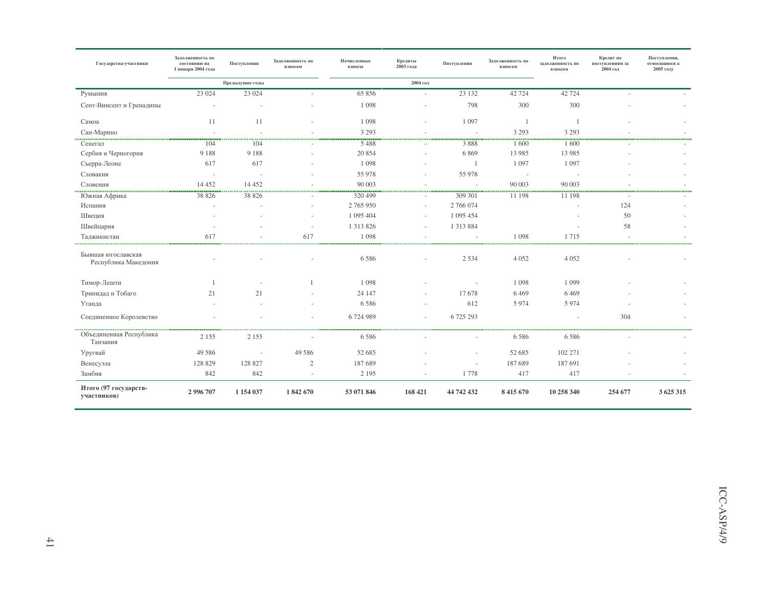| Государства-участники                      | Задолженность по<br>состоянию на<br>1 января 2004 года | Поступления     | Залолженность по<br>взносам | Начисленные<br>взносы | Кредиты<br>2003 года | Поступления    | Залолженность по<br>взносам | Итого<br>задолженность по<br>взносам | Кредит по<br>поступлениям за<br>2004 год | Поступления,<br>относящиеся к<br>2005 году |
|--------------------------------------------|--------------------------------------------------------|-----------------|-----------------------------|-----------------------|----------------------|----------------|-----------------------------|--------------------------------------|------------------------------------------|--------------------------------------------|
|                                            |                                                        | Предыдущие годы |                             |                       | 2004 год             |                |                             |                                      |                                          |                                            |
| Румыния                                    | 23 0 24                                                | 23 0 24         |                             | 65 856                |                      | 23 132         | 42 724                      | 42724                                |                                          |                                            |
| Сент-Винсент и Гренадины                   |                                                        |                 |                             | 1 0 9 8               |                      | 798            | 300                         | 300                                  |                                          |                                            |
| Самоа                                      | 11                                                     | 11              |                             | 1 0 9 8               | $\sim$               | 1 0 9 7        | $\overline{1}$              |                                      |                                          |                                            |
| Сан-Марино                                 |                                                        |                 |                             | 3 2 9 3               |                      |                | 3 2 9 3                     | 3 2 9 3                              |                                          |                                            |
| Сенегал                                    | 104                                                    | 104             |                             | 5 4 8 8               |                      | 3888           | 1 600                       | 1 600                                |                                          |                                            |
| Сербия и Черногория                        | 9 1 8 8                                                | 9 1 8 8         |                             | 20 854                |                      | 6 8 6 9        | 13 9 85                     | 13 985                               |                                          |                                            |
| Сьерра-Леоне                               | 617                                                    | 617             |                             | 1 0 9 8               |                      | $\overline{1}$ | 1 0 9 7                     | 1 0 9 7                              |                                          |                                            |
| Словакия                                   |                                                        |                 |                             | 55 978                | $\bar{a}$            | 55 978         |                             |                                      |                                          |                                            |
| Словения                                   | 14 4 5 2                                               | 14 4 5 2        |                             | 90 003                |                      |                | 90 003                      | 90 003                               |                                          |                                            |
| Южная Африка                               | 38 8 26                                                | 38 8 26         |                             | 320 499               |                      | 309 301        | 11 198                      | <br>11 198                           |                                          |                                            |
| Испания                                    |                                                        |                 |                             | 2765950               | $\sim$               | 2 766 074      |                             |                                      | 124                                      |                                            |
| Швеция                                     |                                                        |                 |                             | 1 0 9 5 4 0 4         |                      | 1 0 9 5 4 5 4  |                             |                                      | 50                                       |                                            |
| Швейцария                                  |                                                        |                 |                             | 1 3 1 3 8 2 6         | $\sim$               | 1 3 1 3 8 8 4  |                             |                                      | 58                                       |                                            |
| Талжикистан                                | 617                                                    |                 | 617                         | 1 0 9 8               |                      |                | 1 0 9 8                     | 1715                                 |                                          |                                            |
| Бывшая югославская<br>Республика Македония |                                                        |                 |                             | 6 5 8 6               |                      | 2 5 3 4        | 4 0 5 2                     | 4 0 5 2                              |                                          |                                            |
| Тимор-Лешти                                |                                                        |                 |                             | 1 0 9 8               |                      |                | 1 0 9 8                     | 1 0 9 9                              |                                          |                                            |
| Тринидад и Тобаго                          | 21                                                     | 21              |                             | 24 147                |                      | 17678          | 6 4 6 9                     | 6 4 6 9                              |                                          |                                            |
| Уганда                                     |                                                        |                 |                             | 6 5 8 6               |                      | 612            | 5974                        | 5974                                 |                                          |                                            |
| Соединенное Королевство                    |                                                        |                 |                             | 6724989               | $\bar{a}$            | 6 725 293      |                             | $\sim$                               | 304                                      |                                            |
| Объединенная Республика<br>Танзания        | 2 1 5 5                                                | 2 1 5 5         |                             | 6 5 8 6               |                      |                | 6586                        | 6 5 8 6                              |                                          |                                            |
| Уругвай                                    | 49 5 8 6                                               | $\overline{a}$  | 49 5 8 6                    | 52 685                |                      |                | 52 685                      | 102 271                              |                                          |                                            |
| Венесуэла                                  | 128 829                                                | 128 827         | $\overline{2}$              | 187 689               |                      |                | 187 689                     | 187691                               |                                          |                                            |
| Замбия                                     | 842                                                    | 842             |                             | 2 1 9 5               |                      | 1778           | 417                         | 417                                  |                                          |                                            |
| Итого (97 государств-<br>участников)       | 2996707                                                | 1 1 5 4 0 3 7   | 1842670                     | 53 071 846            | 168 421              | 44 742 432     | 8 4 1 5 6 7 0               | 10 258 340                           | 254 677                                  | 3 625 315                                  |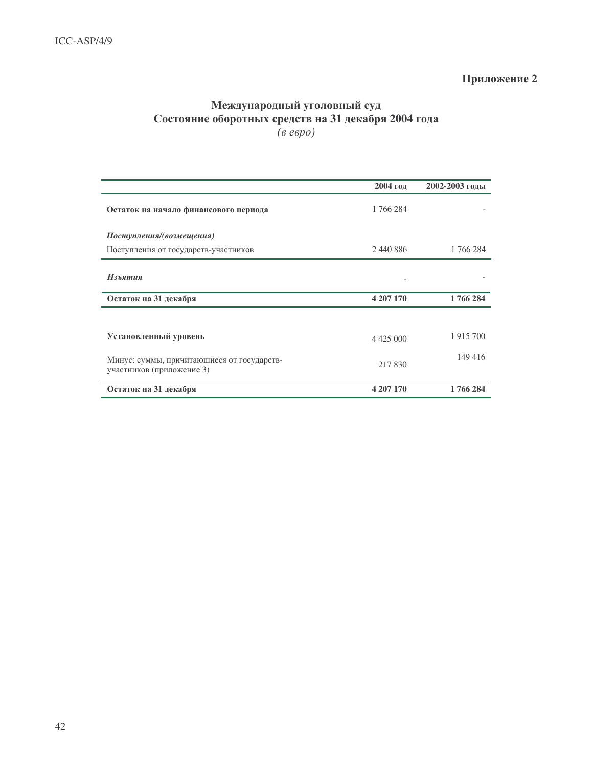#### Международный уголовный суд Состояние оборотных средств на 31 декабря 2004 года (в евро)

|                                                                         | $2004$ год    | 2002-2003 годы |
|-------------------------------------------------------------------------|---------------|----------------|
| Остаток на начало финансового периода                                   | 1 766 284     |                |
| Поступления/(возмещения)                                                |               |                |
| Поступления от государств-участников                                    | 2 440 886     | 1 766 284      |
| Изъятия                                                                 |               |                |
| Остаток на 31 декабря                                                   | 4 207 170     | 1766284        |
| Установленный уровень                                                   | 4 4 2 5 0 0 0 | 1 915 700      |
| Минус: суммы, причитающиеся от государств-<br>участников (приложение 3) | 217830        | 149 416        |
| Остаток на 31 декабря                                                   | 4 207 170     | 1766284        |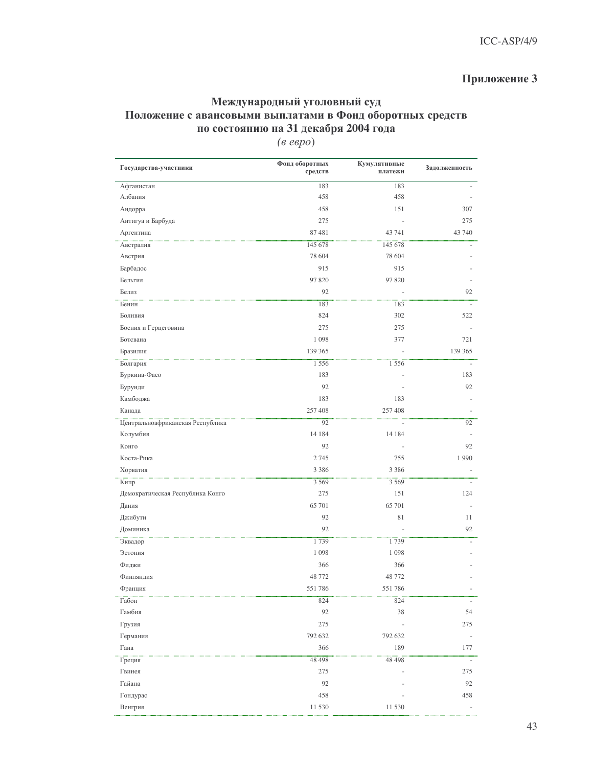## Международный уголовный суд Положение с авансовыми выплатами в Фонд оборотных средств по состоянию на 31 декабря 2004 года

 $($ вевро $)$ 

| Государства-участники            | Фонд оборотных<br>средств | Кумулятивные<br>платежи | Задолженность |
|----------------------------------|---------------------------|-------------------------|---------------|
| Афганистан                       | 183                       | 183                     |               |
| Албания                          | 458                       | 458                     |               |
| Андорра                          | 458                       | 151                     | 307           |
| Антигуа и Барбуда                | 275                       |                         | 275           |
| Аргентина                        | 87 481                    | 43 741                  | 43 740        |
| Австралия                        | 145 678                   | 145 678                 |               |
| Австрия                          | 78 604                    | 78 604                  |               |
| Барбадос                         | 915                       | 915                     |               |
| Бельгия                          | 97 820                    | 97 820                  |               |
| Белиз                            | 92                        |                         | 92            |
| Бенин                            | 183                       | 183                     |               |
| Боливия                          | 824                       | 302                     | 522           |
| Босния и Герцеговина             | 275                       | 275                     |               |
| Ботсвана                         | 1 0 9 8                   | 377                     | 721           |
| Бразилия                         | 139 365                   |                         | 139 365       |
| Болгария                         | 1556                      | 1556                    |               |
| Буркина-Фасо                     | 183                       |                         | 183           |
| Бурунди                          | 92                        |                         | 92            |
| Камбоджа                         | 183                       | 183                     |               |
| Канада                           | 257 408                   | 257 408                 |               |
| Центральноафриканская Республика | 92                        |                         | 92            |
| Колумбия                         | 14 184                    | 14 184                  |               |
| Конго                            | 92                        |                         | 92            |
| Коста-Рика                       | 2 7 4 5                   | 755                     | 1990          |
| Хорватия                         | 3 3 8 6                   | 3 3 8 6                 |               |
| Кипр                             | 3 5 6 9                   | 3 5 6 9                 |               |
| Демократическая Республика Конго | 275                       | 151                     | 124           |
| Дания                            | 65 701                    | 65 701                  |               |
| Джибути                          | 92                        | 81                      | 11            |
| Доминика                         | 92                        |                         | 92            |
| Эквадор                          | 1739                      | 1739                    |               |
| Эстония                          | 1 0 9 8                   | 1 0 9 8                 |               |
| Фиджи                            | 366                       | 366                     |               |
| Финляндия                        | 48 772                    | 48 772                  |               |
| Франция                          | 551786                    | 551786                  |               |
| Габон                            | 824                       | 824                     |               |
| Гамбия                           | 92                        | 38                      | 54            |
| Грузия                           | 275                       |                         | 275           |
| Германия                         | 792 632                   | 792 632                 |               |
| Гана                             | 366                       | 189                     | 177           |
| Греция                           | 48 498                    | 48 498                  |               |
| Гвинея                           | 275                       |                         | 275           |
| Гайана                           | 92                        |                         | 92            |
| Гондурас                         | 458                       |                         | 458           |
| Венгрия                          | 11 530                    | 11 530                  |               |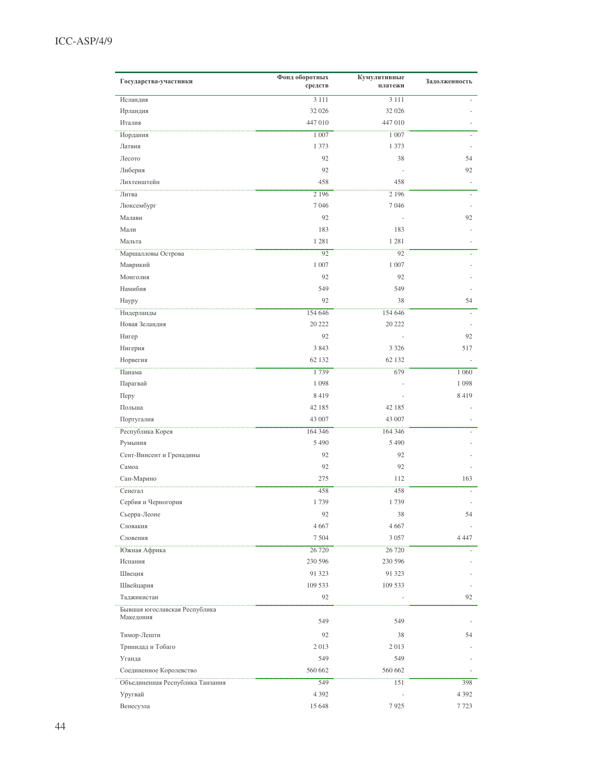#### $ICC-ASP/4/9$

| Государства-участники            | Фонд оборотных<br>средств | Кумулятивные<br>платежи | Задолженность |
|----------------------------------|---------------------------|-------------------------|---------------|
|                                  |                           |                         |               |
| Исландия                         | 3 1 1 1                   | 3 1 1 1                 |               |
| Ирландия                         | 32 0 26                   | 32 0 26                 |               |
| Италия                           | 447 010                   | 447 010                 |               |
| Иордания                         | 1 0 0 7                   | 1 0 0 7                 |               |
| Латвия                           | 1 3 7 3                   | 1 3 7 3                 |               |
| Лесото                           | 92                        | 38                      | 54            |
| Либерия                          | 92                        |                         | 92            |
| Лихтенштейн                      | 458                       | 458                     |               |
| Литва                            | 2 1 9 6                   | 2 1 9 6                 |               |
| Люксембург                       | 7046                      | 7046                    |               |
| Малави                           | 92                        |                         | 92            |
| Мали                             | 183                       | 183                     |               |
| Мальта                           | 1 2 8 1                   | 1 2 8 1                 |               |
| Маршалловы Острова               | 92                        | 92                      |               |
| Маврикий                         | 1 0 0 7                   | 1 0 0 7                 |               |
| Монголия                         | 92                        | 92                      |               |
| Намибия                          | 549                       | 549                     |               |
| Haypy                            | 92                        | 38                      | 54            |
| Нидерланды                       | 154 646                   | 154 646                 |               |
| Новая Зеландия                   | 20 222                    | 20 222                  |               |
| Нигер                            | 92                        |                         | 92            |
| Нигерия                          | 3843                      | 3 3 2 6                 | 517           |
| Норвегия                         | 62 132                    | 62 132                  |               |
| Панама                           | 1739                      | 679                     | 1 0 6 0       |
| Парагвай                         | 1 0 9 8                   |                         | 1 0 9 8       |
|                                  | 8419                      |                         | 8419          |
| Перу<br>Польша                   |                           |                         |               |
|                                  | 42 185                    | 42 185                  |               |
| Португалия                       | 43 007                    | 43 007                  |               |
| Республика Корея                 | 164 346                   | 164 346                 |               |
| Румыния                          | 5 4 9 0                   | 5 4 9 0                 |               |
| Сент-Винсент и Гренадины         | 92                        | 92                      |               |
| Самоа                            | 92                        | 92                      |               |
| Сан-Марино                       | 275                       | 112                     | 163           |
| Сенегал                          | 458                       | 458                     |               |
| Сербия и Черногория              | 1739                      | 1739                    |               |
| Сьерра-Леоне                     | 92                        | 38                      | 54            |
| Словакия                         | 4 6 6 7                   | 4 6 6 7                 |               |
| Словения                         | 7 5 0 4                   | 3 0 5 7                 | 4 4 4 7       |
| Южная Африка                     | 26 7 20                   | 26 7 20                 |               |
| Испания                          | 230 596                   | 230 596                 |               |
| Швеция                           | 91 323                    | 91 323                  |               |
| Швейцария                        | 109 533                   | 109 533                 |               |
| Таджикистан                      | 92                        |                         | 92            |
| Бывшая югославская Республика    |                           |                         |               |
| Македония                        | 549                       | 549                     |               |
| Тимор-Лешти                      | 92                        | 38                      | 54            |
| Тринидад и Тобаго                | 2013                      | 2013                    |               |
| Уганда                           | 549                       | 549                     |               |
|                                  |                           |                         |               |
| Соединенное Королевство          | 560 662                   | 560 662                 |               |
| Объединенная Республика Танзания | 549                       | 151                     | 398           |
| Уругвай                          | 4 3 9 2                   |                         | 4 3 9 2       |
| Венесуэла                        | 15 648                    | 7925                    | 7723          |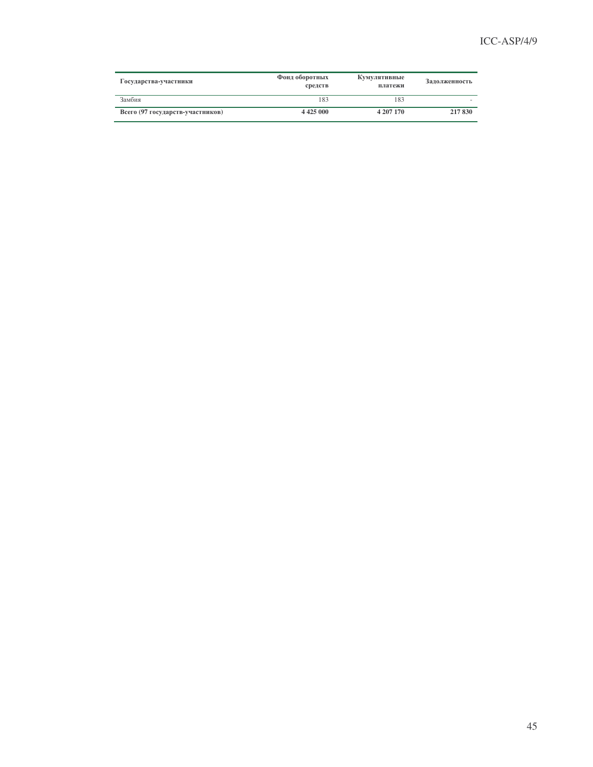| Государства-участники            | Фонд оборотных<br>средств | Кумулятивные<br>платежи | Задолженность |
|----------------------------------|---------------------------|-------------------------|---------------|
| Замбия                           | 183                       | 183                     |               |
| Всего (97 государств-участников) | 4 4 2 5 0 0 0             | 4 207 170               | 217830        |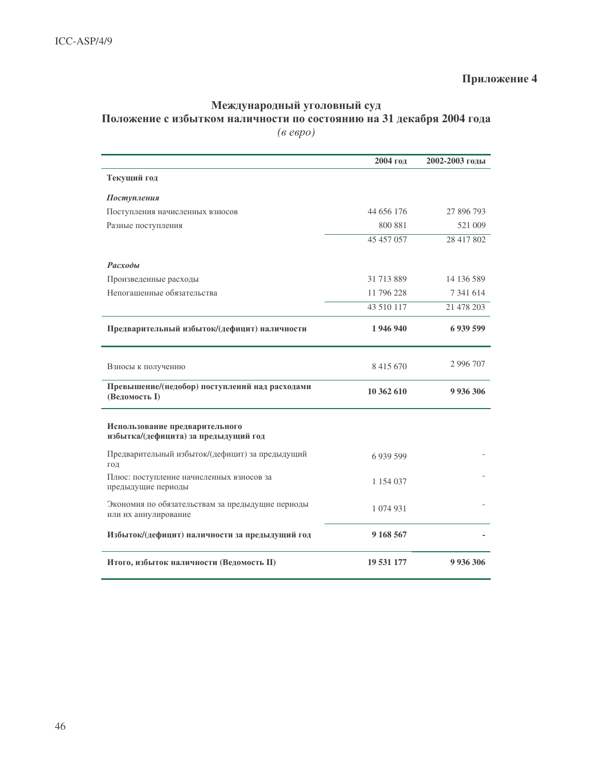#### Международный уголовный суд Положение с избытком наличности по состоянию на 31 декабря 2004 года (в евро)

**2004 год 2002-2003 годы** Текущий год Поступления - 44 656 176 27 896 793 Разные поступле ния **800 881** 521 009 45 457 057 28 417 802 Расходы Произведенные ра 31 713 889 14 136 589 Непогашенные обязательства 11 796 228 7 341 614 43 510 117 21 478 203 -- **/(**-4**) 1 946 940 6 939 599** Взносы к получению 8 415 670 2 996 707 Превышение/(недобор) поступлений над расходами (Ведомость I) **10 362 610 9 936 306** Использование предварительного избытка/(дефицита) за предыдущий год Предварительный избыток/(дефицит) за предыдущий год 6 939 599 - Плюс: поступление начисленных взносов за предыдущие периоды 1 154 037 - Экономия по обязательствам за предыдущие периоды или их аннулирование 1 074 931 - # **/(**-4**)** - .  **9 168 567 -** #  **, (**- **II) 19 531 177 9 936 306**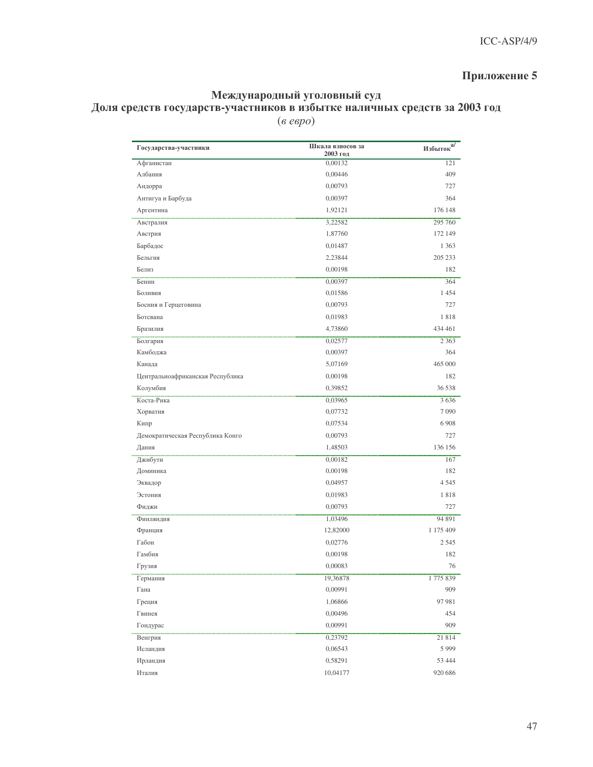# Международный уголовный суд<br>Доля средств государств-участников в избытке наличных средств за 2003 год

 $($ вевро $)$ 

| Государства-участники            | Шкала взносов за<br>$2003$ год | a/<br>Избыток |
|----------------------------------|--------------------------------|---------------|
| Афганистан                       | 0,00132                        | 121           |
| Албания                          | 0,00446                        | 409           |
| Андорра                          | 0,00793                        | 727           |
| Антигуа и Барбуда                | 0,00397                        | 364           |
| Аргентина                        | 1,92121                        | 176 148       |
| Австралия                        | 3,22582                        | 295 760       |
| Австрия                          | 1,87760                        | 172 149       |
| Барбадос                         | 0,01487                        | 1 3 6 3       |
| Бельгия                          | 2,23844                        | 205 233       |
| Белиз                            | 0,00198                        | 182           |
| Бенин                            | 0,00397                        | 364           |
| Боливия                          | 0,01586                        | 1454          |
| Босния и Герцеговина             | 0,00793                        | 727           |
| Ботсвана                         | 0,01983                        | 1818          |
| Бразилия                         | 4,73860                        | 434 461       |
| Болгария                         | 0,02577                        | 2 3 6 3       |
| Камбоджа                         | 0,00397                        | 364           |
| Канада                           | 5,07169                        | 465 000       |
| Центральноафриканская Республика | 0,00198                        | 182           |
| Колумбия                         | 0,39852                        | 36 538        |
| Коста-Рика                       | 0,03965                        | 3636          |
| Хорватия                         | 0,07732                        | 7 0 9 0       |
| Кипр                             | 0,07534                        | 6 9 0 8       |
| Демократическая Республика Конго | 0,00793                        | 727           |
| Дания                            | 1,48503                        | 136 156       |
| Джибути                          | 0,00182                        | 167           |
| Доминика                         | 0,00198                        | 182           |
| Эквадор                          | 0,04957                        | 4 5 4 5       |
| Эстония                          | 0,01983                        | 1818          |
| Фиджи                            | 0,00793                        | 727           |
| Финляндия                        | 1,03496                        | 94 891        |
| Франция                          | 12,82000                       | 1 175 409     |
| Габон                            | 0,02776                        | 2 5 4 5       |
| Гамбия                           | 0,00198                        | 182           |
| Грузия                           | 0,00083                        | 76            |
| Германия                         | 19,36878                       | 1775839       |
| Гана                             | 0,00991                        | 909           |
| Греция                           | 1,06866                        | 97 981        |
| Гвинея                           | 0,00496                        | 454           |
| Гондурас                         | 0,00991                        | 909           |
| Венгрия                          | 0,23792                        | 21 814        |
| Исландия                         | 0,06543                        | 5999          |
| Ирландия                         | 0,58291                        | 53 444        |
| Италия                           | 10,04177                       | 920 686       |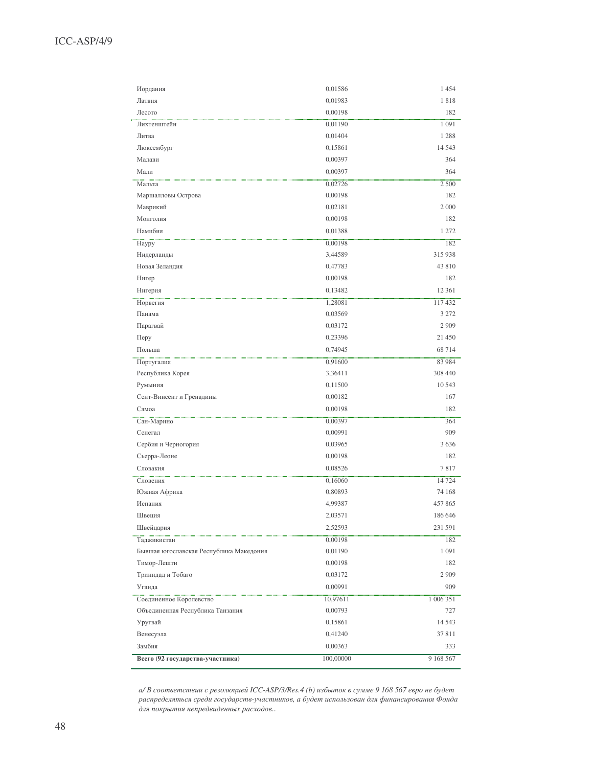| Иордания                                | 0,01586   | 1454      |
|-----------------------------------------|-----------|-----------|
| Латвия                                  | 0,01983   | 1818      |
| Лесото                                  | 0,00198   | 182       |
| Лихтенштейн                             | 0,01190   | 1 0 9 1   |
| Литва                                   | 0,01404   | 1 2 8 8   |
| Люксембург                              | 0,15861   | 14 5 43   |
| Малави                                  | 0,00397   | 364       |
| Мали                                    | 0,00397   | 364       |
| Мальта                                  | 0,02726   | 2 500     |
| Маршалловы Острова                      | 0,00198   | 182       |
| Маврикий                                | 0,02181   | 2 0 0 0   |
| Монголия                                | 0,00198   | 182       |
| Намибия                                 | 0,01388   | 1 272     |
| Haypy                                   | 0,00198   | 182       |
| Нидерланды                              | 3,44589   | 315 938   |
| Новая Зеландия                          | 0,47783   | 43 810    |
| Нигер                                   | 0,00198   | 182       |
| Нигерия                                 | 0,13482   | 12 361    |
| Норвегия                                | 1,28081   | 117 432   |
| Панама                                  | 0,03569   | 3 272     |
| Парагвай                                | 0,03172   | 2 9 0 9   |
| Перу                                    | 0,23396   | 21 450    |
| Польша                                  | 0,74945   | 68 714    |
| Португалия                              | 0,91600   | 83 984    |
| Республика Корея                        | 3,36411   | 308 440   |
| Румыния                                 | 0,11500   | 10 543    |
| Сент-Винсент и Гренадины                | 0,00182   | 167       |
| Самоа                                   | 0,00198   | 182       |
| Сан-Марино                              | 0,00397   | 364       |
| Сенегал                                 | 0,00991   | 909       |
| Сербия и Черногория                     | 0,03965   | 3 6 3 6   |
| Сьерра-Леоне                            | 0,00198   | 182       |
| Словакия                                | 0,08526   | 7817      |
| Словения                                | 0,16060   | 14 724    |
| Южная Африка                            | 0,80893   | 74 168    |
| Испания                                 | 4,99387   | 457 865   |
| Швеция                                  | 2,03571   | 186 646   |
| Швейцария                               | 2,52593   | 231 591   |
| Талжикистан                             | 0,00198   | 182       |
| Бывшая югославская Республика Македония | 0,01190   | 1 0 9 1   |
| Тимор-Лешти                             | 0,00198   | 182       |
| Тринидад и Тобаго                       | 0,03172   | 2 9 0 9   |
| Уганда                                  | 0,00991   | 909       |
| Соединенное Королевство                 | 10,97611  | 1 006 351 |
| Объединенная Республика Танзания        | 0,00793   | 727       |
| Уругвай                                 | 0,15861   | 14 5 43   |
| Венесуэла                               | 0,41240   | 37811     |
| Замбия                                  | 0,00363   | 333       |
| Всего (92 государства-участника)        | 100,00000 | 9 168 567 |

a/ В соответствии с резолюцией ICC-ASP/3/Res.4 (b) избыток в сумме 9 168 567 евро не будет<br>распределяться среди государств-участников, а будет использован для финансирования Фонда для покрытия непредвиденных расходов..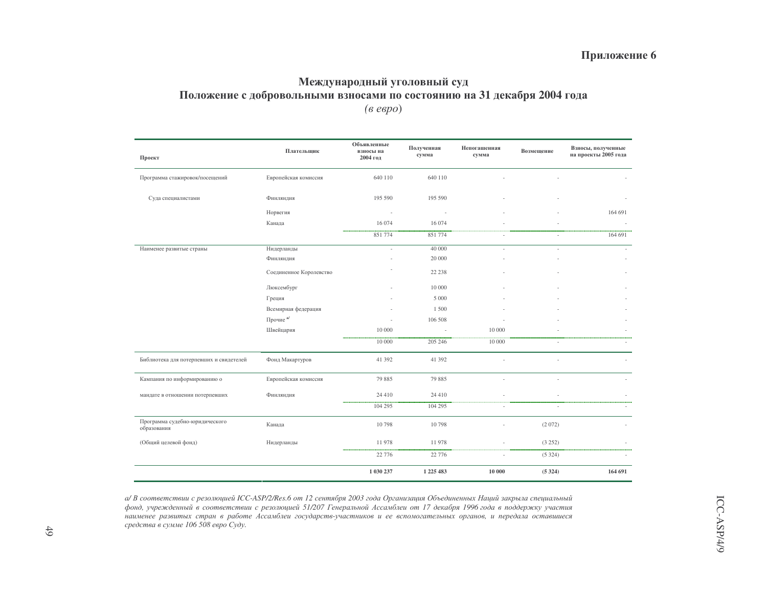#### Международный уголовный суд Положение с добровольными взносами по состоянию на 31 декабря 2004 года *(* )

| Проект                                        | Плательщик              | Объявленные<br>взносы на<br>2004 год | Полученная<br>сумма | Непогашенная<br>сумма | Возмещение               | Взносы, полученные<br>на проекты 2005 года |
|-----------------------------------------------|-------------------------|--------------------------------------|---------------------|-----------------------|--------------------------|--------------------------------------------|
| Программа стажировок/посещений                | Европейская комиссия    | 640 110                              | 640 110             |                       |                          |                                            |
| Суда специалистами                            | Финляндия               | 195 590                              | 195 590             |                       |                          |                                            |
|                                               | Норвегия                |                                      |                     |                       |                          | 164 691                                    |
|                                               | Канада                  | 16 074                               | 16 074              |                       |                          |                                            |
|                                               |                         | 851 774                              | 851 774             |                       | ٠                        | 164 691                                    |
| Наименее развитые страны                      | Нидерланды              | $\overline{\phantom{a}}$             | 40 000              | $\sim$                | $\overline{\phantom{a}}$ |                                            |
|                                               | Финляндия               |                                      | 20 000              |                       |                          |                                            |
|                                               | Соединенное Королевство |                                      | 22 238              |                       |                          |                                            |
|                                               | Люксембург              |                                      | 10 000              |                       |                          |                                            |
|                                               | Греция                  |                                      | 5 000               |                       |                          |                                            |
|                                               | Всемирная федерация     |                                      | 1 500               |                       |                          |                                            |
|                                               | Прочие <sup>а/</sup>    |                                      | 106 508             |                       |                          |                                            |
|                                               | Швейцария               | 10 000                               |                     | 10 000                |                          |                                            |
|                                               |                         | 10 000                               | 205 246             | 10 000                | ٠                        |                                            |
| Библиотека для потерпевших и свидетелей       | Фонд Макартуров         | 41 392                               | 41 392              |                       |                          |                                            |
| Кампания по информированию о                  | Европейская комиссия    | 79 885                               | 79 885              |                       | ÷                        |                                            |
| мандате в отношении потерпевших               | Финляндия               | 24 410                               | 24 4 10             |                       |                          |                                            |
|                                               |                         | 104 295                              | 104 295             |                       | ä,                       |                                            |
| Программа судебно-юридического<br>образования | Канада                  | 10798                                | 10798               |                       | (2072)                   |                                            |
| (Общий целевой фонд)                          | Нидерланды              | 11978                                | 11978               |                       | (3 252)                  |                                            |
|                                               |                         | ,,,,,,,,,,,,,,,,,,,,,,<br>22 776     | 22 776              |                       | (5324)                   |                                            |
|                                               |                         | 1 030 237                            | 1 225 483           | 10 000                | (5324)                   | 164 691                                    |

a/ В соответствии с резолюцией ICC-ASP/2/Res.6 от 12 сентября 2003 года Организация Объединенных Наций закрыла специальный фонд, учрежденный в соответствии с резолюцией 51/207 Генеральной Ассамблеи от 17 декабря 1996 года в поддержку участия наименее развитых стран в работе Ассамблеи государств-участников и ее вспомогательных органов, и передала оставшиеся средства в сумме 106 508 евро Суду.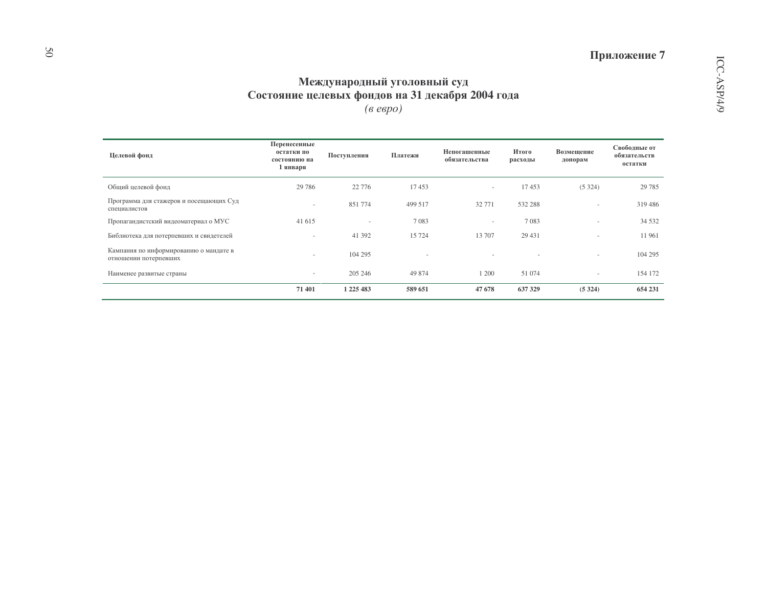#### Международный уголовный суд Состояние целевых фондов на 31 декабря 2004 года (в евро)

| Целевой фонд                                                    | Перенесенные<br>остатки по<br>состоянию на<br>1 января | Поступления    | Платежи                  | Непогашенные<br>обязательства | Итого<br>расходы | Возмещение<br>донорам    | Свободные от<br>обязательств<br>остатки |
|-----------------------------------------------------------------|--------------------------------------------------------|----------------|--------------------------|-------------------------------|------------------|--------------------------|-----------------------------------------|
| Общий целевой фонд                                              | 29 7 8 6                                               | 22 776         | 17453                    | $\sim$                        | 17453            | (5324)                   | 29 7 85                                 |
| Программа для стажеров и посещающих Суд<br>специалистов         | $\overline{\phantom{a}}$                               | 851774         | 499 517                  | 32 771                        | 532 288          | ۰                        | 319 486                                 |
| Пропагандистский видеоматериал о МУС                            | 41615                                                  | $\overline{a}$ | 7083                     | $\sim$                        | 7 0 8 3          | ٠                        | 34 5 32                                 |
| Библиотека для потерпевших и свидетелей                         | ٠                                                      | 41 392         | 15 7 24                  | 13 707                        | 29 4 31          | $\overline{\phantom{a}}$ | 11 961                                  |
| Кампания по информированию о мандате в<br>отношении потерпевших | $\overline{\phantom{a}}$                               | 104 295        | $\overline{\phantom{a}}$ |                               |                  | ٠                        | 104 295                                 |
| Наименее развитые страны                                        | $\overline{\phantom{a}}$                               | 205 246        | 49 874                   | 1 200                         | 51 074           | ٠                        | 154 172                                 |
|                                                                 | 71 401                                                 | 1 2 2 5 4 8 3  | 589 651                  | 47 678                        | 637 329          | (5324)                   | 654 231                                 |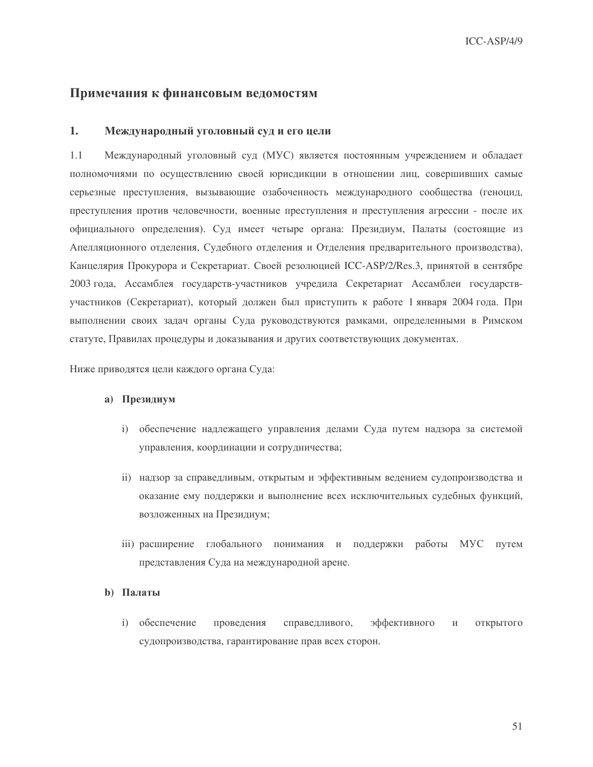#### Примечания к финансовым ведомостям

#### $\mathbf{1}$ . Международный уголовный суд и его цели

1.1 Международный уголовный суд (МУС) является постоянным учреждением и обладает полномочиями по осуществлению своей юрисдикции в отношении лиц, совершивших самые серьезные преступления, вызывающие озабоченность международного сообщества (геноцид, преступления против человечности, военные преступления и преступления агрессии - после их официального определения). Суд имеет четыре органа: Президиум, Палаты (состоящие из Апелляционного отделения, Судебного отделения и Отделения предварительного производства), Канцелярия Прокурора и Секретариат. Своей резолюцией ICC-ASP/2/Res.3, принятой в сентябре 2003 года, Ассамблея государств-участников учредила Секретариат Ассамблеи государствучастников (Секретариат), который должен был приступить к работе 1 января 2004 года. При выполнении своих задач органы Суда руководствуются рамками, определенными в Римском статуте, Правилах процедуры и доказывания и других соответствующих документах.

Ниже приводятся цели каждого органа Суда:

#### а) Президиум

- i) обеспечение надлежащего управления делами Суда путем надзора за системой управления, координации и сотрудничества;
- ii) надзор за справедливым, открытым и эффективным ведением судопроизводства и оказание ему поддержки и выполнение всех исключительных судебных функций, возложенных на Президиум;
- ііі) расширение глобального понимания и поддержки работы МУС путем представления Суда на международной арене.

#### **b**) Палаты

i) обеспечение эффективного проведения справедливого,  $\,$   $\,$   $\,$   $\,$ открытого судопроизводства, гарантирование прав всех сторон.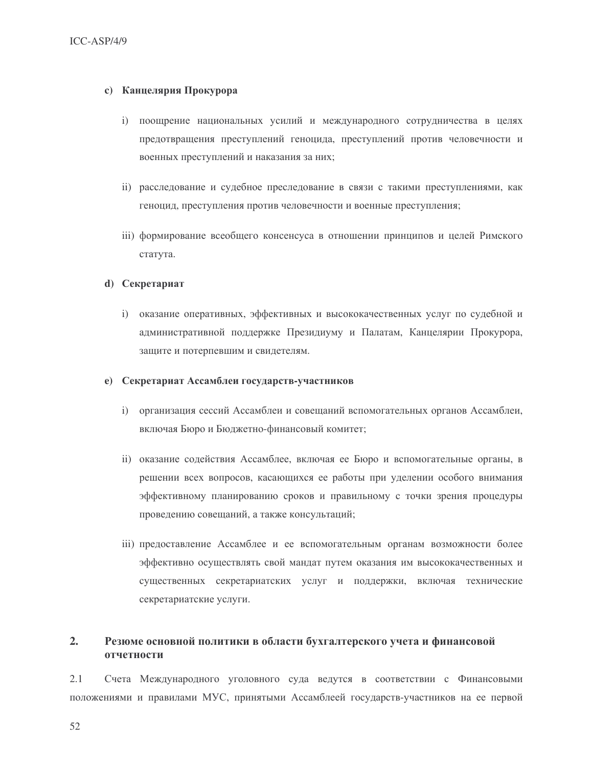#### с) Канцелярия Прокурора

- i) поощрение национальных усилий и международного сотрудничества в целях предотвращения преступлений геноцида, преступлений против человечности и военных преступлений и наказания за них;
- ii) расследование и судебное преследование в связи с такими преступлениями, как геноцид, преступления против человечности и военные преступления;
- ііі) формирование всеобщего консенсуса в отношении принципов и целей Римского статута.

#### d) Секретариат

i) оказание оперативных, эффективных и высококачественных услуг по судебной и административной поддержке Президиуму и Палатам, Канцелярии Прокурора, защите и потерпевшим и свидетелям.

#### е) Секретариат Ассамблеи государств-участников

- i) организация сессий Ассамблеи и совещаний вспомогательных органов Ассамблеи, включая Бюро и Бюджетно-финансовый комитет;
- іі) оказание содействия Ассамблее, включая ее Бюро и вспомогательные органы, в решении всех вопросов, касающихся ее работы при уделении особого внимания эффективному планированию сроков и правильному с точки зрения процедуры проведению совещаний, а также консультаций;
- ііі) предоставление Ассамблее и ее вспомогательным органам возможности более эффективно осуществлять свой мандат путем оказания им высококачественных и существенных секретариатских услуг и поддержки, включая технические секретариатские услуги.

#### $2.$ Резюме основной политики в области бухгалтерского учета и финансовой отчетности

 $2.1$ Счета Международного уголовного суда ведутся в соответствии с Финансовыми положениями и правилами МУС, принятыми Ассамблеей государств-участников на ее первой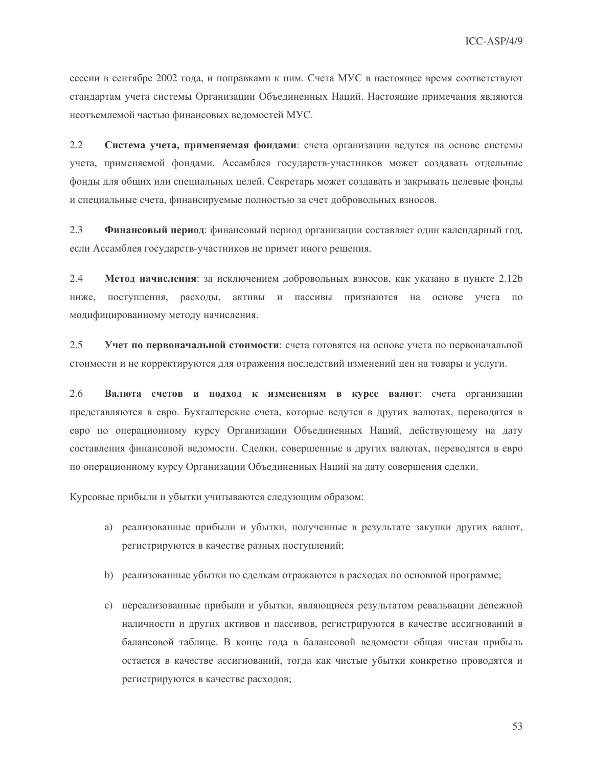сессии в сентябре 2002 года, и поправками к ним. Счета МУС в настоящее время соответствуют стандартам учета системы Организации Объединенных Наций. Настоящие примечания являются неотъемлемой частью финансовых ведомостей МУС.

 $2.2^{\circ}$ Система учета, применяемая фондами: счета организации ведутся на основе системы учета, применяемой фондами. Ассамблея государств-участников может создавать отдельные фонды для общих или специальных целей. Секретарь может создавать и закрывать целевые фонды и специальные счета, финансируемые полностью за счет добровольных взносов.

 $2.3$ Финансовый период: финансовый период организации составляет один календарный год, если Ассамблея государств-участников не примет иного решения.

 $2.4$ Метод начисления: за исключением добровольных взносов, как указано в пункте 2.12b ниже. поступления, расходы, активы и пассивы признаются на основе учета по модифицированному методу начисления.

 $2.5$ Учет по первоначальной стоимости: счета готовятся на основе учета по первоначальной стоимости и не корректируются для отражения последствий изменений цен на товары и услуги.

 $2.6$ Валюта счетов и подход к изменениям в курсе валют: счета организации представляются в евро. Бухгалтерские счета, которые ведутся в других валютах, переводятся в евро по операционному курсу Организации Объединенных Наций, действующему на дату составления финансовой ведомости. Сделки, совершенные в других валютах, переводятся в евро по операционному курсу Организации Объединенных Наций на дату совершения сделки.

Курсовые прибыли и убытки учитываются следующим образом:

- а) реализованные прибыли и убытки, полученные в результате закупки других валют, регистрируются в качестве разных поступлений;
- b) реализованные убытки по сделкам отражаются в расходах по основной программе;
- с) нереализованные прибыли и убытки, являющиеся результатом ревальвации денежной наличности и других активов и пассивов, регистрируются в качестве ассигнований в балансовой таблице. В конце года в балансовой ведомости общая чистая прибыль остается в качестве ассигнований, тогда как чистые убытки конкретно проводятся и регистрируются в качестве расходов;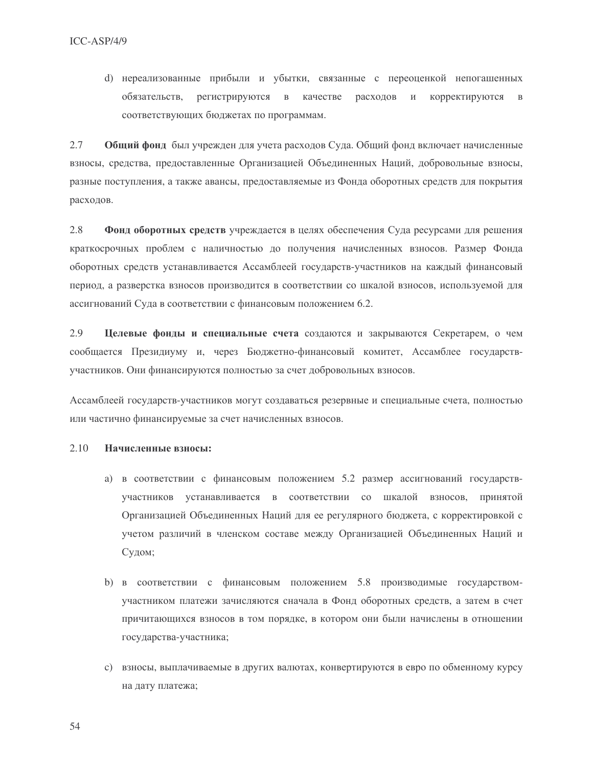d) нереализованные прибыли и убытки, связанные с переоценкой непогашенных обязательств, регистрируются в качестве расходов  $\,$   $\,$   $\,$   $\,$ корректируются соответствующих бюджетах по программам.

 $2.7$ Общий фонд был учрежден для учета расходов Суда. Общий фонд включает начисленные взносы, средства, предоставленные Организацией Объединенных Наций, добровольные взносы, разные поступления, а также авансы, предоставляемые из Фонда оборотных средств для покрытия расходов.

 $2.8$ Фонд оборотных средств учреждается в целях обеспечения Суда ресурсами для решения краткосрочных проблем с наличностью до получения начисленных взносов. Размер Фонда оборотных средств устанавливается Ассамблеей государств-участников на каждый финансовый период, а разверстка взносов производится в соответствии со шкалой взносов, используемой для ассигнований Суда в соответствии с финансовым положением 6.2.

2.9 Целевые фонды и специальные счета создаются и закрываются Секретарем, о чем сообщается Президиуму и, через Бюджетно-финансовый комитет, Ассамблее государствучастников. Они финансируются полностью за счет добровольных взносов.

Ассамблеей государств-участников могут создаваться резервные и специальные счета, полностью или частично финансируемые за счет начисленных взносов.

#### $2.10$ Начисленные взносы:

- а) в соответствии с финансовым положением 5.2 размер ассигнований государствучастников устанавливается в соответствии со шкалой взносов, принятой Организацией Объединенных Наций для ее регулярного бюджета, с корректировкой с учетом различий в членском составе между Организацией Объединенных Наций и Судом;
- b) в соответствии с финансовым положением 5.8 производимые государствомучастником платежи зачисляются сначала в Фонд оборотных средств, а затем в счет причитающихся взносов в том порядке, в котором они были начислены в отношении государства-участника;
- с) взносы, выплачиваемые в других валютах, конвертируются в евро по обменному курсу на дату платежа;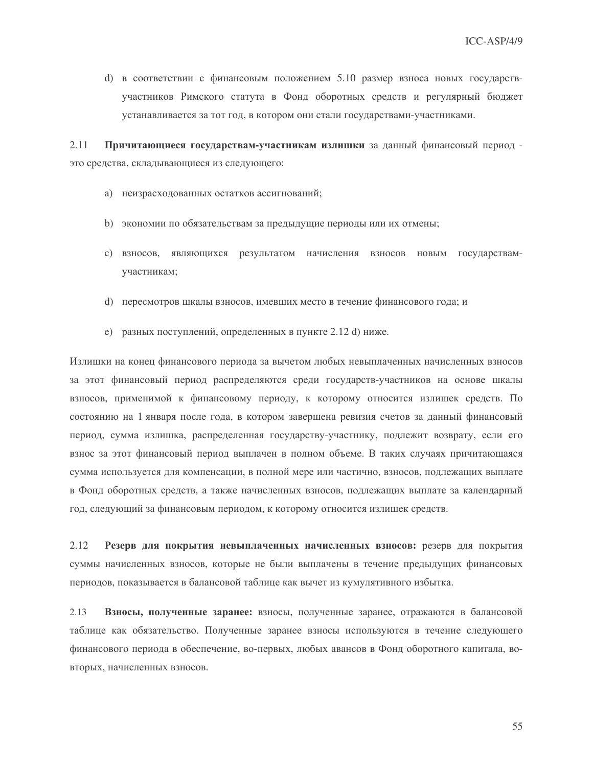d) в соответствии с финансовым положением 5.10 размер взноса новых государствучастников Римского статута в Фонд оборотных средств и регулярный бюджет устанавливается за тот год, в котором они стали государствами-участниками.

2.11 Причитающиеся государствам-участникам излишки за данный финансовый период это средства, складывающиеся из следующего:

- а) неизрасходованных остатков ассигнований;
- b) экономии по обязательствам за предыдущие периоды или их отмены;
- с) взносов, являющихся результатом начисления взносов новым государствамучастникам;
- d) пересмотров шкалы взносов, имевших место в течение финансового года; и
- e) разных поступлений, определенных в пункте 2.12 d) ниже.

Излишки на конец финансового периода за вычетом любых невыплаченных начисленных взносов за этот финансовый период распределяются среди государств-участников на основе шкалы взносов, применимой к финансовому периоду, к которому относится излишек средств. По состоянию на 1 января после года, в котором завершена ревизия счетов за данный финансовый период, сумма излишка, распределенная государству-участнику, подлежит возврату, если его взнос за этот финансовый период выплачен в полном объеме. В таких случаях причитающаяся сумма используется для компенсации, в полной мере или частично, взносов, подлежащих выплате в Фонд оборотных средств, а также начисленных взносов, подлежащих выплате за календарный год, следующий за финансовым периодом, к которому относится излишек средств.

2.12 Резерв для покрытия невыплаченных начисленных взносов: резерв для покрытия суммы начисленных взносов, которые не были выплачены в течение предыдущих финансовых периодов, показывается в балансовой таблице как вычет из кумулятивного избытка.

2.13 Взносы, полученные заранее: взносы, полученные заранее, отражаются в балансовой таблице как обязательство. Полученные заранее взносы используются в течение следующего финансового периода в обеспечение, во-первых, любых авансов в Фонд оборотного капитала, вовторых, начисленных взносов.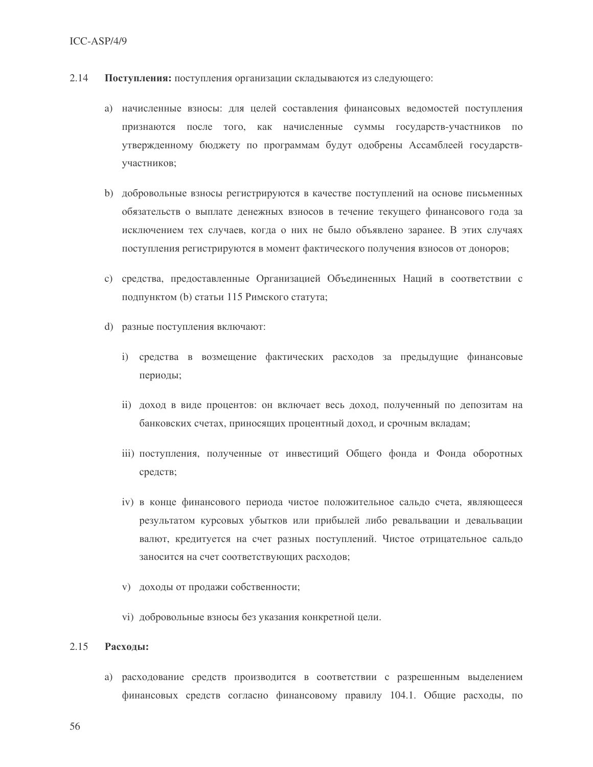- 2.14 Поступления: поступления организации складываются из следующего:
	- а) начисленные взносы: для целей составления финансовых ведомостей поступления признаются после того, как начисленные суммы государств-участников по утвержденному бюджету по программам будут одобрены Ассамблеей государствучастников:
	- b) добровольные взносы регистрируются в качестве поступлений на основе письменных обязательств о выплате денежных взносов в течение текущего финансового года за исключением тех случаев, когда о них не было объявлено заранее. В этих случаях поступления регистрируются в момент фактического получения взносов от доноров;
	- с) средства, предоставленные Организацией Объединенных Наций в соответствии с подпунктом (b) статьи 115 Римского статута;
	- d) разные поступления включают:
		- і) средства в возмещение фактических расходов за предыдущие финансовые периоды;
		- іі) доход в виде процентов: он включает весь доход, полученный по депозитам на банковских счетах, приносящих процентный доход, и срочным вкладам;
		- ііі) поступления, полученные от инвестиций Общего фонда и Фонда оборотных средств;
		- іv) в конце финансового периода чистое положительное сальдо счета, являющееся результатом курсовых убытков или прибылей либо ревальвации и девальвации валют, кредитуется на счет разных поступлений. Чистое отрицательное сальдо заносится на счет соответствующих расходов;
		- v) доходы от продажи собственности;
		- vi) добровольные взносы без указания конкретной цели.

#### $2.15$ Расхолы:

а) расходование средств производится в соответствии с разрешенным выделением финансовых средств согласно финансовому правилу 104.1. Общие расходы, по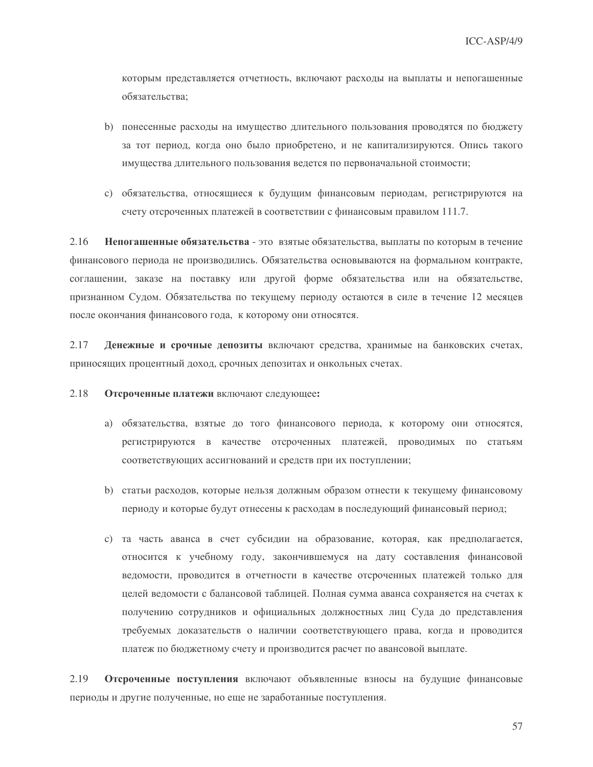которым представляется отчетность, включают расходы на выплаты и непогашенные обязательства;

- b) понесенные расходы на имущество длительного пользования проводятся по бюджету за тот период, когда оно было приобретено, и не капитализируются. Опись такого имущества длительного пользования ведется по первоначальной стоимости;
- с) обязательства, относящиеся к будущим финансовым периодам, регистрируются на счету отсроченных платежей в соответствии с финансовым правилом 111.7.

2.16 Непогашенные обязательства - это взятые обязательства, выплаты по которым в течение финансового периода не производились. Обязательства основываются на формальном контракте, соглашении, заказе на поставку или другой форме обязательства или на обязательстве, признанном Судом. Обязательства по текущему периоду остаются в силе в течение 12 месяцев после окончания финансового года, к которому они относятся.

2.17 Денежные и срочные депозиты включают средства, хранимые на банковских счетах, приносящих процентный доход, срочных депозитах и онкольных счетах.

2.18 Отсроченные платежи включают следующее:

- а) обязательства, взятые до того финансового периода, к которому они относятся, регистрируются в качестве отсроченных платежей, проводимых по статьям соответствующих ассигнований и средств при их поступлении;
- b) статьи расходов, которые нельзя должным образом отнести к текущему финансовому периоду и которые будут отнесены к расходам в последующий финансовый период;
- с) та часть аванса в счет субсидии на образование, которая, как предполагается, относится к учебному году, закончившемуся на дату составления финансовой ведомости, проводится в отчетности в качестве отсроченных платежей только для целей ведомости с балансовой таблицей. Полная сумма аванса сохраняется на счетах к получению сотрудников и официальных должностных лиц Суда до представления требуемых доказательств о наличии соответствующего права, когда и проводится платеж по бюджетному счету и производится расчет по авансовой выплате.

 $2.19$ Отсроченные поступления включают объявленные взносы на будущие финансовые периоды и другие полученные, но еще не заработанные поступления.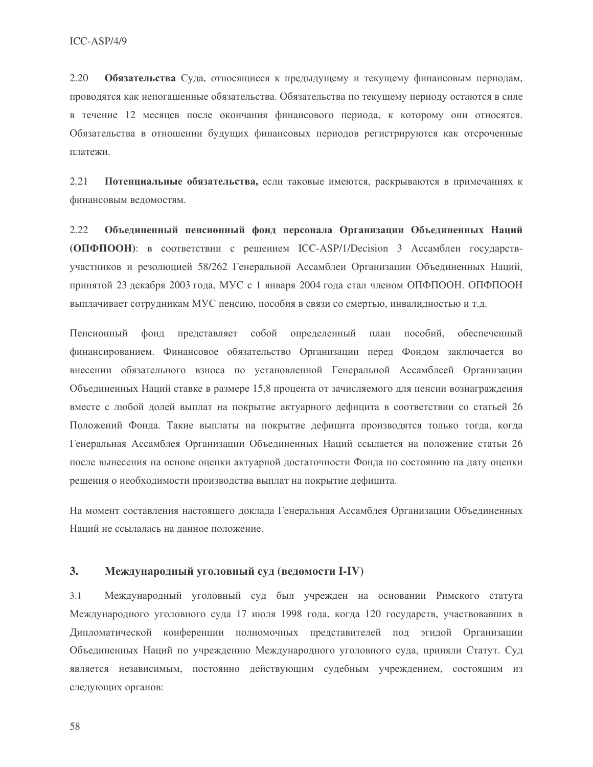2.20 Обязательства Суда, относящиеся к предыдущему и текущему финансовым периодам, проводятся как непогашенные обязательства. Обязательства по текущему периоду остаются в силе в течение 12 месяцев после окончания финансового периода, к которому они относятся. Обязательства в отношении будущих финансовых периодов регистрируются как отсроченные платежи

 $2.21$ Потенциальные обязательства, если таковые имеются, раскрываются в примечаниях к финансовым ведомостям.

 $2.22$ Объединенный пенсионный фонд персонала Организации Объединенных Наций (ОПФПООН): в соответствии с решением ICC-ASP/1/Decision 3 Ассамблеи государствучастников и резолюцией 58/262 Генеральной Ассамблеи Организации Объединенных Наций, принятой 23 декабря 2003 года, МУС с 1 января 2004 года стал членом ОПФПООН. ОПФПООН выплачивает сотрудникам МУС пенсию, пособия в связи со смертью, инвалидностью и т.д.

Пенсионный фонд представляет собой определенный план пособий, обеспеченный финансированием. Финансовое обязательство Организации перед Фондом заключается во внесении обязательного взноса по установленной Генеральной Ассамблеей Организации Объединенных Наций ставке в размере 15,8 процента от зачисляемого для пенсии вознаграждения вместе с любой долей выплат на покрытие актуарного дефицита в соответствии со статьей 26 Положений Фонда. Такие выплаты на покрытие дефицита производятся только тогда, когда Генеральная Ассамблея Организации Объединенных Наций ссылается на положение статьи 26 после вынесения на основе оценки актуарной достаточности Фонда по состоянию на дату оценки решения о необходимости производства выплат на покрытие дефицита.

На момент составления настоящего доклада Генеральная Ассамблея Организации Объединенных Наций не ссылалась на данное положение.

#### $3<sub>1</sub>$ Международный уголовный суд (ведомости I-IV)

 $3.1$ Международный уголовный суд был учрежден на основании Римского статута Международного уголовного суда 17 июля 1998 года, когда 120 государств, участвовавших в Дипломатической конференции полномочных представителей под эгидой Организации Объединенных Наций по учреждению Международного уголовного суда, приняли Статут. Суд является независимым, постоянно действующим судебным учреждением, состоящим из следующих органов: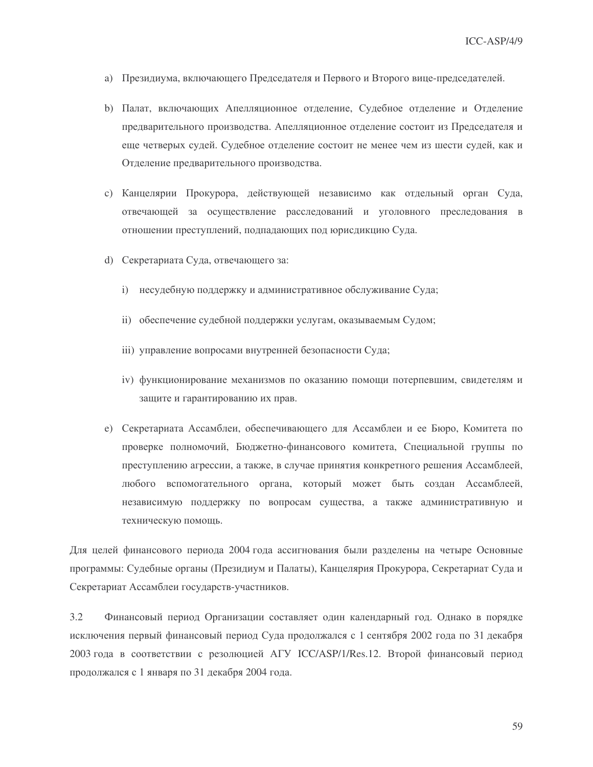- а) Президиума, включающего Председателя и Первого и Второго вице-председателей.
- b) Палат, включающих Апелляционное отделение, Судебное отделение и Отделение предварительного производства. Апелляционное отделение состоит из Председателя и еще четверых судей. Судебное отделение состоит не менее чем из шести судей, как и Отделение предварительного производства.
- с) Канцелярии Прокурора, действующей независимо как отдельный орган Суда, отвечающей за осуществление расследований и уголовного преследования в отношении преступлений, подпадающих под юрисдикцию Суда.
- d) Секретариата Суда, отвечающего за:
	- і) несудебную поддержку и административное обслуживание Суда;
	- іі) обеспечение судебной поддержки услугам, оказываемым Судом;
	- ііі) управление вопросами внутренней безопасности Суда;
	- iv) функционирование механизмов по оказанию помощи потерпевшим, свидетелям и защите и гарантированию их прав.
- е) Секретариата Ассамблеи, обеспечивающего для Ассамблеи и ее Бюро, Комитета по проверке полномочий, Бюджетно-финансового комитета, Специальной группы по преступлению агрессии, а также, в случае принятия конкретного решения Ассамблеей, любого вспомогательного органа, который может быть создан Ассамблеей, независимую поддержку по вопросам существа, а также административную и техническую помощь.

Для целей финансового периода 2004 года ассигнования были разделены на четыре Основные программы: Судебные органы (Президиум и Палаты), Канцелярия Прокурора, Секретариат Суда и Секретариат Ассамблеи государств-участников.

 $3.2$ Финансовый период Организации составляет один календарный год. Однако в порядке исключения первый финансовый период Суда продолжался с 1 сентября 2002 года по 31 декабря 2003 года в соответствии с резолюцией АГУ ICC/ASP/1/Res.12. Второй финансовый период продолжался с 1 января по 31 декабря 2004 года.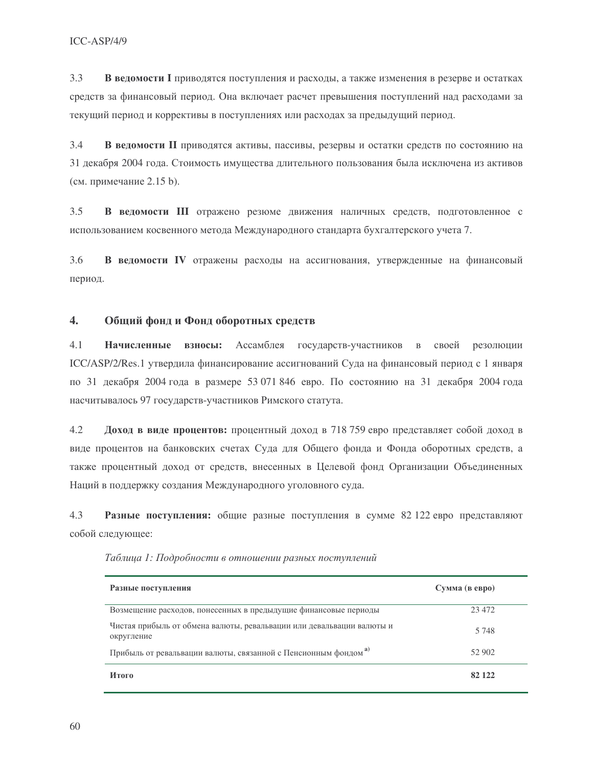$3.3$ В ведомости I приводятся поступления и расходы, а также изменения в резерве и остатках средств за финансовый период. Она включает расчет превышения поступлений над расходами за текущий период и коррективы в поступлениях или расходах за предыдущий период.

 $3.4$ В ведомости II приводятся активы, пассивы, резервы и остатки средств по состоянию на 31 декабря 2004 года. Стоимость имущества длительного пользования была исключена из активов (см. примечание 2.15 b).

 $3.5$ В ведомости III отражено резюме движения наличных средств, подготовленное с использованием косвенного метода Международного стандарта бухгалтерского учета 7.

3.6 В ведомости IV отражены расходы на ассигнования, утвержденные на финансовый период.

#### $\overline{4}$ . Общий фонд и Фонд оборотных средств

 $4.1$ Начисленные взносы: Ассамблея государств-участников в своей резолюции ICC/ASP/2/Res.1 утвердила финансирование ассигнований Суда на финансовый период с 1 января по 31 декабря 2004 года в размере 53 071 846 евро. По состоянию на 31 декабря 2004 года насчитывалось 97 государств-участников Римского статута.

 $4.2$ Доход в виде процентов: процентный доход в 718 759 евро представляет собой доход в виде процентов на банковских счетах Суда для Общего фонда и Фонда оборотных средств, а также процентный доход от средств, внесенных в Целевой фонд Организации Объединенных Наций в поддержку создания Международного уголовного суда.

 $4.3$ Разные поступления: общие разные поступления в сумме 82 122 евро представляют собой следующее:

| Разные поступления                                                                  | Сумма (в евро) |  |
|-------------------------------------------------------------------------------------|----------------|--|
| Возмещение расходов, понесенных в предыдущие финансовые периоды                     | 23, 472        |  |
| Чистая прибыль от обмена валюты, ревальвации или девальвации валюты и<br>округление | 5 7 4 8        |  |
| Прибыль от ревальвации валюты, связанной с Пенсионным фондом <sup>а)</sup>          | 52 902         |  |
| Итого                                                                               | 82 122         |  |

Таблица 1: Подробности в отношении разных поступлений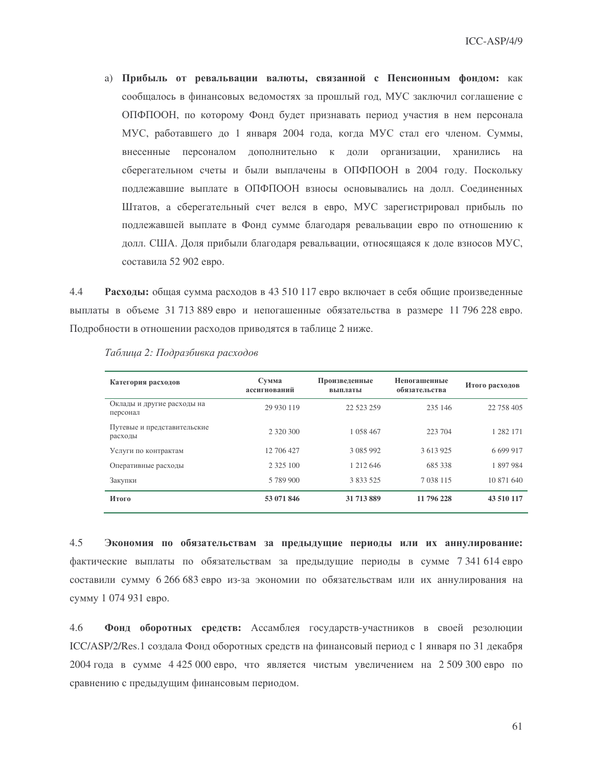а) **Прибыль от ревальвации валюты, связанной с Пенсионным фондом:** как сообщалось в финансовых ведомостях за прошлый год, МУС заключил соглашение с ОПФПООН, по которому Фонд будет признавать период участия в нем персонала МУС, работавшего до 1 января 2004 года, когда МУС стал его членом. Суммы, внесенные персоналом дополнительно к доли организации, хранились на сберегательном счеты и были выплачены в ОПФПООН в 2004 году. Поскольку подлежавшие выплате в ОПФПООН взносы основывались на долл. Соединенных Штатов, а сберегательный счет велся в евро, МУС зарегистрировал прибыль по подлежавшей выплате в Фонд сумме благодаря ревальвации евро по отношению к долл. США. Доля прибыли благодаря ревальвации, относящаяся к доле взносов МУС, составила 52 902 евро.

4.4 **Расходы:** общая сумма расходов в 43 510 117 евро включает в себя общие произведенные выплаты в объеме 31 713 889 евро и непогашенные обязательства в размере 11 796 228 евро. Подробности в отношении расходов приводятся в таблице 2 ниже.

| Категория расходов                     | Сумма<br>ассигнований | Произведенные<br>выплаты | Непогашенные<br>обязательства | Итого расходов |
|----------------------------------------|-----------------------|--------------------------|-------------------------------|----------------|
| Оклады и другие расходы на<br>персонал | 29 930 119            | 22 523 259               | 235 146                       | 22 758 405     |
| Путевые и представительские<br>расходы | 2 3 2 0 3 0 0         | 1 058 467                | 223 704                       | 1 282 171      |
| Услуги по контрактам                   | 12 706 427            | 3 085 992                | 3 613 925                     | 6 699 917      |
| Оперативные расходы                    | 2 3 2 5 1 0 0         | 1 212 646                | 685338                        | 1897984        |
| Закупки                                | 5789900               | 3 833 525                | 7 0 38 1 15                   | 10 871 640     |
| Итого                                  | 53 071 846            | 31 713 889               | 11 796 228                    | 43 510 117     |

Таблица 2: Подразбивка расходов

4.5 Экономия по обязательствам за предыдущие периоды или их аннулирование: фактические выплаты по обязательствам за предыдущие периоды в сумме 7 341 614 евро составили сумму 6 266 683 евро из-за экономии по обязательствам или их аннулирования на сумму 1 074 931 евро.

4.6 **Фонд оборотных средств:** Ассамблея государств-участников в своей резолюции ICC/ASP/2/Res.1 создала Фонд оборотных средств на финансовый период с 1 января по 31 декабря 2004 года в сумме 4 425 000 евро, что является чистым увеличением на 2 509 300 евро по сравнению с предыдущим финансовым периодом.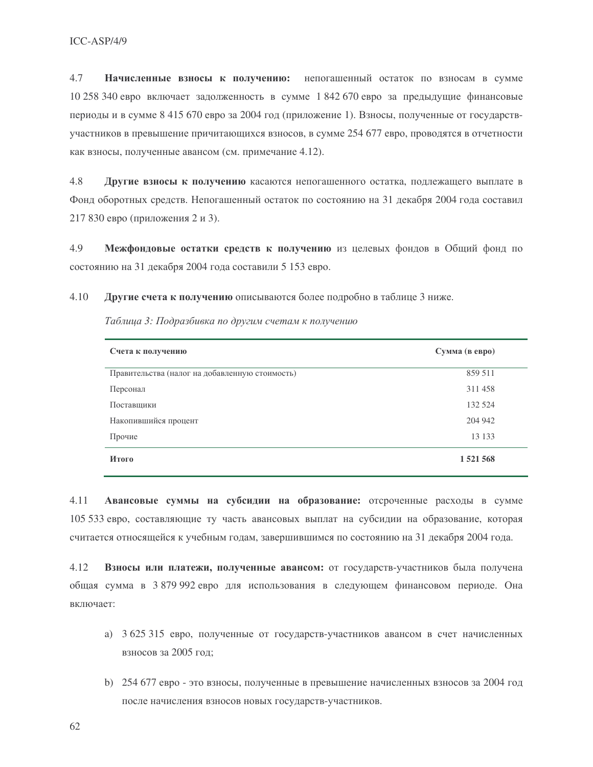4.7 **Начисленные взносы к получению:** непогашенный остаток по взносам в сумме 10 258 340 евро включает задолженность в сумме 1 842 670 евро за предыдущие финансовые периоды и в сумме 8 415 670 евро за 2004 год (приложение 1). Взносы, полученные от государствучастников в превышение причитающихся взносов, в сумме 254 677 евро, проводятся в отчетности как взносы, полученные авансом (см. примечание 4.12).

4.8 Другие взносы к получению касаются непогашенного остатка, подлежащего выплате в Фонд оборотных средств. Непогашенный остаток по состоянию на 31 декабря 2004 года составил 217 830 евро (приложения 2 и 3).

4.9 Межфондовые остатки средств к получению из целевых фондов в Общий фонд по состоянию на 31 декабря 2004 года составили 5 153 евро.

4.10 Другие счета к получению описываются более подробно в таблице 3 ниже.

Таблица 3: Подразбивка по другим счетам к получению

| Счета к получению                              | Сумма (в евро) |
|------------------------------------------------|----------------|
| Правительства (налог на добавленную стоимость) | 859 511        |
| Персонал                                       | 311458         |
| Поставщики                                     | 132 524        |
| Накопившийся процент                           | 204 942        |
| Прочие                                         | 13 133         |
| Итого                                          | 1 5 2 1 5 6 8  |

4.11 **Авансовые суммы на субсидии на образование:** отсроченные расходы в сумме 105 533 евро, составляющие ту часть авансовых выплат на субсидии на образование, которая считается относящейся к учебным годам, завершившимся по состоянию на 31 декабря 2004 года.

4.12 **Взносы или платежи, полученные авансом:** от государств-участников была получена общая сумма в 3 879 992 евро для использования в следующем финансовом периоде. Она включает:

- а) 3 625 315 евро, полученные от государств-участников авансом в счет начисленных взносов за 2005 год;
- b) 254 677 евро это взносы, полученные в превышение начисленных взносов за 2004 год после начисления взносов новых государств-участников.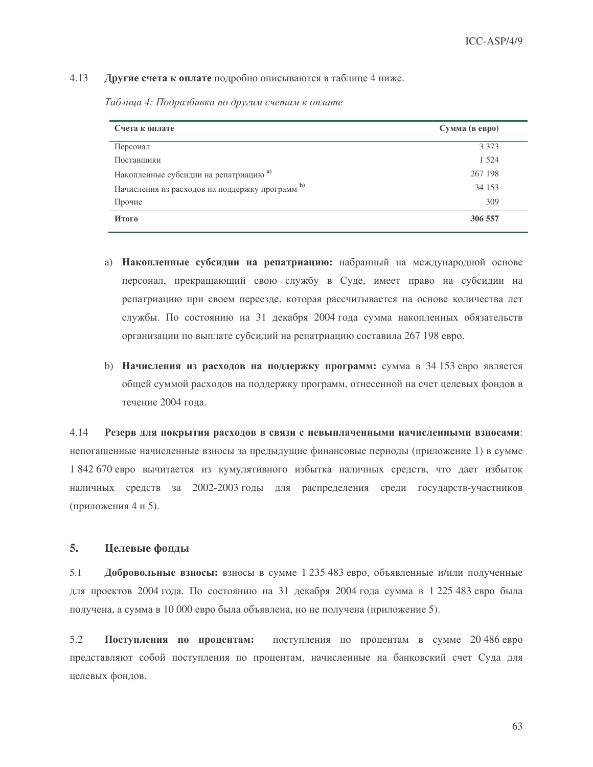#### 4.13 Другие счета к оплате подробно описываются в таблице 4 ниже.

| Счета к оплате                                    | Сумма (в евро) |
|---------------------------------------------------|----------------|
| Персонал                                          | 3 3 7 3        |
| Поставщики                                        | 1 5 2 4        |
| Накопленные субсидии на репатриацию <sup>а)</sup> | 267 198        |
| Начисления из расходов на поддержку программ b)   | 34 153         |
| Прочие                                            | 309            |
| Итого                                             | 306 557        |

Таблица 4: Подразбивка по другим счетам к оплате

- а) Накопленные субсидии на репатриацию: набранный на международной основе персонал, прекращающий свою службу в Суде, имеет право на субсидии на репатриацию при своем переезде, которая рассчитывается на основе количества лет службы. По состоянию на 31 декабря 2004 года сумма накопленных обязательств организации по выплате субсидий на репатриацию составила 267 198 евро.
- b) Начисления из расходов на поддержку программ: сумма в 34 153 евро является общей суммой расходов на поддержку программ, отнесенной на счет целевых фондов в течение 2004 года.

4.14 зерв для покрытия расходов в связи с невыплаченными начисленными взносами: непогашенные начисленные взносы за предыдущие финансовые периоды (приложение 1) в сумме 1 842 670 евро вычитается из кумулятивного избытка наличных средств, что дает избыток наличных средств за 2002-2003 годы для распределения среди государств-участников (приложения 4 и 5).

#### 5. Целевые фонды

5.1 Добровольные взносы: взносы в сумме 1 235 483 евро, объявленные и/или полученные для проектов 2004 года. По состоянию на 31 декабря 2004 года сумма в 1 225 483 евро была получена, а сумма в 10 000 евро была объявлена, но не получена (приложение 5).

5.2 Поступления по проце **нтам:** поступления по процентам в сумме 20 486 евро представляют собой поступления по процентам, начисленные на банковский счет Суда для целевых фондов.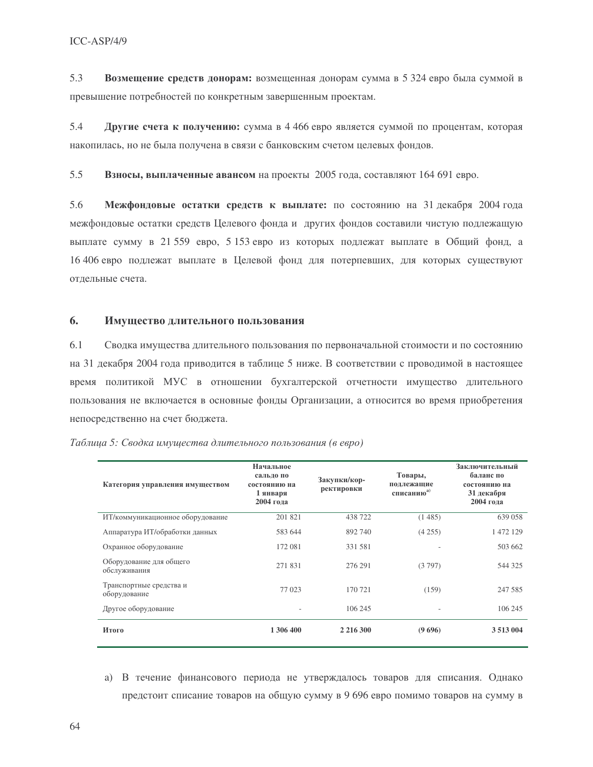5.3 Возмещение средств донорам: возмещенная донорам сумма в 5 324 евро была суммой в превышение потребностей по конкретным завершенным проектам.

5.4 Пругие счета к получению: сумма в 4 466 евро является суммой по процентам, которая накопилась, но не была получена в связи с банковским счетом целевых фондов.

5.5 Взносы, выплаченные авансом на проекты 2005 года, составляют 164 691 евро.

5.6 Межфондовые остатки средств к выплате: по состоянию на 31 декабря 2004 года межфондовые остатки средств Целевого фонда и других фондов составили чистую подлежащую выплате сумму в 21 559 евро, 5 153 евро из которых подлежат выплате в Общий фонд, а 16 406 евро подлежат выплате в Целевой фонд для потерпевших, для которых существуют отдельные счета.

#### 6. Имущество длительного пользования

6.1 Сводка имущества длительного пользования по первоначальной стоимости и по состоянию на 31 декабря 2004 года приводится в таблице 5 ниже. В соответствии с проводимой в настоящее время политикой МУС в отношении бухгалтерской отчетности имущество длительного пользования не включается в основные фонды Организации, а относится во время приобретения непосредственно на счет бюджета.

| Категория управления имуществом         | Начальное<br>сальдо по<br>состоянию на<br>1 января<br>2004 года | Закупки/кор-<br>ректировки | Товары,<br>подлежащие<br>списанию <sup>а)</sup> | Заключительный<br>баланс по<br>состоянию на<br>31 декабря<br>$2004$ года |
|-----------------------------------------|-----------------------------------------------------------------|----------------------------|-------------------------------------------------|--------------------------------------------------------------------------|
| ИТ/коммуникационное оборудование        | 201 821                                                         | 438 722                    | (1485)                                          | 639 058                                                                  |
| Аппаратура ИТ/обработки данных          | 583 644                                                         | 892 740                    | (4255)                                          | 1 472 129                                                                |
| Охранное оборудование                   | 172 081                                                         | 331 581                    |                                                 | 503 662                                                                  |
| Оборудование для общего<br>обслуживания | 271831                                                          | 276 291                    | (3797)                                          | 544 325                                                                  |
| Транспортные средства и<br>оборудование | 77 023                                                          | 170 721                    | (159)                                           | 247 585                                                                  |
| Другое оборудование                     |                                                                 | 106 245                    |                                                 | 106 245                                                                  |
| Итого                                   | 1 306 400                                                       | 2 2 1 6 3 0 0              | (9696)                                          | 3 5 1 3 0 0 4                                                            |

Таблица 5: Сводка имущества длительного пользования (в евро)

а) В течение финансового периода не утверждалось товаров для списания. Однако предстоит списание товаров на общую сумму в 9 696 евро помимо товаров на сумму в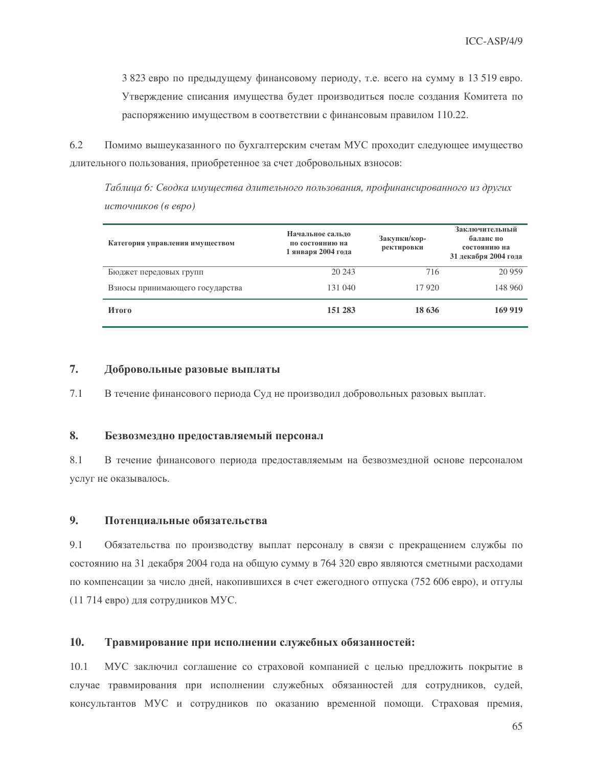3 823 евро по предыдущему финансовому периоду, т.е. всего на сумму в 13 519 евро. Утверждение списания имущества будет производиться после создания Комитета по распоряжению имуществом в соответствии с финансовым правилом 110.22.

6.2 Помимо вышеуказанного по бухгалтерским счетам МУС проходит следующее имущество длительного пользования, приобретенное за счет добровольных взносов:

Таблица 6: Сводка имущества длительного пользования, профинансированного из других источников (в евро)

| Категория управления имуществом | Начальное сальдо<br>по состоянию на<br>1 января 2004 года | Закупки/кор-<br>ректировки | Заключительный<br>баланс по<br>состоянию на<br>31 декабря 2004 года |
|---------------------------------|-----------------------------------------------------------|----------------------------|---------------------------------------------------------------------|
| Бюджет передовых групп          | 20 24 3                                                   | 716                        | 20 9 59                                                             |
| Взносы принимающего государства | 131 040                                                   | 17 9 20                    | 148 960                                                             |
| Итого                           | 151 283                                                   | 18 636                     | 169 919                                                             |

#### 7. Добровольные разовые выплаты

 $7.1$ В течение финансового периода Суд не производил добровольных разовых выплат.

#### 8. Безвозмездно предоставляемый персонал

8.1 В течение финансового периода предоставляемым на безвозмездной основе персоналом услуг не оказывалось.

#### 9. Потенциальные обязательства

 $9.1$ Обязательства по производству выплат персоналу в связи с прекращением службы по состоянию на 31 декабря 2004 года на общую сумму в 764 320 евро являются сметными расходами по компенсации за число дней, накопившихся в счет ежегодного отпуска (752 606 евро), и отгулы (11 714 евро) для сотрудников МУС.

#### 10. Травмирование при исполнении служебных обязанностей:

10.1 МУС заключил соглашение со страховой компанией с целью предложить покрытие в случае травмирования при исполнении служебных обязанностей для сотрудников, судей, консультантов МУС и сотрудников по оказанию временной помощи. Страховая премия,